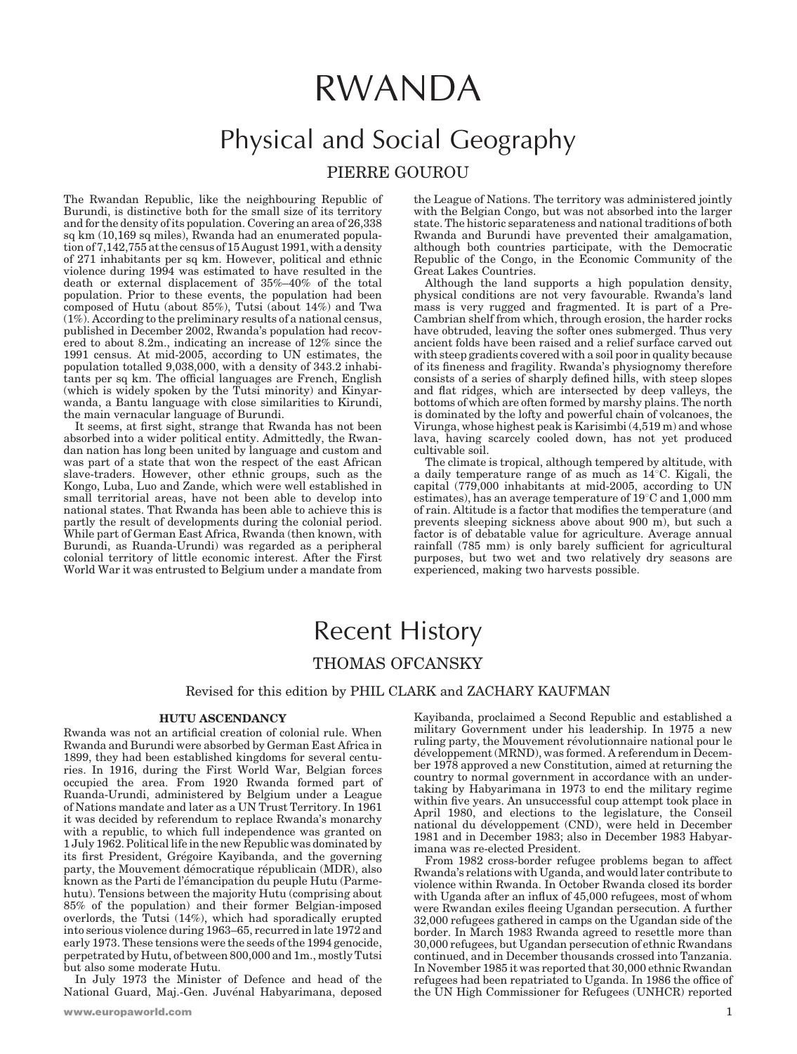# RWANDA

# Physical and Social Geography

## PIERRE GOUROU

The Rwandan Republic, like the neighbouring Republic of Burundi, is distinctive both for the small size of its territory and for the density of its population. Covering an area of 26,338 sq km (10,169 sq miles), Rwanda had an enumerated population of 7,142,755 at the census of 15 August 1991, with a density of 271 inhabitants per sq km. However, political and ethnic violence during 1994 was estimated to have resulted in the death or external displacement of 35%–40% of the total population. Prior to these events, the population had been composed of Hutu (about 85%), Tutsi (about 14%) and Twa (1%). According to the preliminary results of a national census, published in December 2002, Rwanda's population had recovered to about 8.2m., indicating an increase of 12% since the 1991 census. At mid-2005, according to UN estimates, the population totalled 9,038,000, with a density of 343.2 inhabitants per sq km. The official languages are French, English (which is widely spoken by the Tutsi minority) and Kinyarwanda, a Bantu language with close similarities to Kirundi, the main vernacular language of Burundi.

It seems, at first sight, strange that Rwanda has not been absorbed into a wider political entity. Admittedly, the Rwandan nation has long been united by language and custom and was part of a state that won the respect of the east African slave-traders. However, other ethnic groups, such as the Kongo, Luba, Luo and Zande, which were well established in small territorial areas, have not been able to develop into national states. That Rwanda has been able to achieve this is partly the result of developments during the colonial period. While part of German East Africa, Rwanda (then known, with Burundi, as Ruanda-Urundi) was regarded as a peripheral colonial territory of little economic interest. After the First World War it was entrusted to Belgium under a mandate from

the League of Nations. The territory was administered jointly with the Belgian Congo, but was not absorbed into the larger state. The historic separateness and national traditions of both Rwanda and Burundi have prevented their amalgamation, although both countries participate, with the Democratic Republic of the Congo, in the Economic Community of the Great Lakes Countries.

Although the land supports a high population density, physical conditions are not very favourable. Rwanda's land mass is very rugged and fragmented. It is part of a Pre-Cambrian shelf from which, through erosion, the harder rocks have obtruded, leaving the softer ones submerged. Thus very ancient folds have been raised and a relief surface carved out with steep gradients covered with a soil poor in quality because of its fineness and fragility. Rwanda's physiognomy therefore consists of a series of sharply defined hills, with steep slopes and flat ridges, which are intersected by deep valleys, the bottoms of which are often formed by marshy plains. The north is dominated by the lofty and powerful chain of volcanoes, the Virunga, whose highest peak is Karisimbi (4,519 m) and whose lava, having scarcely cooled down, has not yet produced cultivable soil.

The climate is tropical, although tempered by altitude, with a daily temperature range of as much as  $14^{\circ}$ C. Kigali, the capital (779,000 inhabitants at mid-2005, according to UN estimates), has an average temperature of  $19^{\circ}$ C and  $1,000$  mm of rain. Altitude is a factor that modifies the temperature (and prevents sleeping sickness above about 900 m), but such a factor is of debatable value for agriculture. Average annual rainfall (785 mm) is only barely sufficient for agricultural purposes, but two wet and two relatively dry seasons are experienced, making two harvests possible.

## Recent History THOMAS OFCANSKY

## Revised for this edition by PHIL CLARK and ZACHARY KAUFMAN

### HUTU ASCENDANCY

Rwanda was not an artificial creation of colonial rule. When Rwanda and Burundi were absorbed by German East Africa in 1899, they had been established kingdoms for several centuries. In 1916, during the First World War, Belgian forces occupied the area. From 1920 Rwanda formed part of Ruanda-Urundi, administered by Belgium under a League of Nations mandate and later as a UN Trust Territory. In 1961 it was decided by referendum to replace Rwanda's monarchy with a republic, to which full independence was granted on 1 July 1962. Political life in the new Republic was dominated by its first President, Grégoire Kayibanda, and the governing party, the Mouvement démocratique républicain (MDR), also known as the Parti de l'émancipation du peuple Hutu (Parmehutu). Tensions between the majority Hutu (comprising about 85% of the population) and their former Belgian-imposed overlords, the Tutsi (14%), which had sporadically erupted into serious violence during 1963–65, recurred in late 1972 and early 1973. These tensions were the seeds of the 1994 genocide, perpetrated by Hutu, of between 800,000 and 1m., mostly Tutsi but also some moderate Hutu.

In July 1973 the Minister of Defence and head of the National Guard, Maj.-Gen. Juvénal Habyarimana, deposed

www.europaworld.com  $\qquad \qquad \qquad 1$ 

Kayibanda, proclaimed a Second Republic and established a military Government under his leadership. In 1975 a new ruling party, the Mouvement révolutionnaire national pour le développement (MRND), was formed. A referendum in December 1978 approved a new Constitution, aimed at returning the country to normal government in accordance with an undertaking by Habyarimana in 1973 to end the military regime within five years. An unsuccessful coup attempt took place in April 1980, and elections to the legislature, the Conseil national du développement (CND), were held in December 1981 and in December 1983; also in December 1983 Habyarimana was re-elected President.

From 1982 cross-border refugee problems began to affect Rwanda's relations with Uganda, and would later contribute to violence within Rwanda. In October Rwanda closed its border with Uganda after an influx of 45,000 refugees, most of whom were Rwandan exiles fleeing Ugandan persecution. A further 32,000 refugees gathered in camps on the Ugandan side of the border. In March 1983 Rwanda agreed to resettle more than 30,000 refugees, but Ugandan persecution of ethnic Rwandans continued, and in December thousands crossed into Tanzania. In November 1985 it was reported that 30,000 ethnic Rwandan refugees had been repatriated to Uganda. In 1986 the office of the UN High Commissioner for Refugees (UNHCR) reported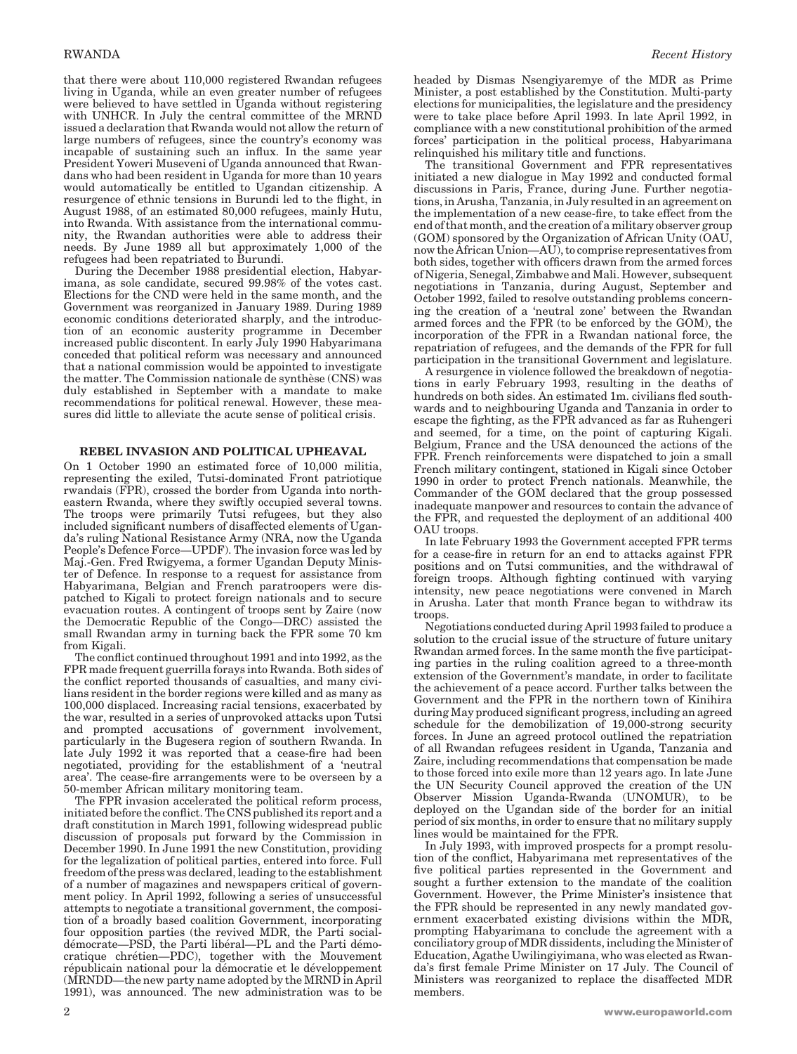that there were about 110,000 registered Rwandan refugees living in Uganda, while an even greater number of refugees were believed to have settled in Uganda without registering with UNHCR. In July the central committee of the MRND issued a declaration that Rwanda would not allow the return of large numbers of refugees, since the country's economy was incapable of sustaining such an influx. In the same year President Yoweri Museveni of Uganda announced that Rwandans who had been resident in Uganda for more than 10 years would automatically be entitled to Ugandan citizenship. A resurgence of ethnic tensions in Burundi led to the flight, in August 1988, of an estimated 80,000 refugees, mainly Hutu, into Rwanda. With assistance from the international community, the Rwandan authorities were able to address their needs. By June 1989 all but approximately 1,000 of the refugees had been repatriated to Burundi.

During the December 1988 presidential election, Habyarimana, as sole candidate, secured 99.98% of the votes cast. Elections for the CND were held in the same month, and the Government was reorganized in January 1989. During 1989 economic conditions deteriorated sharply, and the introduction of an economic austerity programme in December increased public discontent. In early July 1990 Habyarimana conceded that political reform was necessary and announced that a national commission would be appointed to investigate the matter. The Commission nationale de synthèse (CNS) was duly established in September with a mandate to make recommendations for political renewal. However, these measures did little to alleviate the acute sense of political crisis.

#### REBEL INVASION AND POLITICAL UPHEAVAL

On 1 October 1990 an estimated force of 10,000 militia, representing the exiled, Tutsi-dominated Front patriotique rwandais (FPR), crossed the border from Uganda into northeastern Rwanda, where they swiftly occupied several towns. The troops were primarily Tutsi refugees, but they also included significant numbers of disaffected elements of Uganda's ruling National Resistance Army (NRA, now the Uganda People's Defence Force—UPDF). The invasion force was led by Maj.-Gen. Fred Rwigyema, a former Ugandan Deputy Minister of Defence. In response to a request for assistance from Habyarimana, Belgian and French paratroopers were dispatched to Kigali to protect foreign nationals and to secure evacuation routes. A contingent of troops sent by Zaire (now the Democratic Republic of the Congo—DRC) assisted the small Rwandan army in turning back the FPR some 70 km from Kigali.

The conflict continued throughout 1991 and into 1992, as the FPR made frequent guerrilla forays into Rwanda. Both sides of the conflict reported thousands of casualties, and many civilians resident in the border regions were killed and as many as 100,000 displaced. Increasing racial tensions, exacerbated by the war, resulted in a series of unprovoked attacks upon Tutsi and prompted accusations of government involvement, particularly in the Bugesera region of southern Rwanda. In late July 1992 it was reported that a cease-fire had been negotiated, providing for the establishment of a 'neutral area'. The cease-fire arrangements were to be overseen by a 50-member African military monitoring team.

The FPR invasion accelerated the political reform process, initiated before the conflict. The CNS published its report and a draft constitution in March 1991, following widespread public discussion of proposals put forward by the Commission in December 1990. In June 1991 the new Constitution, providing for the legalization of political parties, entered into force. Full freedom of the press was declared, leading to the establishment of a number of magazines and newspapers critical of government policy. In April 1992, following a series of unsuccessful attempts to negotiate a transitional government, the composition of a broadly based coalition Government, incorporating four opposition parties (the revived MDR, the Parti socialdémocrate—PSD, the Parti libéral—PL and the Parti démocratique chrétien—PDC), together with the Mouvement républicain national pour la démocratie et le développement (MRNDD—the new party name adopted by the MRND in April 1991), was announced. The new administration was to be headed by Dismas Nsengiyaremye of the MDR as Prime Minister, a post established by the Constitution. Multi-party elections for municipalities, the legislature and the presidency were to take place before April 1993. In late April 1992, in compliance with a new constitutional prohibition of the armed forces' participation in the political process, Habyarimana relinquished his military title and functions.

The transitional Government and FPR representatives initiated a new dialogue in May 1992 and conducted formal discussions in Paris, France, during June. Further negotiations, in Arusha, Tanzania, in July resulted in an agreement on the implementation of a new cease-fire, to take effect from the end of that month, and the creation of a military observer group (GOM) sponsored by the Organization of African Unity (OAU, now the African Union—AU), to comprise representatives from both sides, together with officers drawn from the armed forces of Nigeria, Senegal, Zimbabwe and Mali. However, subsequent negotiations in Tanzania, during August, September and October 1992, failed to resolve outstanding problems concerning the creation of a 'neutral zone' between the Rwandan armed forces and the FPR (to be enforced by the GOM), the incorporation of the FPR in a Rwandan national force, the repatriation of refugees, and the demands of the FPR for full participation in the transitional Government and legislature.

A resurgence in violence followed the breakdown of negotiations in early February 1993, resulting in the deaths of hundreds on both sides. An estimated 1m. civilians fled southwards and to neighbouring Uganda and Tanzania in order to escape the fighting, as the FPR advanced as far as Ruhengeri and seemed, for a time, on the point of capturing Kigali. Belgium, France and the USA denounced the actions of the FPR. French reinforcements were dispatched to join a small French military contingent, stationed in Kigali since October 1990 in order to protect French nationals. Meanwhile, the Commander of the GOM declared that the group possessed inadequate manpower and resources to contain the advance of the FPR, and requested the deployment of an additional 400 OAU troops.

In late February 1993 the Government accepted FPR terms for a cease-fire in return for an end to attacks against FPR positions and on Tutsi communities, and the withdrawal of foreign troops. Although fighting continued with varying intensity, new peace negotiations were convened in March in Arusha. Later that month France began to withdraw its troops.

Negotiations conducted during April 1993 failed to produce a solution to the crucial issue of the structure of future unitary Rwandan armed forces. In the same month the five participating parties in the ruling coalition agreed to a three-month extension of the Government's mandate, in order to facilitate the achievement of a peace accord. Further talks between the Government and the FPR in the northern town of Kinihira during May produced significant progress, including an agreed schedule for the demobilization of 19,000-strong security forces. In June an agreed protocol outlined the repatriation of all Rwandan refugees resident in Uganda, Tanzania and Zaire, including recommendations that compensation be made to those forced into exile more than 12 years ago. In late June the UN Security Council approved the creation of the UN Observer Mission Uganda-Rwanda (UNOMUR), to be deployed on the Ugandan side of the border for an initial period of six months, in order to ensure that no military supply lines would be maintained for the FPR.

In July 1993, with improved prospects for a prompt resolution of the conflict, Habyarimana met representatives of the five political parties represented in the Government and sought a further extension to the mandate of the coalition Government. However, the Prime Minister's insistence that the FPR should be represented in any newly mandated government exacerbated existing divisions within the MDR, prompting Habyarimana to conclude the agreement with a conciliatory group of MDR dissidents, including the Minister of Education, Agathe Uwilingiyimana, who was elected as Rwanda's first female Prime Minister on 17 July. The Council of Ministers was reorganized to replace the disaffected MDR members.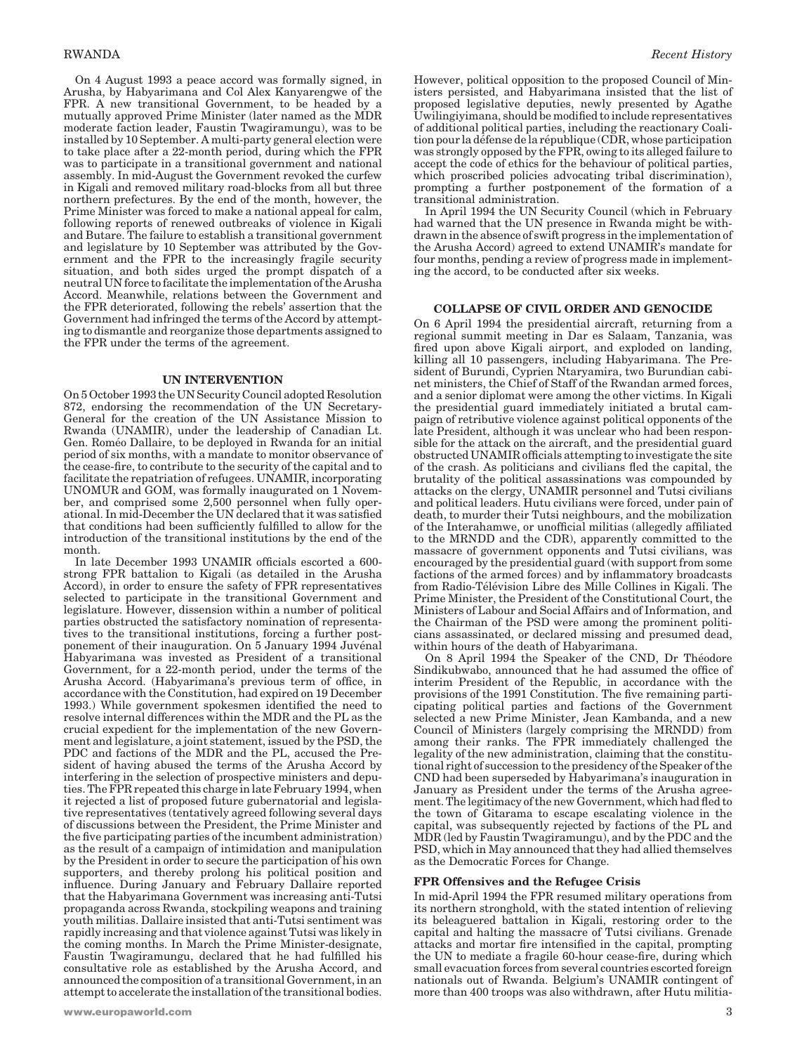On 4 August 1993 a peace accord was formally signed, in Arusha, by Habyarimana and Col Alex Kanyarengwe of the FPR. A new transitional Government, to be headed by a mutually approved Prime Minister (later named as the MDR moderate faction leader, Faustin Twagiramungu), was to be installed by 10 September. A multi-party general election were to take place after a 22-month period, during which the FPR was to participate in a transitional government and national assembly. In mid-August the Government revoked the curfew in Kigali and removed military road-blocks from all but three northern prefectures. By the end of the month, however, the Prime Minister was forced to make a national appeal for calm, following reports of renewed outbreaks of violence in Kigali and Butare. The failure to establish a transitional government and legislature by 10 September was attributed by the Government and the FPR to the increasingly fragile security situation, and both sides urged the prompt dispatch of a neutral UN force to facilitate the implementation of the Arusha Accord. Meanwhile, relations between the Government and the FPR deteriorated, following the rebels' assertion that the Government had infringed the terms of the Accord by attempting to dismantle and reorganize those departments assigned to the FPR under the terms of the agreement.

#### UN INTERVENTION

On 5 October 1993 the UN Security Council adopted Resolution 872, endorsing the recommendation of the UN Secretary-General for the creation of the UN Assistance Mission to Rwanda (UNAMIR), under the leadership of Canadian Lt. Gen. Roméo Dallaire, to be deployed in Rwanda for an initial period of six months, with a mandate to monitor observance of the cease-fire, to contribute to the security of the capital and to facilitate the repatriation of refugees. UNAMIR, incorporating UNOMUR and GOM, was formally inaugurated on 1 November, and comprised some 2,500 personnel when fully operational. In mid-December the UN declared that it was satisfied that conditions had been sufficiently fulfilled to allow for the introduction of the transitional institutions by the end of the month.

In late December 1993 UNAMIR officials escorted a 600 strong FPR battalion to Kigali (as detailed in the Arusha Accord), in order to ensure the safety of FPR representatives selected to participate in the transitional Government and legislature. However, dissension within a number of political parties obstructed the satisfactory nomination of representatives to the transitional institutions, forcing a further postponement of their inauguration. On 5 January 1994 Juvénal Habyarimana was invested as President of a transitional Government, for a 22-month period, under the terms of the Arusha Accord. (Habyarimana's previous term of office, in accordance with the Constitution, had expired on 19 December 1993.) While government spokesmen identified the need to resolve internal differences within the MDR and the PL as the crucial expedient for the implementation of the new Government and legislature, a joint statement, issued by the PSD, the PDC and factions of the MDR and the PL, accused the President of having abused the terms of the Arusha Accord by interfering in the selection of prospective ministers and deputies. The FPR repeated this charge in late February 1994, when it rejected a list of proposed future gubernatorial and legislative representatives (tentatively agreed following several days of discussions between the President, the Prime Minister and the five participating parties of the incumbent administration) as the result of a campaign of intimidation and manipulation by the President in order to secure the participation of his own supporters, and thereby prolong his political position and influence. During January and February Dallaire reported that the Habyarimana Government was increasing anti-Tutsi propaganda across Rwanda, stockpiling weapons and training youth militias. Dallaire insisted that anti-Tutsi sentiment was rapidly increasing and that violence against Tutsi was likely in the coming months. In March the Prime Minister-designate, Faustin Twagiramungu, declared that he had fulfilled his consultative role as established by the Arusha Accord, and announced the composition of a transitional Government, in an attempt to accelerate the installation of the transitional bodies. However, political opposition to the proposed Council of Ministers persisted, and Habyarimana insisted that the list of proposed legislative deputies, newly presented by Agathe Uwilingiyimana, should be modified to include representatives of additional political parties, including the reactionary Coali- $\chi$ tion pour la défense de la république (CDR, whose participation was strongly opposed by the FPR, owing to its alleged failure to accept the code of ethics for the behaviour of political parties, which proscribed policies advocating tribal discrimination), prompting a further postponement of the formation of a transitional administration.

In April 1994 the UN Security Council (which in February had warned that the UN presence in Rwanda might be withdrawn in the absence of swift progress in the implementation of the Arusha Accord) agreed to extend UNAMIR's mandate for four months, pending a review of progress made in implementing the accord, to be conducted after six weeks.

#### COLLAPSE OF CIVIL ORDER AND GENOCIDE

On 6 April 1994 the presidential aircraft, returning from a regional summit meeting in Dar es Salaam, Tanzania, was fired upon above Kigali airport, and exploded on landing, killing all 10 passengers, including Habyarimana. The President of Burundi, Cyprien Ntaryamira, two Burundian cabinet ministers, the Chief of Staff of the Rwandan armed forces, and a senior diplomat were among the other victims. In Kigali the presidential guard immediately initiated a brutal campaign of retributive violence against political opponents of the late President, although it was unclear who had been responsible for the attack on the aircraft, and the presidential guard obstructed UNAMIR officials attempting to investigate the site of the crash. As politicians and civilians fled the capital, the brutality of the political assassinations was compounded by attacks on the clergy, UNAMIR personnel and Tutsi civilians and political leaders. Hutu civilians were forced, under pain of death, to murder their Tutsi neighbours, and the mobilization of the Interahamwe, or unofficial militias (allegedly affiliated to the MRNDD and the CDR), apparently committed to the massacre of government opponents and Tutsi civilians, was encouraged by the presidential guard (with support from some factions of the armed forces) and by inflammatory broadcasts from Radio-Télévision Libre des Mille Collines in Kigali. The Prime Minister, the President of the Constitutional Court, the Ministers of Labour and Social Affairs and of Information, and the Chairman of the PSD were among the prominent politicians assassinated, or declared missing and presumed dead, within hours of the death of Habyarimana.

On 8 April 1994 the Speaker of the CND, Dr Théodore Sindikubwabo, announced that he had assumed the office of interim President of the Republic, in accordance with the provisions of the 1991 Constitution. The five remaining participating political parties and factions of the Government selected a new Prime Minister, Jean Kambanda, and a new Council of Ministers (largely comprising the MRNDD) from among their ranks. The FPR immediately challenged the legality of the new administration, claiming that the constitutional right of succession to the presidency of the Speaker of the CND had been superseded by Habyarimana's inauguration in January as President under the terms of the Arusha agreement. The legitimacy of the new Government, which had fled to the town of Gitarama to escape escalating violence in the capital, was subsequently rejected by factions of the PL and MDR (led by Faustin Twagiramungu), and by the PDC and the PSD, which in May announced that they had allied themselves as the Democratic Forces for Change.

### FPR Offensives and the Refugee Crisis

In mid-April 1994 the FPR resumed military operations from its northern stronghold, with the stated intention of relieving its beleaguered battalion in Kigali, restoring order to the capital and halting the massacre of Tutsi civilians. Grenade attacks and mortar fire intensified in the capital, prompting the UN to mediate a fragile 60-hour cease-fire, during which small evacuation forces from several countries escorted foreign nationals out of Rwanda. Belgium's UNAMIR contingent of more than 400 troops was also withdrawn, after Hutu militia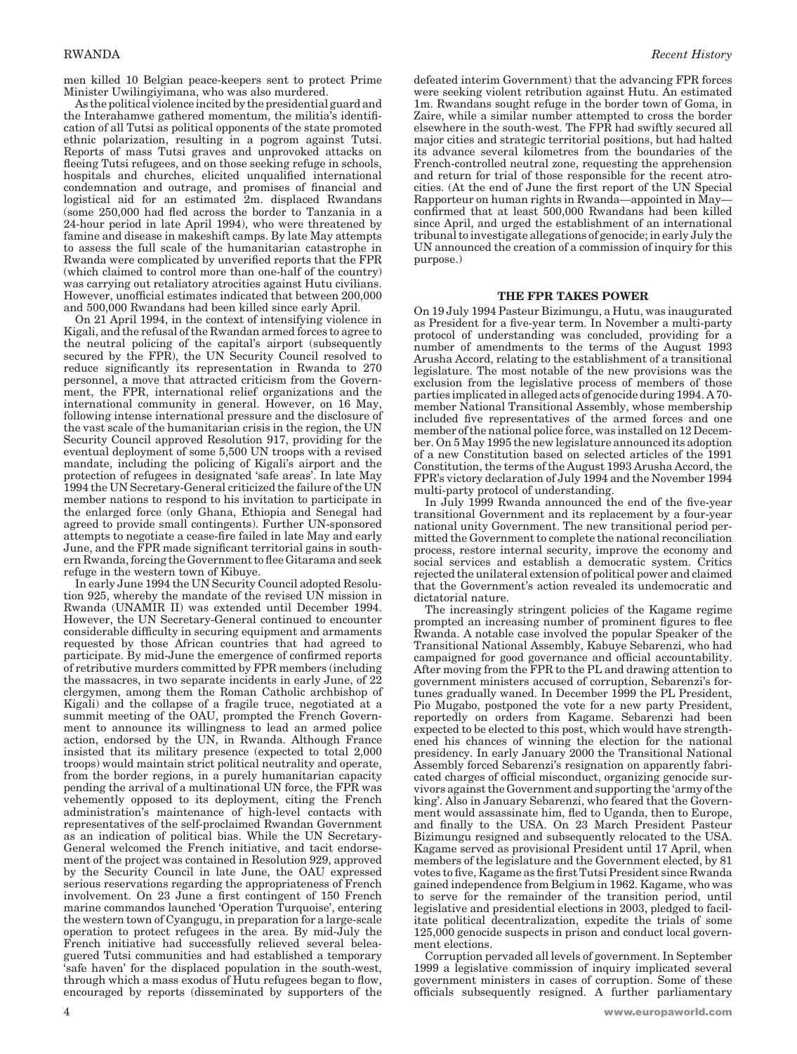men killed 10 Belgian peace-keepers sent to protect Prime Minister Uwilingiyimana, who was also murdered.

As the political violence incited by the presidential guard and the Interahamwe gathered momentum, the militia's identification of all Tutsi as political opponents of the state promoted ethnic polarization, resulting in a pogrom against Tutsi. Reports of mass Tutsi graves and unprovoked attacks on fleeing Tutsi refugees, and on those seeking refuge in schools, hospitals and churches, elicited unqualified international condemnation and outrage, and promises of financial and logistical aid for an estimated 2m. displaced Rwandans (some 250,000 had fled across the border to Tanzania in a 24-hour period in late April 1994), who were threatened by famine and disease in makeshift camps. By late May attempts to assess the full scale of the humanitarian catastrophe in Rwanda were complicated by unverified reports that the FPR (which claimed to control more than one-half of the country) was carrying out retaliatory atrocities against Hutu civilians. However, unofficial estimates indicated that between 200,000 and 500,000 Rwandans had been killed since early April.

On 21 April 1994, in the context of intensifying violence in Kigali, and the refusal of the Rwandan armed forces to agree to the neutral policing of the capital's airport (subsequently secured by the FPR), the UN Security Council resolved to reduce significantly its representation in Rwanda to 270 personnel, a move that attracted criticism from the Government, the FPR, international relief organizations and the international community in general. However, on 16 May, following intense international pressure and the disclosure of the vast scale of the humanitarian crisis in the region, the UN Security Council approved Resolution 917, providing for the eventual deployment of some 5,500 UN troops with a revised mandate, including the policing of Kigali's airport and the protection of refugees in designated 'safe areas'. In late May 1994 the UN Secretary-General criticized the failure of the UN member nations to respond to his invitation to participate in the enlarged force (only Ghana, Ethiopia and Senegal had agreed to provide small contingents). Further UN-sponsored attempts to negotiate a cease-fire failed in late May and early June, and the FPR made significant territorial gains in southern Rwanda, forcing the Government to flee Gitarama and seek refuge in the western town of Kibuye.

In early June 1994 the UN Security Council adopted Resolution 925, whereby the mandate of the revised UN mission in Rwanda (UNAMIR II) was extended until December 1994. However, the UN Secretary-General continued to encounter considerable difficulty in securing equipment and armaments requested by those African countries that had agreed to participate. By mid-June the emergence of confirmed reports of retributive murders committed by FPR members (including the massacres, in two separate incidents in early June, of 22 clergymen, among them the Roman Catholic archbishop of Kigali) and the collapse of a fragile truce, negotiated at a summit meeting of the OAU, prompted the French Government to announce its willingness to lead an armed police action, endorsed by the UN, in Rwanda. Although France insisted that its military presence (expected to total 2,000 troops) would maintain strict political neutrality and operate, from the border regions, in a purely humanitarian capacity pending the arrival of a multinational UN force, the FPR was vehemently opposed to its deployment, citing the French administration's maintenance of high-level contacts with representatives of the self-proclaimed Rwandan Government as an indication of political bias. While the UN Secretary-General welcomed the French initiative, and tacit endorsement of the project was contained in Resolution 929, approved by the Security Council in late June, the OAU expressed serious reservations regarding the appropriateness of French involvement. On 23 June a first contingent of 150 French marine commandos launched 'Operation Turquoise', entering the western town of Cyangugu, in preparation for a large-scale operation to protect refugees in the area. By mid-July the French initiative had successfully relieved several beleaguered Tutsi communities and had established a temporary 'safe haven' for the displaced population in the south-west, through which a mass exodus of Hutu refugees began to flow, encouraged by reports (disseminated by supporters of the

defeated interim Government) that the advancing FPR forces were seeking violent retribution against Hutu. An estimated 1m. Rwandans sought refuge in the border town of Goma, in Zaire, while a similar number attempted to cross the border elsewhere in the south-west. The FPR had swiftly secured all major cities and strategic territorial positions, but had halted its advance several kilometres from the boundaries of the French-controlled neutral zone, requesting the apprehension and return for trial of those responsible for the recent atrocities. (At the end of June the first report of the UN Special Rapporteur on human rights in Rwanda—appointed in May confirmed that at least 500,000 Rwandans had been killed since April, and urged the establishment of an international tribunal to investigate allegations of genocide; in early July the UN announced the creation of a commission of inquiry for this purpose.)

### THE FPR TAKES POWER

On 19 July 1994 Pasteur Bizimungu, a Hutu, was inaugurated as President for a five-year term. In November a multi-party protocol of understanding was concluded, providing for a number of amendments to the terms of the August 1993 Arusha Accord, relating to the establishment of a transitional legislature. The most notable of the new provisions was the exclusion from the legislative process of members of those parties implicated in alleged acts of genocide during 1994. A 70 member National Transitional Assembly, whose membership included five representatives of the armed forces and one member of the national police force, was installed on 12 December. On 5 May 1995 the new legislature announced its adoption of a new Constitution based on selected articles of the 1991 Constitution, the terms of the August 1993 Arusha Accord, the FPR's victory declaration of July 1994 and the November 1994 multi-party protocol of understanding.

In July 1999 Rwanda announced the end of the five-year transitional Government and its replacement by a four-year national unity Government. The new transitional period permitted the Government to complete the national reconciliation process, restore internal security, improve the economy and social services and establish a democratic system. Critics rejected the unilateral extension of political power and claimed that the Government's action revealed its undemocratic and dictatorial nature.

The increasingly stringent policies of the Kagame regime prompted an increasing number of prominent figures to flee Rwanda. A notable case involved the popular Speaker of the Transitional National Assembly, Kabuye Sebarenzi, who had campaigned for good governance and official accountability. After moving from the FPR to the PL and drawing attention to government ministers accused of corruption, Sebarenzi's fortunes gradually waned. In December 1999 the PL President, Pio Mugabo, postponed the vote for a new party President, reportedly on orders from Kagame. Sebarenzi had been expected to be elected to this post, which would have strengthened his chances of winning the election for the national presidency. In early January 2000 the Transitional National Assembly forced Sebarenzi's resignation on apparently fabricated charges of official misconduct, organizing genocide survivors against the Government and supporting the 'army of the king'. Also in January Sebarenzi, who feared that the Government would assassinate him, fled to Uganda, then to Europe, and finally to the USA. On 23 March President Pasteur Bizimungu resigned and subsequently relocated to the USA. Kagame served as provisional President until 17 April, when members of the legislature and the Government elected, by 81 votes to five, Kagame as the first Tutsi President since Rwanda gained independence from Belgium in 1962. Kagame, who was to serve for the remainder of the transition period, until legislative and presidential elections in 2003, pledged to facilitate political decentralization, expedite the trials of some 125,000 genocide suspects in prison and conduct local government elections.

Corruption pervaded all levels of government. In September 1999 a legislative commission of inquiry implicated several government ministers in cases of corruption. Some of these officials subsequently resigned. A further parliamentary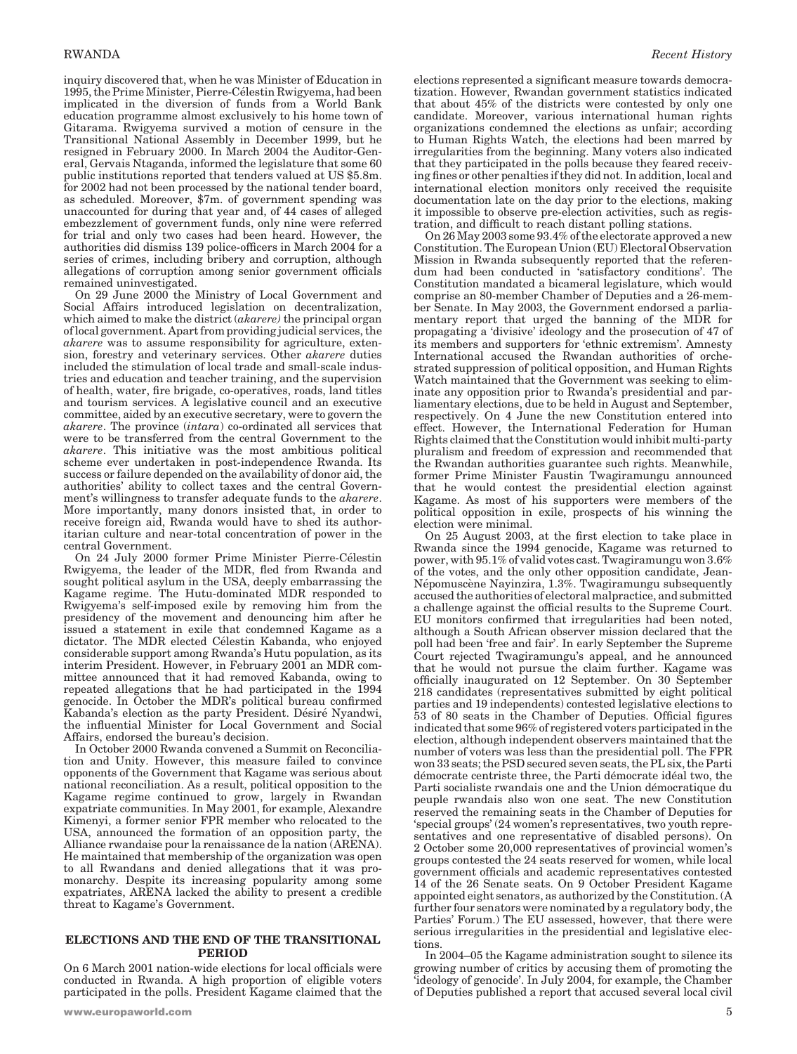inquiry discovered that, when he was Minister of Education in 1995, the Prime Minister, Pierre-Célestin Rwigyema, had been implicated in the diversion of funds from a World Bank education programme almost exclusively to his home town of Gitarama. Rwigyema survived a motion of censure in the Transitional National Assembly in December 1999, but he resigned in February 2000. In March 2004 the Auditor-General, Gervais Ntaganda, informed the legislature that some 60 public institutions reported that tenders valued at US \$5.8m. for 2002 had not been processed by the national tender board, as scheduled. Moreover, \$7m. of government spending was unaccounted for during that year and, of 44 cases of alleged embezzlement of government funds, only nine were referred for trial and only two cases had been heard. However, the authorities did dismiss 139 police-officers in March 2004 for a series of crimes, including bribery and corruption, although allegations of corruption among senior government officials remained uninvestigated.

On 29 June 2000 the Ministry of Local Government and Social Affairs introduced legislation on decentralization, which aimed to make the district (akarere) the principal organ of local government. Apart from providing judicial services, the akarere was to assume responsibility for agriculture, extension, forestry and veterinary services. Other *akarere* duties included the stimulation of local trade and small-scale industries and education and teacher training, and the supervision of health, water, fire brigade, co-operatives, roads, land titles and tourism services. A legislative council and an executive committee, aided by an executive secretary, were to govern the akarere. The province (intara) co-ordinated all services that were to be transferred from the central Government to the akarere. This initiative was the most ambitious political scheme ever undertaken in post-independence Rwanda. Its success or failure depended on the availability of donor aid, the authorities' ability to collect taxes and the central Government's willingness to transfer adequate funds to the *akarere*. More importantly, many donors insisted that, in order to receive foreign aid, Rwanda would have to shed its authoritarian culture and near-total concentration of power in the central Government.

On 24 July 2000 former Prime Minister Pierre-Célestin Rwigyema, the leader of the MDR, fled from Rwanda and sought political asylum in the USA, deeply embarrassing the Kagame regime. The Hutu-dominated MDR responded to Rwigyema's self-imposed exile by removing him from the presidency of the movement and denouncing him after he issued a statement in exile that condemned Kagame as a dictator. The MDR elected Célestin Kabanda, who enjoyed considerable support among Rwanda's Hutu population, as its interim President. However, in February 2001 an MDR committee announced that it had removed Kabanda, owing to repeated allegations that he had participated in the 1994 genocide. In October the MDR's political bureau confirmed Kabanda's election as the party President. Désiré Nyandwi, the influential Minister for Local Government and Social Affairs, endorsed the bureau's decision.

In October 2000 Rwanda convened a Summit on Reconciliation and Unity. However, this measure failed to convince opponents of the Government that Kagame was serious about national reconciliation. As a result, political opposition to the Kagame regime continued to grow, largely in Rwandan expatriate communities. In May 2001, for example, Alexandre Kimenyi, a former senior FPR member who relocated to the USA, announced the formation of an opposition party, the Alliance rwandaise pour la renaissance de la nation (ARENA). He maintained that membership of the organization was open to all Rwandans and denied allegations that it was promonarchy. Despite its increasing popularity among some expatriates, ARENA lacked the ability to present a credible threat to Kagame's Government.

### ELECTIONS AND THE END OF THE TRANSITIONAL PERIOD

On 6 March 2001 nation-wide elections for local officials were conducted in Rwanda. A high proportion of eligible voters participated in the polls. President Kagame claimed that the

elections represented a significant measure towards democratization. However, Rwandan government statistics indicated that about 45% of the districts were contested by only one candidate. Moreover, various international human rights organizations condemned the elections as unfair; according to Human Rights Watch, the elections had been marred by irregularities from the beginning. Many voters also indicated that they participated in the polls because they feared receiving fines or other penalties if they did not. In addition, local and international election monitors only received the requisite documentation late on the day prior to the elections, making it impossible to observe pre-election activities, such as registration, and difficult to reach distant polling stations.

On 26 May 2003 some 93.4% of the electorate approved a new Constitution. The European Union (EU) Electoral Observation Mission in Rwanda subsequently reported that the referendum had been conducted in 'satisfactory conditions'. The Constitution mandated a bicameral legislature, which would comprise an 80-member Chamber of Deputies and a 26-member Senate. In May 2003, the Government endorsed a parliamentary report that urged the banning of the MDR for propagating a 'divisive' ideology and the prosecution of 47 of its members and supporters for 'ethnic extremism'. Amnesty International accused the Rwandan authorities of orchestrated suppression of political opposition, and Human Rights Watch maintained that the Government was seeking to eliminate any opposition prior to Rwanda's presidential and parliamentary elections, due to be held in August and September, respectively. On 4 June the new Constitution entered into effect. However, the International Federation for Human Rights claimed that the Constitution would inhibit multi-party pluralism and freedom of expression and recommended that the Rwandan authorities guarantee such rights. Meanwhile, former Prime Minister Faustin Twagiramungu announced that he would contest the presidential election against Kagame. As most of his supporters were members of the political opposition in exile, prospects of his winning the election were minimal.

On 25 August 2003, at the first election to take place in Rwanda since the 1994 genocide, Kagame was returned to power, with 95.1% of valid votes cast. Twagiramungu won 3.6% of the votes, and the only other opposition candidate, Jean-Népomuscène Navinzira, 1.3%. Twagiramungu subsequently accused the authorities of electoral malpractice, and submitted a challenge against the official results to the Supreme Court. EU monitors confirmed that irregularities had been noted, although a South African observer mission declared that the poll had been 'free and fair'. In early September the Supreme Court rejected Twagiramungu's appeal, and he announced that he would not pursue the claim further. Kagame was officially inaugurated on 12 September. On 30 September 218 candidates (representatives submitted by eight political parties and 19 independents) contested legislative elections to 53 of 80 seats in the Chamber of Deputies. Official figures indicated that some 96% of registered voters participated in the election, although independent observers maintained that the number of voters was less than the presidential poll. The FPR won 33 seats; the PSD secured seven seats, the PL six, the Parti démocrate centriste three, the Parti démocrate idéal two, the Parti socialiste rwandais one and the Union démocratique du peuple rwandais also won one seat. The new Constitution reserved the remaining seats in the Chamber of Deputies for 'special groups' (24 women's representatives, two youth representatives and one representative of disabled persons). On 2 October some 20,000 representatives of provincial women's groups contested the 24 seats reserved for women, while local government officials and academic representatives contested 14 of the 26 Senate seats. On 9 October President Kagame appointed eight senators, as authorized by the Constitution. (A further four senators were nominated by a regulatory body, the Parties' Forum.) The EU assessed, however, that there were serious irregularities in the presidential and legislative elections.

In 2004–05 the Kagame administration sought to silence its growing number of critics by accusing them of promoting the 'ideology of genocide'. In July 2004, for example, the Chamber of Deputies published a report that accused several local civil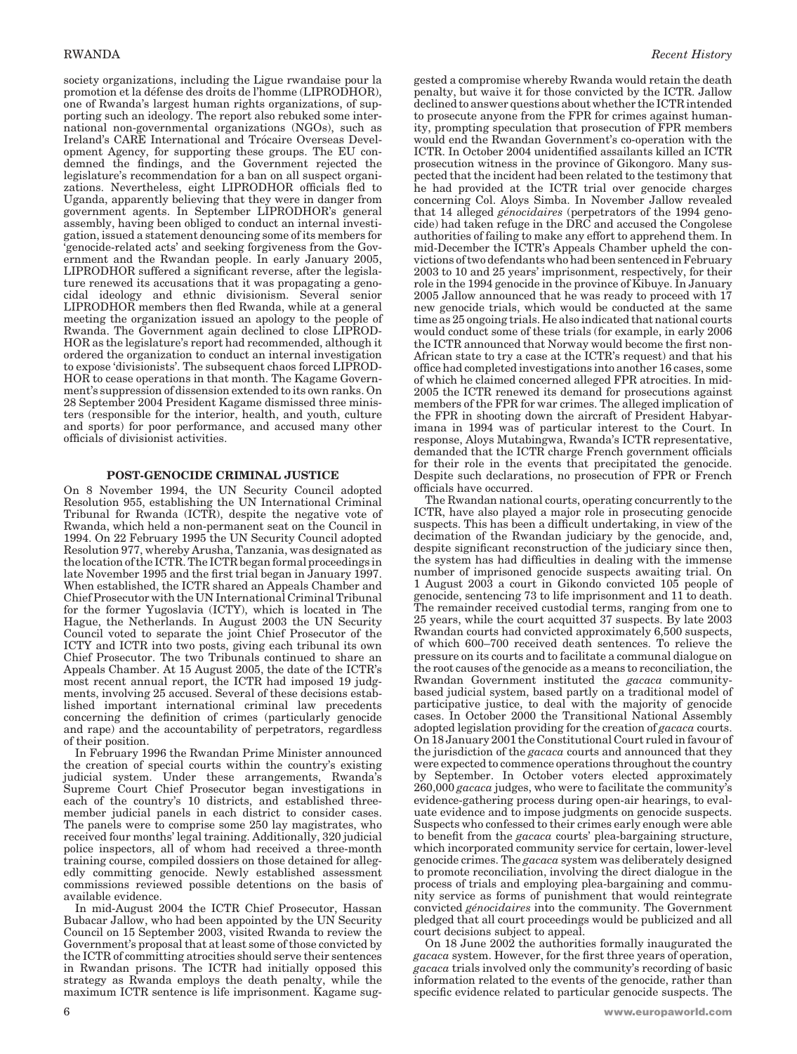society organizations, including the Ligue rwandaise pour la promotion et la de´fense des droits de l'homme (LIPRODHOR), one of Rwanda's largest human rights organizations, of supporting such an ideology. The report also rebuked some international non-governmental organizations (NGOs), such as Ireland's CARE International and Trócaire Overseas Development Agency, for supporting these groups. The EU condemned the findings, and the Government rejected the legislature's recommendation for a ban on all suspect organizations. Nevertheless, eight LIPRODHOR officials fled to Uganda, apparently believing that they were in danger from government agents. In September LIPRODHOR's general assembly, having been obliged to conduct an internal investigation, issued a statement denouncing some of its members for 'genocide-related acts' and seeking forgiveness from the Government and the Rwandan people. In early January 2005, LIPRODHOR suffered a significant reverse, after the legislature renewed its accusations that it was propagating a genocidal ideology and ethnic divisionism. Several senior LIPRODHOR members then fled Rwanda, while at a general meeting the organization issued an apology to the people of Rwanda. The Government again declined to close LIPROD-HOR as the legislature's report had recommended, although it ordered the organization to conduct an internal investigation to expose 'divisionists'. The subsequent chaos forced LIPROD-HOR to cease operations in that month. The Kagame Government's suppression of dissension extended to its own ranks. On 28 September 2004 President Kagame dismissed three ministers (responsible for the interior, health, and youth, culture and sports) for poor performance, and accused many other officials of divisionist activities.

### POST-GENOCIDE CRIMINAL JUSTICE

On 8 November 1994, the UN Security Council adopted Resolution 955, establishing the UN International Criminal Tribunal for Rwanda (ICTR), despite the negative vote of Rwanda, which held a non-permanent seat on the Council in 1994. On 22 February 1995 the UN Security Council adopted Resolution 977, whereby Arusha, Tanzania, was designated as the location of the ICTR. The ICTR began formal proceedings in late November 1995 and the first trial began in January 1997. When established, the ICTR shared an Appeals Chamber and Chief Prosecutor with the UN International Criminal Tribunal for the former Yugoslavia (ICTY), which is located in The Hague, the Netherlands. In August 2003 the UN Security Council voted to separate the joint Chief Prosecutor of the ICTY and ICTR into two posts, giving each tribunal its own Chief Prosecutor. The two Tribunals continued to share an Appeals Chamber. At 15 August 2005, the date of the ICTR's most recent annual report, the ICTR had imposed 19 judgments, involving 25 accused. Several of these decisions established important international criminal law precedents concerning the definition of crimes (particularly genocide and rape) and the accountability of perpetrators, regardless of their position.

In February 1996 the Rwandan Prime Minister announced the creation of special courts within the country's existing judicial system. Under these arrangements, Rwanda's Supreme Court Chief Prosecutor began investigations in each of the country's 10 districts, and established threemember judicial panels in each district to consider cases. The panels were to comprise some 250 lay magistrates, who received four months' legal training. Additionally, 320 judicial police inspectors, all of whom had received a three-month training course, compiled dossiers on those detained for allegedly committing genocide. Newly established assessment commissions reviewed possible detentions on the basis of available evidence.

In mid-August 2004 the ICTR Chief Prosecutor, Hassan Bubacar Jallow, who had been appointed by the UN Security Council on 15 September 2003, visited Rwanda to review the Government's proposal that at least some of those convicted by the ICTR of committing atrocities should serve their sentences in Rwandan prisons. The ICTR had initially opposed this strategy as Rwanda employs the death penalty, while the maximum ICTR sentence is life imprisonment. Kagame sug-

gested a compromise whereby Rwanda would retain the death penalty, but waive it for those convicted by the ICTR. Jallow declined to answer questions about whether the ICTR intended to prosecute anyone from the FPR for crimes against humanity, prompting speculation that prosecution of FPR members would end the Rwandan Government's co-operation with the ICTR. In October 2004 unidentified assailants killed an ICTR prosecution witness in the province of Gikongoro. Many suspected that the incident had been related to the testimony that he had provided at the ICTR trial over genocide charges concerning Col. Aloys Simba. In November Jallow revealed that 14 alleged *génocidaires* (perpetrators of the 1994 genocide) had taken refuge in the DRC and accused the Congolese authorities of failing to make any effort to apprehend them. In mid-December the ICTR's Appeals Chamber upheld the convictions of two defendants who had been sentenced in February 2003 to 10 and 25 years' imprisonment, respectively, for their role in the 1994 genocide in the province of Kibuye. In January 2005 Jallow announced that he was ready to proceed with 17 new genocide trials, which would be conducted at the same time as 25 ongoing trials. He also indicated that national courts would conduct some of these trials (for example, in early 2006 the ICTR announced that Norway would become the first non-African state to try a case at the ICTR's request) and that his office had completed investigations into another 16 cases, some of which he claimed concerned alleged FPR atrocities. In mid-2005 the ICTR renewed its demand for prosecutions against members of the FPR for war crimes. The alleged implication of the FPR in shooting down the aircraft of President Habyarimana in 1994 was of particular interest to the Court. In response, Aloys Mutabingwa, Rwanda's ICTR representative, demanded that the ICTR charge French government officials for their role in the events that precipitated the genocide. Despite such declarations, no prosecution of FPR or French officials have occurred.

The Rwandan national courts, operating concurrently to the ICTR, have also played a major role in prosecuting genocide suspects. This has been a difficult undertaking, in view of the decimation of the Rwandan judiciary by the genocide, and, despite significant reconstruction of the judiciary since then. the system has had difficulties in dealing with the immense number of imprisoned genocide suspects awaiting trial. On 1 August 2003 a court in Gikondo convicted 105 people of genocide, sentencing 73 to life imprisonment and 11 to death. The remainder received custodial terms, ranging from one to 25 years, while the court acquitted 37 suspects. By late 2003 Rwandan courts had convicted approximately 6,500 suspects, of which 600–700 received death sentences. To relieve the pressure on its courts and to facilitate a communal dialogue on the root causes of the genocide as a means to reconciliation, the Rwandan Government instituted the gacaca communitybased judicial system, based partly on a traditional model of participative justice, to deal with the majority of genocide cases. In October 2000 the Transitional National Assembly adopted legislation providing for the creation of *gacaca* courts. On 18 January 2001 the Constitutional Court ruled in favour of the jurisdiction of the gacaca courts and announced that they were expected to commence operations throughout the country by September. In October voters elected approximately 260,000 gacaca judges, who were to facilitate the community's evidence-gathering process during open-air hearings, to evaluate evidence and to impose judgments on genocide suspects. Suspects who confessed to their crimes early enough were able to benefit from the gacaca courts' plea-bargaining structure, which incorporated community service for certain, lower-level genocide crimes. The gacaca system was deliberately designed to promote reconciliation, involving the direct dialogue in the process of trials and employing plea-bargaining and community service as forms of punishment that would reintegrate convicted génocidaires into the community. The Government pledged that all court proceedings would be publicized and all court decisions subject to appeal.

On 18 June 2002 the authorities formally inaugurated the gacaca system. However, for the first three years of operation, gacaca trials involved only the community's recording of basic information related to the events of the genocide, rather than specific evidence related to particular genocide suspects. The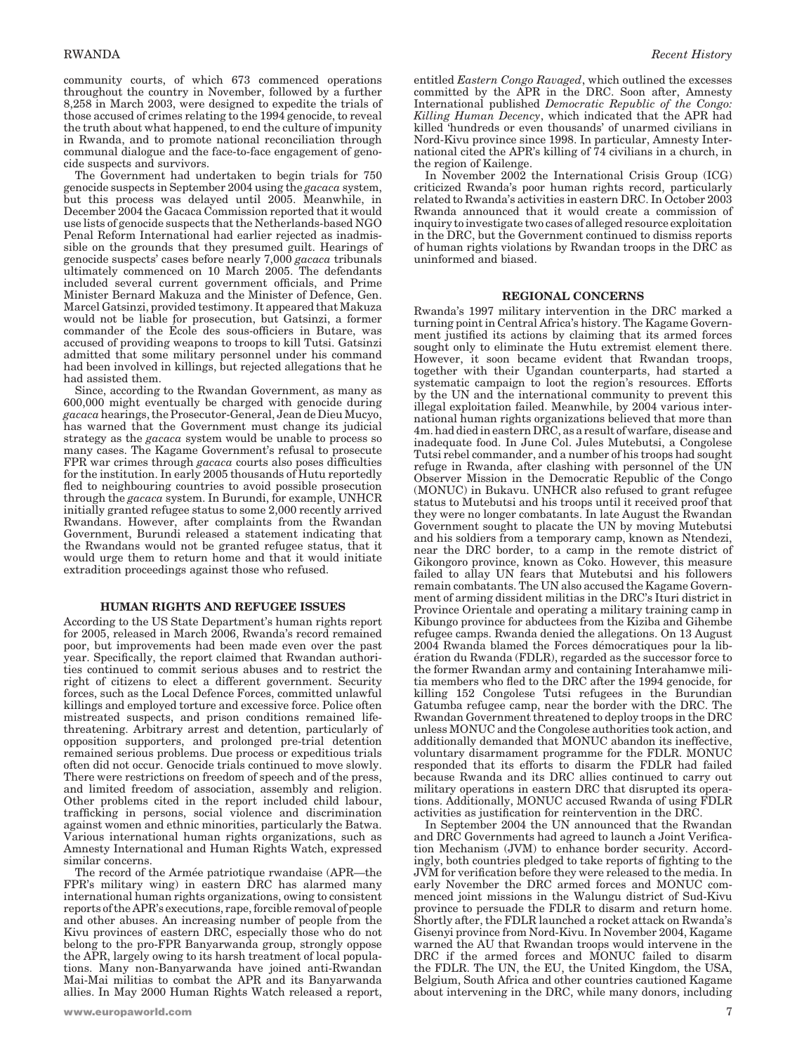community courts, of which 673 commenced operations throughout the country in November, followed by a further 8,258 in March 2003, were designed to expedite the trials of those accused of crimes relating to the 1994 genocide, to reveal the truth about what happened, to end the culture of impunity in Rwanda, and to promote national reconciliation through communal dialogue and the face-to-face engagement of genocide suspects and survivors.

The Government had undertaken to begin trials for 750 genocide suspects in September 2004 using the gacaca system, but this process was delayed until 2005. Meanwhile, in December 2004 the Gacaca Commission reported that it would use lists of genocide suspects that the Netherlands-based NGO Penal Reform International had earlier rejected as inadmissible on the grounds that they presumed guilt. Hearings of genocide suspects' cases before nearly 7,000 gacaca tribunals ultimately commenced on 10 March 2005. The defendants included several current government officials, and Prime Minister Bernard Makuza and the Minister of Defence, Gen. Marcel Gatsinzi, provided testimony. It appeared that Makuza would not be liable for prosecution, but Gatsinzi, a former commander of the École des sous-officiers in Butare, was accused of providing weapons to troops to kill Tutsi. Gatsinzi admitted that some military personnel under his command had been involved in killings, but rejected allegations that he had assisted them.

Since, according to the Rwandan Government, as many as 600,000 might eventually be charged with genocide during gacaca hearings, the Prosecutor-General, Jean de Dieu Mucyo, has warned that the Government must change its judicial strategy as the *gacaca* system would be unable to process so many cases. The Kagame Government's refusal to prosecute FPR war crimes through *gacaca* courts also poses difficulties for the institution. In early 2005 thousands of Hutu reportedly fled to neighbouring countries to avoid possible prosecution through the gacaca system. In Burundi, for example, UNHCR initially granted refugee status to some 2,000 recently arrived Rwandans. However, after complaints from the Rwandan Government, Burundi released a statement indicating that the Rwandans would not be granted refugee status, that it would urge them to return home and that it would initiate extradition proceedings against those who refused.

#### HUMAN RIGHTS AND REFUGEE ISSUES

According to the US State Department's human rights report for 2005, released in March 2006, Rwanda's record remained poor, but improvements had been made even over the past year. Specifically, the report claimed that Rwandan authorities continued to commit serious abuses and to restrict the right of citizens to elect a different government. Security forces, such as the Local Defence Forces, committed unlawful killings and employed torture and excessive force. Police often mistreated suspects, and prison conditions remained lifethreatening. Arbitrary arrest and detention, particularly of opposition supporters, and prolonged pre-trial detention remained serious problems. Due process or expeditious trials often did not occur. Genocide trials continued to move slowly. There were restrictions on freedom of speech and of the press, and limited freedom of association, assembly and religion. Other problems cited in the report included child labour, trafficking in persons, social violence and discrimination against women and ethnic minorities, particularly the Batwa. Various international human rights organizations, such as Amnesty International and Human Rights Watch, expressed similar concerns.

The record of the Armée patriotique rwandaise (APR—the FPR's military wing) in eastern DRC has alarmed many international human rights organizations, owing to consistent reports of the APR's executions, rape, forcible removal of people and other abuses. An increasing number of people from the Kivu provinces of eastern DRC, especially those who do not belong to the pro-FPR Banyarwanda group, strongly oppose the APR, largely owing to its harsh treatment of local populations. Many non-Banyarwanda have joined anti-Rwandan Mai-Mai militias to combat the APR and its Banyarwanda allies. In May 2000 Human Rights Watch released a report,

entitled Eastern Congo Ravaged, which outlined the excesses committed by the APR in the DRC. Soon after, Amnesty International published Democratic Republic of the Congo: Killing Human Decency, which indicated that the APR had killed 'hundreds or even thousands' of unarmed civilians in Nord-Kivu province since 1998. In particular, Amnesty International cited the APR's killing of 74 civilians in a church, in the region of Kailenge.

In November 2002 the International Crisis Group (ICG) criticized Rwanda's poor human rights record, particularly related to Rwanda's activities in eastern DRC. In October 2003 Rwanda announced that it would create a commission of inquiry to investigate two cases of alleged resource exploitation in the DRC, but the Government continued to dismiss reports of human rights violations by Rwandan troops in the DRC as uninformed and biased.

#### REGIONAL CONCERNS

Rwanda's 1997 military intervention in the DRC marked a turning point in Central Africa's history. The Kagame Government justified its actions by claiming that its armed forces sought only to eliminate the Hutu extremist element there. However, it soon became evident that Rwandan troops, together with their Ugandan counterparts, had started a systematic campaign to loot the region's resources. Efforts by the UN and the international community to prevent this illegal exploitation failed. Meanwhile, by 2004 various international human rights organizations believed that more than 4m. had died in eastern DRC, as a result of warfare, disease and inadequate food. In June Col. Jules Mutebutsi, a Congolese Tutsi rebel commander, and a number of his troops had sought refuge in Rwanda, after clashing with personnel of the UN Observer Mission in the Democratic Republic of the Congo (MONUC) in Bukavu. UNHCR also refused to grant refugee status to Mutebutsi and his troops until it received proof that they were no longer combatants. In late August the Rwandan Government sought to placate the UN by moving Mutebutsi and his soldiers from a temporary camp, known as Ntendezi, near the DRC border, to a camp in the remote district of Gikongoro province, known as Coko. However, this measure failed to allay UN fears that Mutebutsi and his followers remain combatants. The UN also accused the Kagame Government of arming dissident militias in the DRC's Ituri district in Province Orientale and operating a military training camp in Kibungo province for abductees from the Kiziba and Gihembe refugee camps. Rwanda denied the allegations. On 13 August 2004 Rwanda blamed the Forces démocratiques pour la libe´ration du Rwanda (FDLR), regarded as the successor force to the former Rwandan army and containing Interahamwe militia members who fled to the DRC after the 1994 genocide, for killing 152 Congolese Tutsi refugees in the Burundian Gatumba refugee camp, near the border with the DRC. The Rwandan Government threatened to deploy troops in the DRC unless MONUC and the Congolese authorities took action, and additionally demanded that MONUC abandon its ineffective, voluntary disarmament programme for the FDLR. MONUC responded that its efforts to disarm the FDLR had failed because Rwanda and its DRC allies continued to carry out military operations in eastern DRC that disrupted its operations. Additionally, MONUC accused Rwanda of using FDLR activities as justification for reintervention in the DRC.

In September 2004 the UN announced that the Rwandan and DRC Governments had agreed to launch a Joint Verification Mechanism (JVM) to enhance border security. Accordingly, both countries pledged to take reports of fighting to the JVM for verification before they were released to the media. In early November the DRC armed forces and MONUC commenced joint missions in the Walungu district of Sud-Kivu province to persuade the FDLR to disarm and return home. Shortly after, the FDLR launched a rocket attack on Rwanda's Gisenyi province from Nord-Kivu. In November 2004, Kagame warned the AU that Rwandan troops would intervene in the DRC if the armed forces and MONUC failed to disarm the FDLR. The UN, the EU, the United Kingdom, the USA, Belgium, South Africa and other countries cautioned Kagame about intervening in the DRC, while many donors, including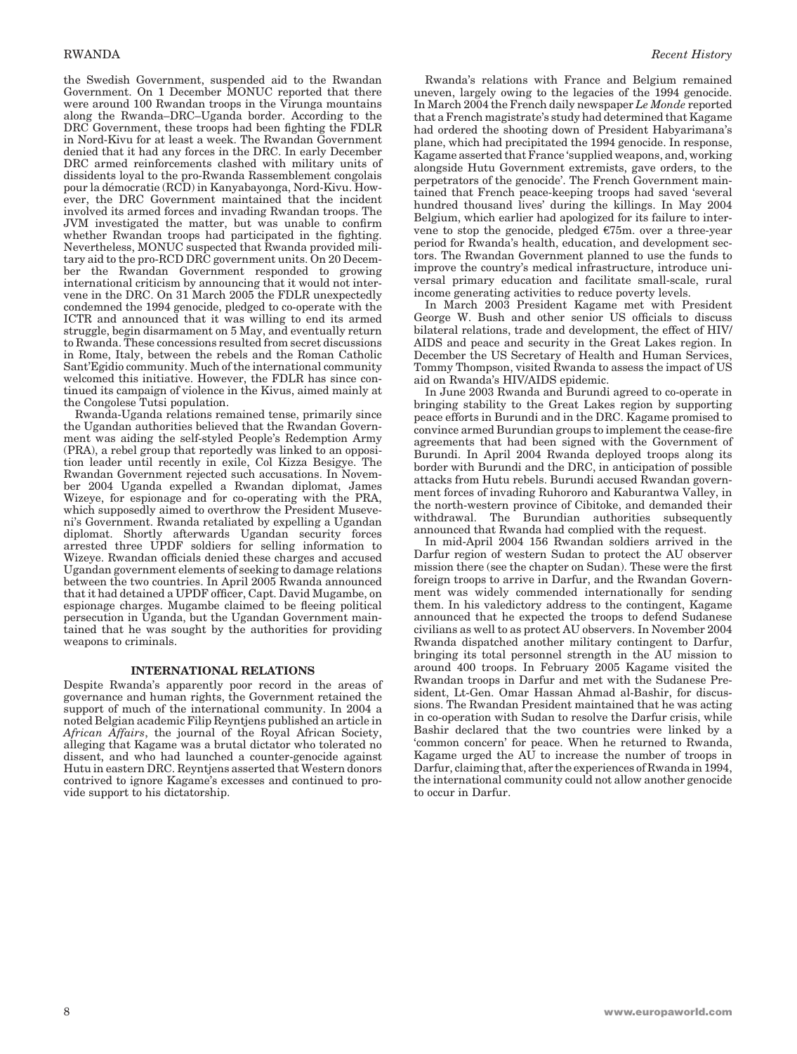the Swedish Government, suspended aid to the Rwandan Government. On 1 December MONUC reported that there were around 100 Rwandan troops in the Virunga mountains along the Rwanda–DRC–Uganda border. According to the DRC Government, these troops had been fighting the FDLR in Nord-Kivu for at least a week. The Rwandan Government denied that it had any forces in the DRC. In early December DRC armed reinforcements clashed with military units of dissidents loyal to the pro-Rwanda Rassemblement congolais pour la démocratie (RCD) in Kanyabayonga, Nord-Kivu. However, the DRC Government maintained that the incident involved its armed forces and invading Rwandan troops. The JVM investigated the matter, but was unable to confirm whether Rwandan troops had participated in the fighting. Nevertheless, MONUC suspected that Rwanda provided military aid to the pro-RCD DRC government units. On 20 December the Rwandan Government responded to growing international criticism by announcing that it would not intervene in the DRC. On 31 March 2005 the FDLR unexpectedly condemned the 1994 genocide, pledged to co-operate with the ICTR and announced that it was willing to end its armed struggle, begin disarmament on 5 May, and eventually return to Rwanda. These concessions resulted from secret discussions in Rome, Italy, between the rebels and the Roman Catholic Sant'Egidio community. Much of the international community welcomed this initiative. However, the FDLR has since continued its campaign of violence in the Kivus, aimed mainly at the Congolese Tutsi population.

Rwanda-Uganda relations remained tense, primarily since the Ugandan authorities believed that the Rwandan Government was aiding the self-styled People's Redemption Army (PRA), a rebel group that reportedly was linked to an opposition leader until recently in exile, Col Kizza Besigye. The Rwandan Government rejected such accusations. In November 2004 Uganda expelled a Rwandan diplomat, James Wizeye, for espionage and for co-operating with the PRA, which supposedly aimed to overthrow the President Museveni's Government. Rwanda retaliated by expelling a Ugandan diplomat. Shortly afterwards Ugandan security forces arrested three UPDF soldiers for selling information to Wizeye. Rwandan officials denied these charges and accused Ugandan government elements of seeking to damage relations between the two countries. In April 2005 Rwanda announced that it had detained a UPDF officer, Capt. David Mugambe, on espionage charges. Mugambe claimed to be fleeing political persecution in Uganda, but the Ugandan Government maintained that he was sought by the authorities for providing weapons to criminals.

#### INTERNATIONAL RELATIONS

Despite Rwanda's apparently poor record in the areas of governance and human rights, the Government retained the support of much of the international community. In 2004 a noted Belgian academic Filip Reyntjens published an article in African Affairs, the journal of the Royal African Society, alleging that Kagame was a brutal dictator who tolerated no dissent, and who had launched a counter-genocide against Hutu in eastern DRC. Reyntjens asserted that Western donors contrived to ignore Kagame's excesses and continued to provide support to his dictatorship.

Rwanda's relations with France and Belgium remained uneven, largely owing to the legacies of the 1994 genocide. In March 2004 the French daily newspaper Le Monde reported that a French magistrate's study had determined that Kagame had ordered the shooting down of President Habyarimana's plane, which had precipitated the 1994 genocide. In response, Kagame asserted that France 'supplied weapons, and, working alongside Hutu Government extremists, gave orders, to the perpetrators of the genocide'. The French Government maintained that French peace-keeping troops had saved 'several hundred thousand lives' during the killings. In May 2004 Belgium, which earlier had apologized for its failure to intervene to stop the genocide, pledged  $E75m$ . over a three-year period for Rwanda's health, education, and development sectors. The Rwandan Government planned to use the funds to improve the country's medical infrastructure, introduce universal primary education and facilitate small-scale, rural income generating activities to reduce poverty levels.

In March 2003 President Kagame met with President George W. Bush and other senior US officials to discuss bilateral relations, trade and development, the effect of HIV/ AIDS and peace and security in the Great Lakes region. In December the US Secretary of Health and Human Services, Tommy Thompson, visited Rwanda to assess the impact of US aid on Rwanda's HIV/AIDS epidemic.

In June 2003 Rwanda and Burundi agreed to co-operate in bringing stability to the Great Lakes region by supporting peace efforts in Burundi and in the DRC. Kagame promised to convince armed Burundian groups to implement the cease-fire agreements that had been signed with the Government of Burundi. In April 2004 Rwanda deployed troops along its border with Burundi and the DRC, in anticipation of possible attacks from Hutu rebels. Burundi accused Rwandan government forces of invading Ruhororo and Kaburantwa Valley, in the north-western province of Cibitoke, and demanded their withdrawal. The Burundian authorities subsequently announced that Rwanda had complied with the request.

In mid-April 2004 156 Rwandan soldiers arrived in the Darfur region of western Sudan to protect the AU observer mission there (see the chapter on Sudan). These were the first foreign troops to arrive in Darfur, and the Rwandan Government was widely commended internationally for sending them. In his valedictory address to the contingent, Kagame announced that he expected the troops to defend Sudanese civilians as well to as protect AU observers. In November 2004 Rwanda dispatched another military contingent to Darfur, bringing its total personnel strength in the AU mission to around 400 troops. In February 2005 Kagame visited the Rwandan troops in Darfur and met with the Sudanese President, Lt-Gen. Omar Hassan Ahmad al-Bashir, for discussions. The Rwandan President maintained that he was acting in co-operation with Sudan to resolve the Darfur crisis, while Bashir declared that the two countries were linked by a 'common concern' for peace. When he returned to Rwanda, Kagame urged the AU to increase the number of troops in Darfur, claiming that, after the experiences of Rwanda in 1994, the international community could not allow another genocide to occur in Darfur.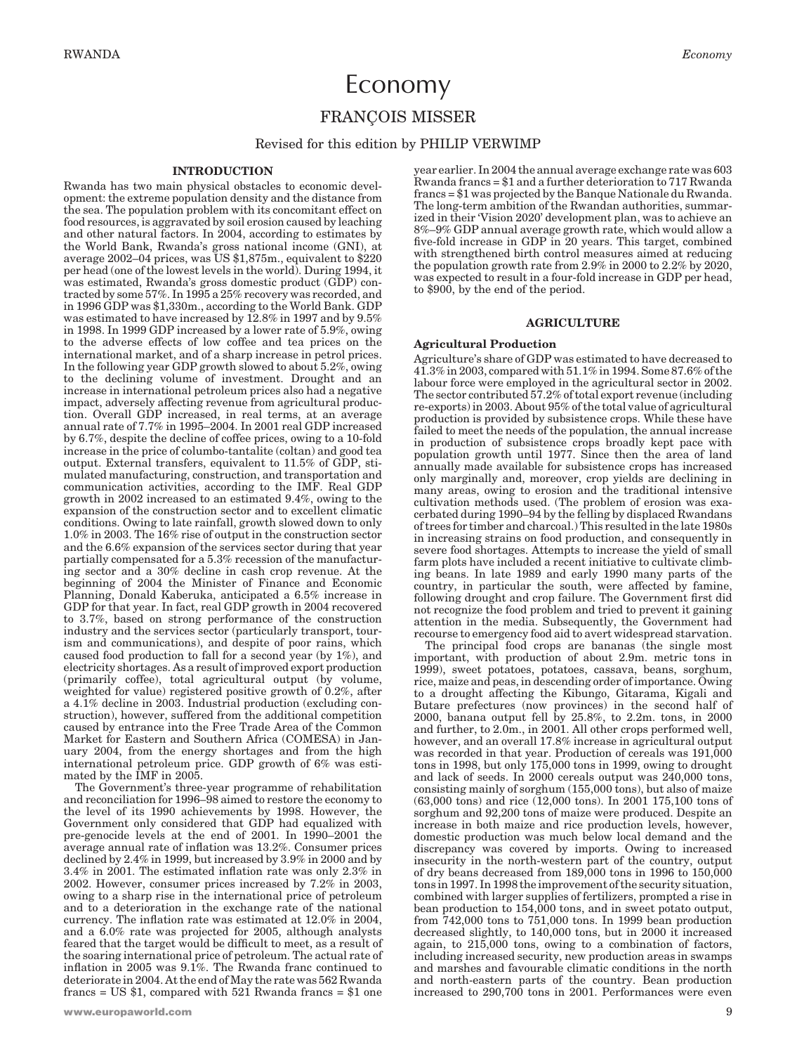## Economy FRANCOIS MISSER

Revised for this edition by PHILIP VERWIMP

#### INTRODUCTION

Rwanda has two main physical obstacles to economic development: the extreme population density and the distance from the sea. The population problem with its concomitant effect on food resources, is aggravated by soil erosion caused by leaching and other natural factors. In 2004, according to estimates by the World Bank, Rwanda's gross national income (GNI), at average 2002–04 prices, was US \$1,875m., equivalent to \$220 per head (one of the lowest levels in the world). During 1994, it was estimated, Rwanda's gross domestic product (GDP) contracted by some 57%. In 1995 a 25% recovery was recorded, and in 1996 GDP was \$1,330m., according to the World Bank. GDP was estimated to have increased by 12.8% in 1997 and by 9.5% in 1998. In 1999 GDP increased by a lower rate of 5.9%, owing to the adverse effects of low coffee and tea prices on the international market, and of a sharp increase in petrol prices. In the following year GDP growth slowed to about 5.2%, owing to the declining volume of investment. Drought and an increase in international petroleum prices also had a negative impact, adversely affecting revenue from agricultural production. Overall GDP increased, in real terms, at an average annual rate of 7.7% in 1995–2004. In 2001 real GDP increased by 6.7%, despite the decline of coffee prices, owing to a 10-fold increase in the price of columbo-tantalite (coltan) and good tea output. External transfers, equivalent to 11.5% of GDP, stimulated manufacturing, construction, and transportation and communication activities, according to the IMF. Real GDP growth in 2002 increased to an estimated 9.4%, owing to the expansion of the construction sector and to excellent climatic conditions. Owing to late rainfall, growth slowed down to only 1.0% in 2003. The 16% rise of output in the construction sector and the 6.6% expansion of the services sector during that year partially compensated for a 5.3% recession of the manufacturing sector and a 30% decline in cash crop revenue. At the beginning of 2004 the Minister of Finance and Economic Planning, Donald Kaberuka, anticipated a 6.5% increase in GDP for that year. In fact, real GDP growth in 2004 recovered to 3.7%, based on strong performance of the construction industry and the services sector (particularly transport, tourism and communications), and despite of poor rains, which caused food production to fall for a second year (by 1%), and electricity shortages. As a result of improved export production (primarily coffee), total agricultural output (by volume, weighted for value) registered positive growth of 0.2%, after a 4.1% decline in 2003. Industrial production (excluding construction), however, suffered from the additional competition caused by entrance into the Free Trade Area of the Common Market for Eastern and Southern Africa (COMESA) in January 2004, from the energy shortages and from the high international petroleum price. GDP growth of 6% was estimated by the IMF in 2005.

The Government's three-year programme of rehabilitation and reconciliation for 1996–98 aimed to restore the economy to the level of its 1990 achievements by 1998. However, the Government only considered that GDP had equalized with pre-genocide levels at the end of 2001. In 1990–2001 the average annual rate of inflation was 13.2%. Consumer prices declined by 2.4% in 1999, but increased by 3.9% in 2000 and by 3.4% in 2001. The estimated inflation rate was only 2.3% in 2002. However, consumer prices increased by 7.2% in 2003, owing to a sharp rise in the international price of petroleum and to a deterioration in the exchange rate of the national currency. The inflation rate was estimated at 12.0% in 2004, and a 6.0% rate was projected for 2005, although analysts feared that the target would be difficult to meet, as a result of the soaring international price of petroleum. The actual rate of inflation in 2005 was 9.1%. The Rwanda franc continued to deteriorate in 2004. At the end of May the rate was 562 Rwanda francs =  $US $1$ , compared with  $521$  Rwanda francs = \$1 one

year earlier. In 2004 the annual average exchange rate was 603 Rwanda francs = \$1 and a further deterioration to 717 Rwanda francs = \$1 was projected by the Banque Nationale du Rwanda. The long-term ambition of the Rwandan authorities, summarized in their 'Vision 2020' development plan, was to achieve an 8%–9% GDP annual average growth rate, which would allow a five-fold increase in GDP in 20 years. This target, combined with strengthened birth control measures aimed at reducing the population growth rate from 2.9% in 2000 to 2.2% by 2020, was expected to result in a four-fold increase in GDP per head, to \$900, by the end of the period.

### AGRICULTURE

#### Agricultural Production

Agriculture's share of GDP was estimated to have decreased to 41.3% in 2003, compared with 51.1% in 1994. Some 87.6% of the labour force were employed in the agricultural sector in 2002. The sector contributed 57.2% of total export revenue (including re-exports) in 2003. About 95% of the total value of agricultural production is provided by subsistence crops. While these have failed to meet the needs of the population, the annual increase in production of subsistence crops broadly kept pace with population growth until 1977. Since then the area of land annually made available for subsistence crops has increased only marginally and, moreover, crop yields are declining in many areas, owing to erosion and the traditional intensive cultivation methods used. (The problem of erosion was exacerbated during 1990–94 by the felling by displaced Rwandans of trees for timber and charcoal.) This resulted in the late 1980s in increasing strains on food production, and consequently in severe food shortages. Attempts to increase the yield of small farm plots have included a recent initiative to cultivate climbing beans. In late 1989 and early 1990 many parts of the country, in particular the south, were affected by famine, following drought and crop failure. The Government first did not recognize the food problem and tried to prevent it gaining attention in the media. Subsequently, the Government had recourse to emergency food aid to avert widespread starvation.

The principal food crops are bananas (the single most important, with production of about 2.9m. metric tons in 1999), sweet potatoes, potatoes, cassava, beans, sorghum, rice, maize and peas, in descending order of importance. Owing to a drought affecting the Kibungo, Gitarama, Kigali and Butare prefectures (now provinces) in the second half of 2000, banana output fell by 25.8%, to 2.2m. tons, in 2000 and further, to 2.0m., in 2001. All other crops performed well, however, and an overall 17.8% increase in agricultural output was recorded in that year. Production of cereals was 191,000 tons in 1998, but only 175,000 tons in 1999, owing to drought and lack of seeds. In 2000 cereals output was 240,000 tons, consisting mainly of sorghum (155,000 tons), but also of maize (63,000 tons) and rice (12,000 tons). In 2001 175,100 tons of sorghum and 92,200 tons of maize were produced. Despite an increase in both maize and rice production levels, however, domestic production was much below local demand and the discrepancy was covered by imports. Owing to increased insecurity in the north-western part of the country, output of dry beans decreased from 189,000 tons in 1996 to 150,000 tons in 1997. In 1998 the improvement of the security situation, combined with larger supplies of fertilizers, prompted a rise in bean production to 154,000 tons, and in sweet potato output, from 742,000 tons to 751,000 tons. In 1999 bean production decreased slightly, to 140,000 tons, but in 2000 it increased again, to 215,000 tons, owing to a combination of factors, including increased security, new production areas in swamps and marshes and favourable climatic conditions in the north and north-eastern parts of the country. Bean production increased to 290,700 tons in 2001. Performances were even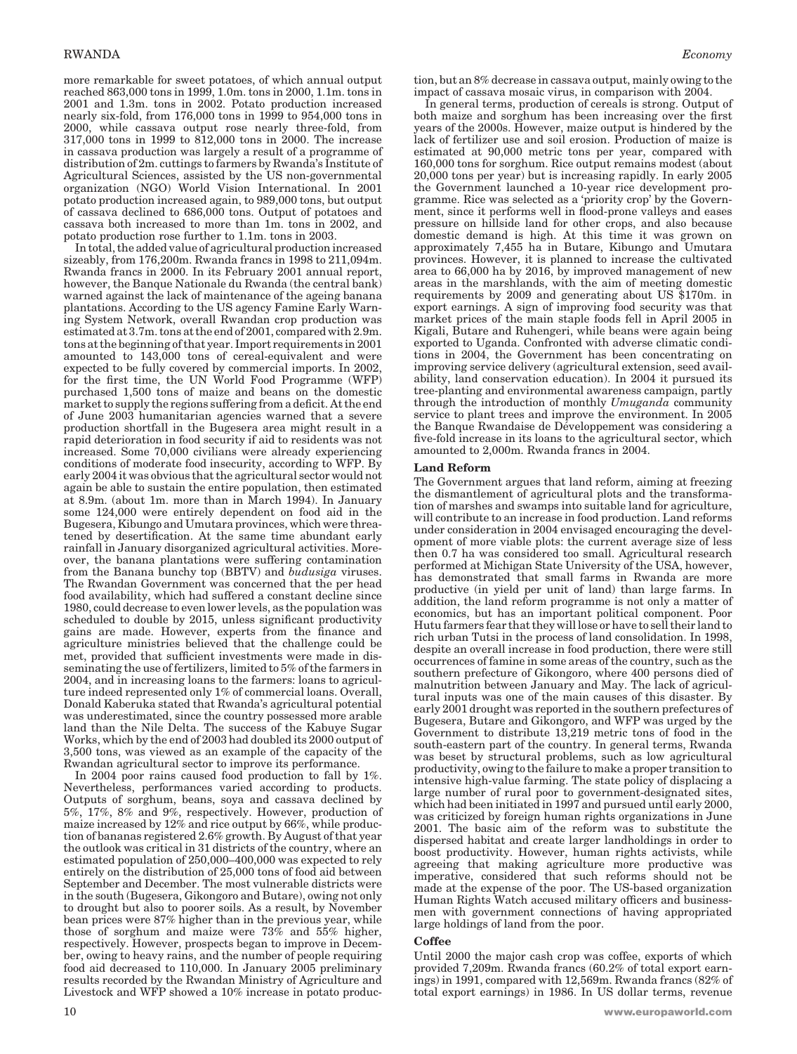more remarkable for sweet potatoes, of which annual output reached 863,000 tons in 1999, 1.0m. tons in 2000, 1.1m. tons in 2001 and 1.3m. tons in 2002. Potato production increased nearly six-fold, from 176,000 tons in 1999 to 954,000 tons in 2000, while cassava output rose nearly three-fold, from 317,000 tons in 1999 to 812,000 tons in 2000. The increase in cassava production was largely a result of a programme of distribution of 2m. cuttings to farmers by Rwanda's Institute of Agricultural Sciences, assisted by the US non-governmental organization (NGO) World Vision International. In 2001 potato production increased again, to 989,000 tons, but output of cassava declined to 686,000 tons. Output of potatoes and cassava both increased to more than 1m. tons in 2002, and potato production rose further to 1.1m. tons in 2003.

In total, the added value of agricultural production increased sizeably, from 176,200m. Rwanda francs in 1998 to 211,094m. Rwanda francs in 2000. In its February 2001 annual report, however, the Banque Nationale du Rwanda (the central bank) warned against the lack of maintenance of the ageing banana plantations. According to the US agency Famine Early Warning System Network, overall Rwandan crop production was estimated at 3.7m. tons at the end of 2001, compared with 2.9m. tons at the beginning of that year. Import requirements in 2001 amounted to 143,000 tons of cereal-equivalent and were expected to be fully covered by commercial imports. In 2002, for the first time, the UN World Food Programme (WFP) purchased 1,500 tons of maize and beans on the domestic market to supply the regions suffering from a deficit. At the end of June 2003 humanitarian agencies warned that a severe production shortfall in the Bugesera area might result in a rapid deterioration in food security if aid to residents was not increased. Some 70,000 civilians were already experiencing conditions of moderate food insecurity, according to WFP. By early 2004 it was obvious that the agricultural sector would not again be able to sustain the entire population, then estimated at 8.9m. (about 1m. more than in March 1994). In January some 124,000 were entirely dependent on food aid in the Bugesera, Kibungo and Umutara provinces, which were threatened by desertification. At the same time abundant early rainfall in January disorganized agricultural activities. Moreover, the banana plantations were suffering contamination from the Banana bunchy top (BBTV) and budusiga viruses. The Rwandan Government was concerned that the per head food availability, which had suffered a constant decline since 1980, could decrease to even lower levels, as the population was scheduled to double by 2015, unless significant productivity gains are made. However, experts from the finance and agriculture ministries believed that the challenge could be met, provided that sufficient investments were made in disseminating the use of fertilizers, limited to 5% of the farmers in 2004, and in increasing loans to the farmers: loans to agriculture indeed represented only 1% of commercial loans. Overall, Donald Kaberuka stated that Rwanda's agricultural potential was underestimated, since the country possessed more arable land than the Nile Delta. The success of the Kabuye Sugar Works, which by the end of 2003 had doubled its 2000 output of 3,500 tons, was viewed as an example of the capacity of the Rwandan agricultural sector to improve its performance.

In 2004 poor rains caused food production to fall by 1%. Nevertheless, performances varied according to products. Outputs of sorghum, beans, soya and cassava declined by 5%, 17%, 8% and 9%, respectively. However, production of maize increased by 12% and rice output by 66%, while production of bananas registered 2.6% growth. By August of that year the outlook was critical in 31 districts of the country, where an estimated population of 250,000–400,000 was expected to rely entirely on the distribution of 25,000 tons of food aid between September and December. The most vulnerable districts were in the south (Bugesera, Gikongoro and Butare), owing not only to drought but also to poorer soils. As a result, by November bean prices were 87% higher than in the previous year, while those of sorghum and maize were 73% and 55% higher, respectively. However, prospects began to improve in December, owing to heavy rains, and the number of people requiring food aid decreased to 110,000. In January 2005 preliminary results recorded by the Rwandan Ministry of Agriculture and Livestock and WFP showed a 10% increase in potato production, but an 8% decrease in cassava output, mainly owing to the impact of cassava mosaic virus, in comparison with 2004.

In general terms, production of cereals is strong. Output of both maize and sorghum has been increasing over the first years of the 2000s. However, maize output is hindered by the lack of fertilizer use and soil erosion. Production of maize is estimated at 90,000 metric tons per year, compared with 160,000 tons for sorghum. Rice output remains modest (about 20,000 tons per year) but is increasing rapidly. In early 2005 the Government launched a 10-year rice development programme. Rice was selected as a 'priority crop' by the Government, since it performs well in flood-prone valleys and eases pressure on hillside land for other crops, and also because domestic demand is high. At this time it was grown on approximately 7,455 ha in Butare, Kibungo and Umutara provinces. However, it is planned to increase the cultivated area to 66,000 ha by 2016, by improved management of new areas in the marshlands, with the aim of meeting domestic requirements by 2009 and generating about US \$170m. in export earnings. A sign of improving food security was that market prices of the main staple foods fell in April 2005 in Kigali, Butare and Ruhengeri, while beans were again being exported to Uganda. Confronted with adverse climatic conditions in 2004, the Government has been concentrating on improving service delivery (agricultural extension, seed availability, land conservation education). In 2004 it pursued its tree-planting and environmental awareness campaign, partly through the introduction of monthly Umuganda community service to plant trees and improve the environment. In 2005 the Banque Rwandaise de Développement was considering a five-fold increase in its loans to the agricultural sector, which amounted to 2,000m. Rwanda francs in 2004.

#### Land Reform

The Government argues that land reform, aiming at freezing the dismantlement of agricultural plots and the transformation of marshes and swamps into suitable land for agriculture, will contribute to an increase in food production. Land reforms under consideration in 2004 envisaged encouraging the development of more viable plots: the current average size of less then 0.7 ha was considered too small. Agricultural research performed at Michigan State University of the USA, however, has demonstrated that small farms in Rwanda are more productive (in yield per unit of land) than large farms. In addition, the land reform programme is not only a matter of economics, but has an important political component. Poor Hutu farmers fear that they will lose or have to sell their land to rich urban Tutsi in the process of land consolidation. In 1998, despite an overall increase in food production, there were still occurrences of famine in some areas of the country, such as the southern prefecture of Gikongoro, where 400 persons died of malnutrition between January and May. The lack of agricultural inputs was one of the main causes of this disaster. By early 2001 drought was reported in the southern prefectures of Bugesera, Butare and Gikongoro, and WFP was urged by the Government to distribute 13,219 metric tons of food in the south-eastern part of the country. In general terms, Rwanda was beset by structural problems, such as low agricultural productivity, owing to the failure to make a proper transition to intensive high-value farming. The state policy of displacing a large number of rural poor to government-designated sites, which had been initiated in 1997 and pursued until early 2000, was criticized by foreign human rights organizations in June 2001. The basic aim of the reform was to substitute the dispersed habitat and create larger landholdings in order to boost productivity. However, human rights activists, while agreeing that making agriculture more productive was imperative, considered that such reforms should not be made at the expense of the poor. The US-based organization Human Rights Watch accused military officers and businessmen with government connections of having appropriated large holdings of land from the poor.

### Coffee

Until 2000 the major cash crop was coffee, exports of which provided 7,209m. Rwanda francs (60.2% of total export earnings) in 1991, compared with 12,569m. Rwanda francs (82% of total export earnings) in 1986. In US dollar terms, revenue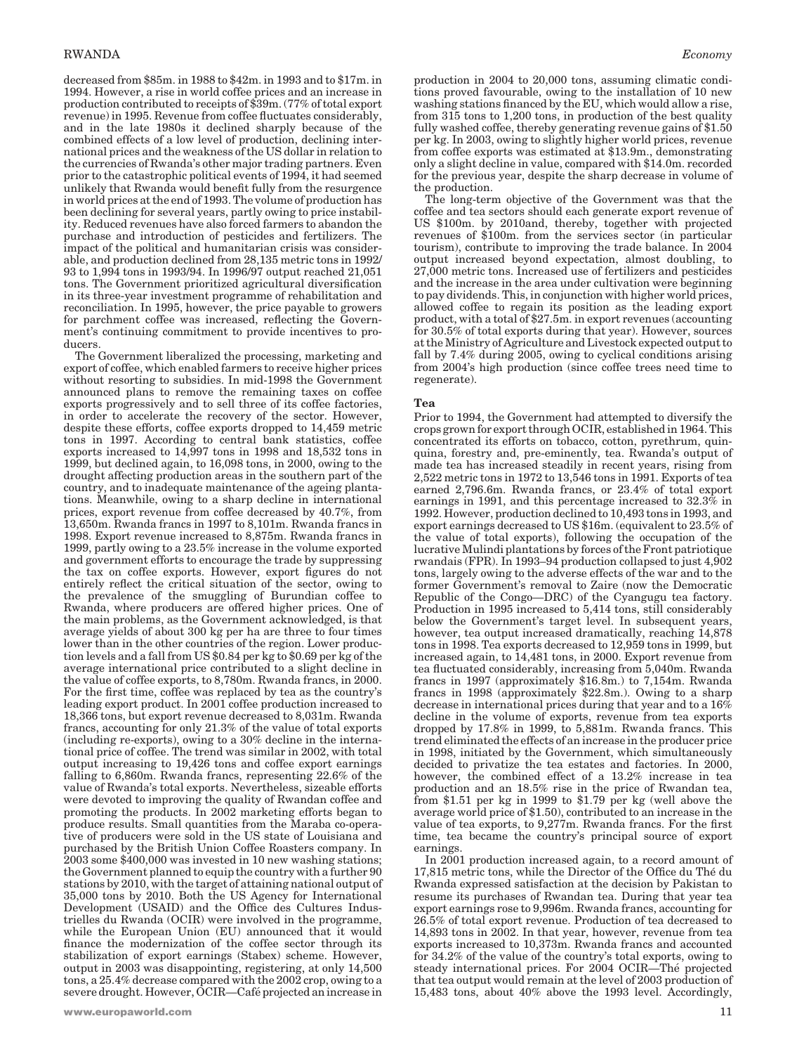decreased from \$85m. in 1988 to \$42m. in 1993 and to \$17m. in 1994. However, a rise in world coffee prices and an increase in production contributed to receipts of \$39m. (77% of total export revenue) in 1995. Revenue from coffee fluctuates considerably, and in the late 1980s it declined sharply because of the combined effects of a low level of production, declining international prices and the weakness of the US dollar in relation to the currencies of Rwanda's other major trading partners. Even prior to the catastrophic political events of 1994, it had seemed unlikely that Rwanda would benefit fully from the resurgence in world prices at the end of 1993. The volume of production has been declining for several years, partly owing to price instability. Reduced revenues have also forced farmers to abandon the purchase and introduction of pesticides and fertilizers. The impact of the political and humanitarian crisis was considerable, and production declined from 28,135 metric tons in 1992/ 93 to 1,994 tons in 1993/94. In 1996/97 output reached 21,051 tons. The Government prioritized agricultural diversification in its three-year investment programme of rehabilitation and reconciliation. In 1995, however, the price payable to growers for parchment coffee was increased, reflecting the Government's continuing commitment to provide incentives to producers.

The Government liberalized the processing, marketing and export of coffee, which enabled farmers to receive higher prices without resorting to subsidies. In mid-1998 the Government announced plans to remove the remaining taxes on coffee exports progressively and to sell three of its coffee factories, in order to accelerate the recovery of the sector. However, despite these efforts, coffee exports dropped to 14,459 metric tons in 1997. According to central bank statistics, coffee exports increased to 14,997 tons in 1998 and 18,532 tons in 1999, but declined again, to 16,098 tons, in 2000, owing to the drought affecting production areas in the southern part of the country, and to inadequate maintenance of the ageing plantations. Meanwhile, owing to a sharp decline in international prices, export revenue from coffee decreased by 40.7%, from 13,650m. Rwanda francs in 1997 to 8,101m. Rwanda francs in 1998. Export revenue increased to 8,875m. Rwanda francs in 1999, partly owing to a 23.5% increase in the volume exported and government efforts to encourage the trade by suppressing the tax on coffee exports. However, export figures do not entirely reflect the critical situation of the sector, owing to the prevalence of the smuggling of Burundian coffee to Rwanda, where producers are offered higher prices. One of the main problems, as the Government acknowledged, is that average yields of about 300 kg per ha are three to four times lower than in the other countries of the region. Lower production levels and a fall from US \$0.84 per kg to \$0.69 per kg of the average international price contributed to a slight decline in the value of coffee exports, to 8,780m. Rwanda francs, in 2000. For the first time, coffee was replaced by tea as the country's leading export product. In 2001 coffee production increased to 18,366 tons, but export revenue decreased to 8,031m. Rwanda francs, accounting for only 21.3% of the value of total exports (including re-exports), owing to a 30% decline in the international price of coffee. The trend was similar in 2002, with total output increasing to 19,426 tons and coffee export earnings falling to 6,860m. Rwanda francs, representing 22.6% of the value of Rwanda's total exports. Nevertheless, sizeable efforts were devoted to improving the quality of Rwandan coffee and promoting the products. In 2002 marketing efforts began to produce results. Small quantities from the Maraba co-operative of producers were sold in the US state of Louisiana and purchased by the British Union Coffee Roasters company. In 2003 some \$400,000 was invested in 10 new washing stations; the Government planned to equip the country with a further 90 stations by 2010, with the target of attaining national output of 35,000 tons by 2010. Both the US Agency for International Development (USAID) and the Office des Cultures Industrielles du Rwanda (OCIR) were involved in the programme, while the European Union (EU) announced that it would finance the modernization of the coffee sector through its stabilization of export earnings (Stabex) scheme. However, output in 2003 was disappointing, registering, at only 14,500 tons, a 25.4% decrease compared with the 2002 crop, owing to a severe drought. However, OCIR-Café projected an increase in production in 2004 to 20,000 tons, assuming climatic conditions proved favourable, owing to the installation of 10 new washing stations financed by the EU, which would allow a rise, from 315 tons to 1,200 tons, in production of the best quality fully washed coffee, thereby generating revenue gains of \$1.50 per kg. In 2003, owing to slightly higher world prices, revenue from coffee exports was estimated at \$13.9m., demonstrating only a slight decline in value, compared with \$14.0m. recorded for the previous year, despite the sharp decrease in volume of the production.

The long-term objective of the Government was that the coffee and tea sectors should each generate export revenue of US \$100m. by 2010and, thereby, together with projected revenues of \$100m. from the services sector (in particular tourism), contribute to improving the trade balance. In 2004 output increased beyond expectation, almost doubling, to 27,000 metric tons. Increased use of fertilizers and pesticides and the increase in the area under cultivation were beginning to pay dividends. This, in conjunction with higher world prices, allowed coffee to regain its position as the leading export product, with a total of \$27.5m. in export revenues (accounting for 30.5% of total exports during that year). However, sources at the Ministry of Agriculture and Livestock expected output to fall by 7.4% during 2005, owing to cyclical conditions arising from 2004's high production (since coffee trees need time to regenerate).

#### Tea

Prior to 1994, the Government had attempted to diversify the crops grown for export through OCIR, established in 1964. This concentrated its efforts on tobacco, cotton, pyrethrum, quinquina, forestry and, pre-eminently, tea. Rwanda's output of made tea has increased steadily in recent years, rising from 2,522 metric tons in 1972 to 13,546 tons in 1991. Exports of tea earned 2,796.6m. Rwanda francs, or 23.4% of total export earnings in 1991, and this percentage increased to  $32.3\%$  in 1992. However, production declined to 10,493 tons in 1993, and export earnings decreased to US \$16m. (equivalent to 23.5% of the value of total exports), following the occupation of the lucrative Mulindi plantations by forces of the Front patriotique rwandais (FPR). In 1993–94 production collapsed to just 4,902 tons, largely owing to the adverse effects of the war and to the former Government's removal to Zaire (now the Democratic Republic of the Congo—DRC) of the Cyangugu tea factory. Production in 1995 increased to 5,414 tons, still considerably below the Government's target level. In subsequent years, however, tea output increased dramatically, reaching 14,878 tons in 1998. Tea exports decreased to 12,959 tons in 1999, but increased again, to 14,481 tons, in 2000. Export revenue from tea fluctuated considerably, increasing from 5,040m. Rwanda francs in 1997 (approximately \$16.8m.) to 7,154m. Rwanda francs in 1998 (approximately \$22.8m.). Owing to a sharp decrease in international prices during that year and to a 16% decline in the volume of exports, revenue from tea exports dropped by 17.8% in 1999, to 5,881m. Rwanda francs. This trend eliminated the effects of an increase in the producer price in 1998, initiated by the Government, which simultaneously decided to privatize the tea estates and factories. In 2000, however, the combined effect of a 13.2% increase in tea production and an 18.5% rise in the price of Rwandan tea, from \$1.51 per kg in 1999 to \$1.79 per kg (well above the average world price of \$1.50), contributed to an increase in the value of tea exports, to 9,277m. Rwanda francs. For the first time, tea became the country's principal source of export earnings.

In 2001 production increased again, to a record amount of 17,815 metric tons, while the Director of the Office du The´ du Rwanda expressed satisfaction at the decision by Pakistan to resume its purchases of Rwandan tea. During that year tea export earnings rose to 9,996m. Rwanda francs, accounting for 26.5% of total export revenue. Production of tea decreased to 14,893 tons in 2002. In that year, however, revenue from tea exports increased to 10,373m. Rwanda francs and accounted for 34.2% of the value of the country's total exports, owing to steady international prices. For 2004 OCIR—The´ projected that tea output would remain at the level of 2003 production of 15,483 tons, about 40% above the 1993 level. Accordingly,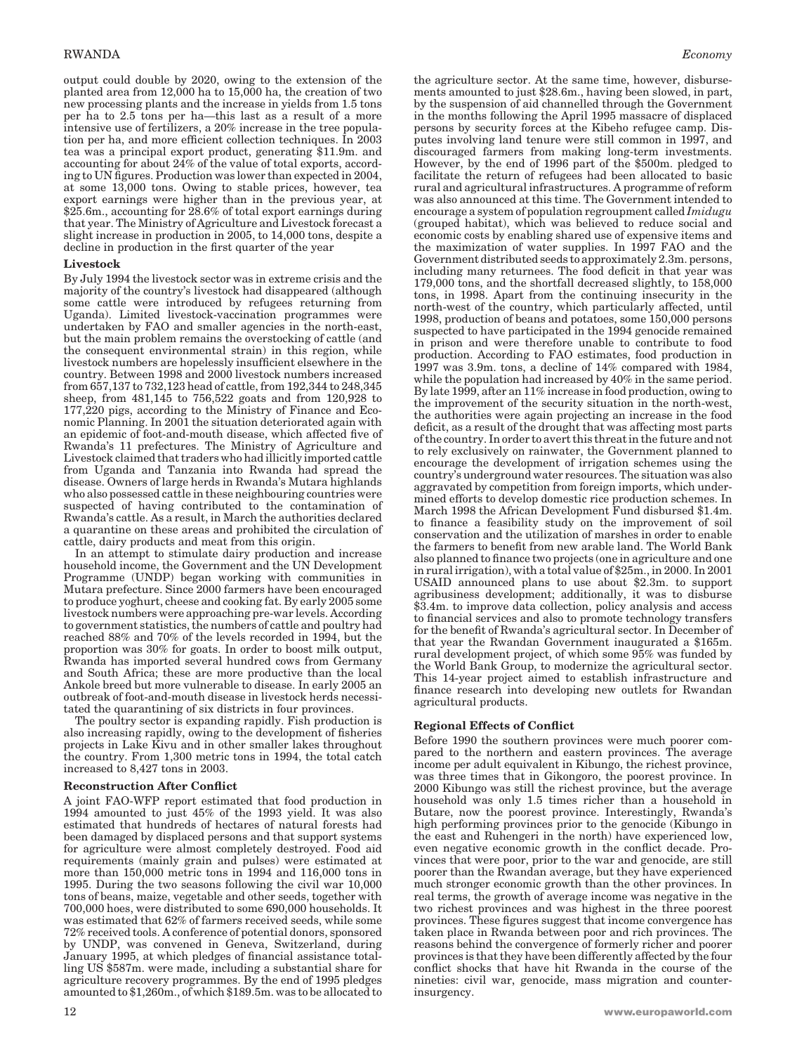### $\Delta$  Economy  $E_{\textit{conomy}}$

output could double by 2020, owing to the extension of the planted area from 12,000 ha to 15,000 ha, the creation of two new processing plants and the increase in yields from 1.5 tons per ha to 2.5 tons per ha—this last as a result of a more intensive use of fertilizers, a 20% increase in the tree population per ha, and more efficient collection techniques. In 2003 tea was a principal export product, generating \$11.9m. and accounting for about 24% of the value of total exports, according to UN figures. Production was lower than expected in 2004, at some 13,000 tons. Owing to stable prices, however, tea export earnings were higher than in the previous year, at \$25.6m., accounting for 28.6% of total export earnings during that year. The Ministry of Agriculture and Livestock forecast a slight increase in production in 2005, to 14,000 tons, despite a decline in production in the first quarter of the year

### Livestock

By July 1994 the livestock sector was in extreme crisis and the majority of the country's livestock had disappeared (although some cattle were introduced by refugees returning from Uganda). Limited livestock-vaccination programmes were undertaken by FAO and smaller agencies in the north-east, but the main problem remains the overstocking of cattle (and the consequent environmental strain) in this region, while livestock numbers are hopelessly insufficient elsewhere in the country. Between 1998 and 2000 livestock numbers increased from 657,137 to 732,123 head of cattle, from 192,344 to 248,345 sheep, from 481,145 to 756,522 goats and from 120,928 to 177,220 pigs, according to the Ministry of Finance and Economic Planning. In 2001 the situation deteriorated again with an epidemic of foot-and-mouth disease, which affected five of Rwanda's 11 prefectures. The Ministry of Agriculture and Livestock claimed that traders who had illicitly imported cattle from Uganda and Tanzania into Rwanda had spread the disease. Owners of large herds in Rwanda's Mutara highlands who also possessed cattle in these neighbouring countries were suspected of having contributed to the contamination of Rwanda's cattle. As a result, in March the authorities declared a quarantine on these areas and prohibited the circulation of cattle, dairy products and meat from this origin.

In an attempt to stimulate dairy production and increase household income, the Government and the UN Development Programme (UNDP) began working with communities in Mutara prefecture. Since 2000 farmers have been encouraged to produce yoghurt, cheese and cooking fat. By early 2005 some livestock numbers were approaching pre-war levels. According to government statistics, the numbers of cattle and poultry had reached 88% and 70% of the levels recorded in 1994, but the proportion was 30% for goats. In order to boost milk output, Rwanda has imported several hundred cows from Germany and South Africa; these are more productive than the local Ankole breed but more vulnerable to disease. In early 2005 an outbreak of foot-and-mouth disease in livestock herds necessitated the quarantining of six districts in four provinces.

The poultry sector is expanding rapidly. Fish production is also increasing rapidly, owing to the development of fisheries projects in Lake Kivu and in other smaller lakes throughout the country. From 1,300 metric tons in 1994, the total catch increased to 8,427 tons in 2003.

### Reconstruction After Conflict

A joint FAO-WFP report estimated that food production in 1994 amounted to just 45% of the 1993 yield. It was also estimated that hundreds of hectares of natural forests had been damaged by displaced persons and that support systems for agriculture were almost completely destroyed. Food aid requirements (mainly grain and pulses) were estimated at more than 150,000 metric tons in 1994 and 116,000 tons in 1995. During the two seasons following the civil war 10,000 tons of beans, maize, vegetable and other seeds, together with 700,000 hoes, were distributed to some 690,000 households. It was estimated that 62% of farmers received seeds, while some 72% received tools. A conference of potential donors, sponsored by UNDP, was convened in Geneva, Switzerland, during January 1995, at which pledges of financial assistance totalling US \$587m. were made, including a substantial share for agriculture recovery programmes. By the end of 1995 pledges amounted to \$1,260m., of which \$189.5m. was to be allocated to

the agriculture sector. At the same time, however, disbursements amounted to just \$28.6m., having been slowed, in part, by the suspension of aid channelled through the Government in the months following the April 1995 massacre of displaced persons by security forces at the Kibeho refugee camp. Disputes involving land tenure were still common in 1997, and discouraged farmers from making long-term investments. However, by the end of 1996 part of the \$500m. pledged to facilitate the return of refugees had been allocated to basic rural and agricultural infrastructures. A programme of reform was also announced at this time. The Government intended to encourage a system of population regroupment called Imidugu (grouped habitat), which was believed to reduce social and economic costs by enabling shared use of expensive items and the maximization of water supplies. In 1997 FAO and the Government distributed seeds to approximately 2.3m. persons, including many returnees. The food deficit in that year was 179,000 tons, and the shortfall decreased slightly, to 158,000 tons, in 1998. Apart from the continuing insecurity in the north-west of the country, which particularly affected, until 1998, production of beans and potatoes, some 150,000 persons suspected to have participated in the 1994 genocide remained in prison and were therefore unable to contribute to food production. According to FAO estimates, food production in 1997 was 3.9m. tons, a decline of 14% compared with 1984, while the population had increased by 40% in the same period. By late 1999, after an 11% increase in food production, owing to the improvement of the security situation in the north-west, the authorities were again projecting an increase in the food deficit, as a result of the drought that was affecting most parts of the country. In order to avert this threat in the future and not to rely exclusively on rainwater, the Government planned to encourage the development of irrigation schemes using the country's underground water resources. The situation was also aggravated by competition from foreign imports, which undermined efforts to develop domestic rice production schemes. In March 1998 the African Development Fund disbursed \$1.4m. to finance a feasibility study on the improvement of soil conservation and the utilization of marshes in order to enable the farmers to benefit from new arable land. The World Bank also planned to finance two projects (one in agriculture and one in rural irrigation), with a total value of \$25m., in 2000. In 2001 USAID announced plans to use about \$2.3m. to support agribusiness development; additionally, it was to disburse \$3.4m. to improve data collection, policy analysis and access to financial services and also to promote technology transfers for the benefit of Rwanda's agricultural sector. In December of that year the Rwandan Government inaugurated a \$165m. rural development project, of which some 95% was funded by the World Bank Group, to modernize the agricultural sector. This 14-year project aimed to establish infrastructure and finance research into developing new outlets for Rwandan agricultural products.

## Regional Effects of Conflict

Before 1990 the southern provinces were much poorer compared to the northern and eastern provinces. The average income per adult equivalent in Kibungo, the richest province, was three times that in Gikongoro, the poorest province. In 2000 Kibungo was still the richest province, but the average household was only 1.5 times richer than a household in Butare, now the poorest province. Interestingly, Rwanda's high performing provinces prior to the genocide (Kibungo in the east and Ruhengeri in the north) have experienced low, even negative economic growth in the conflict decade. Provinces that were poor, prior to the war and genocide, are still poorer than the Rwandan average, but they have experienced much stronger economic growth than the other provinces. In real terms, the growth of average income was negative in the two richest provinces and was highest in the three poorest provinces. These figures suggest that income convergence has taken place in Rwanda between poor and rich provinces. The reasons behind the convergence of formerly richer and poorer provinces is that they have been differently affected by the four conflict shocks that have hit Rwanda in the course of the nineties: civil war, genocide, mass migration and counterinsurgency.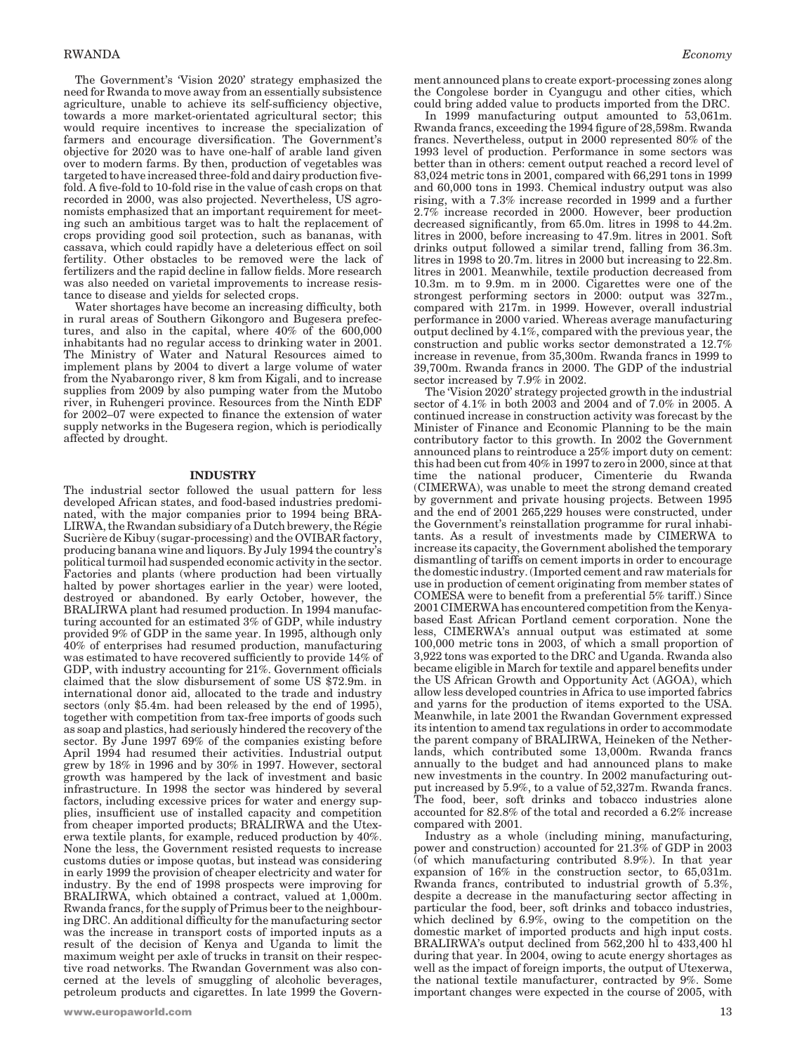The Government's 'Vision 2020' strategy emphasized the need for Rwanda to move away from an essentially subsistence agriculture, unable to achieve its self-sufficiency objective, towards a more market-orientated agricultural sector; this would require incentives to increase the specialization of farmers and encourage diversification. The Government's objective for 2020 was to have one-half of arable land given over to modern farms. By then, production of vegetables was targeted to have increased three-fold and dairy production fivefold. A five-fold to 10-fold rise in the value of cash crops on that recorded in 2000, was also projected. Nevertheless, US agronomists emphasized that an important requirement for meeting such an ambitious target was to halt the replacement of crops providing good soil protection, such as bananas, with cassava, which could rapidly have a deleterious effect on soil fertility. Other obstacles to be removed were the lack of fertilizers and the rapid decline in fallow fields. More research was also needed on varietal improvements to increase resistance to disease and yields for selected crops.

Water shortages have become an increasing difficulty, both in rural areas of Southern Gikongoro and Bugesera prefectures, and also in the capital, where 40% of the 600,000 inhabitants had no regular access to drinking water in 2001. The Ministry of Water and Natural Resources aimed to implement plans by 2004 to divert a large volume of water from the Nyabarongo river, 8 km from Kigali, and to increase supplies from 2009 by also pumping water from the Mutobo river, in Ruhengeri province. Resources from the Ninth EDF for 2002–07 were expected to finance the extension of water supply networks in the Bugesera region, which is periodically affected by drought.

#### INDUSTRY

The industrial sector followed the usual pattern for less developed African states, and food-based industries predominated, with the major companies prior to 1994 being BRA-LIRWA, the Rwandan subsidiary of a Dutch brewery, the Régie Sucrière de Kibuy (sugar-processing) and the OVIBAR factory, producing banana wine and liquors. By July 1994 the country's political turmoil had suspended economic activity in the sector. Factories and plants (where production had been virtually halted by power shortages earlier in the year) were looted, destroyed or abandoned. By early October, however, the BRALIRWA plant had resumed production. In 1994 manufacturing accounted for an estimated 3% of GDP, while industry provided 9% of GDP in the same year. In 1995, although only 40% of enterprises had resumed production, manufacturing was estimated to have recovered sufficiently to provide 14% of GDP, with industry accounting for 21%. Government officials claimed that the slow disbursement of some US \$72.9m. in international donor aid, allocated to the trade and industry sectors (only \$5.4m. had been released by the end of 1995), together with competition from tax-free imports of goods such as soap and plastics, had seriously hindered the recovery of the sector. By June 1997 69% of the companies existing before April 1994 had resumed their activities. Industrial output grew by 18% in 1996 and by 30% in 1997. However, sectoral growth was hampered by the lack of investment and basic infrastructure. In 1998 the sector was hindered by several factors, including excessive prices for water and energy supplies, insufficient use of installed capacity and competition from cheaper imported products; BRALIRWA and the Utexerwa textile plants, for example, reduced production by 40%. None the less, the Government resisted requests to increase customs duties or impose quotas, but instead was considering in early 1999 the provision of cheaper electricity and water for industry. By the end of 1998 prospects were improving for BRALIRWA, which obtained a contract, valued at 1,000m. Rwanda francs, for the supply of Primus beer to the neighbouring DRC. An additional difficulty for the manufacturing sector was the increase in transport costs of imported inputs as a result of the decision of Kenya and Uganda to limit the maximum weight per axle of trucks in transit on their respective road networks. The Rwandan Government was also concerned at the levels of smuggling of alcoholic beverages, petroleum products and cigarettes. In late 1999 the Government announced plans to create export-processing zones along the Congolese border in Cyangugu and other cities, which could bring added value to products imported from the DRC.

In 1999 manufacturing output amounted to 53,061m. Rwanda francs, exceeding the 1994 figure of 28,598m. Rwanda francs. Nevertheless, output in 2000 represented 80% of the 1993 level of production. Performance in some sectors was better than in others: cement output reached a record level of 83,024 metric tons in 2001, compared with 66,291 tons in 1999 and 60,000 tons in 1993. Chemical industry output was also rising, with a 7.3% increase recorded in 1999 and a further 2.7% increase recorded in 2000. However, beer production decreased significantly, from 65.0m. litres in 1998 to 44.2m. litres in 2000, before increasing to 47.9m. litres in 2001. Soft drinks output followed a similar trend, falling from 36.3m. litres in 1998 to 20.7m. litres in 2000 but increasing to 22.8m. litres in 2001. Meanwhile, textile production decreased from 10.3m. m to 9.9m. m in 2000. Cigarettes were one of the strongest performing sectors in 2000: output was 327m., compared with 217m. in 1999. However, overall industrial performance in 2000 varied. Whereas average manufacturing output declined by 4.1%, compared with the previous year, the construction and public works sector demonstrated a 12.7% increase in revenue, from 35,300m. Rwanda francs in 1999 to 39,700m. Rwanda francs in 2000. The GDP of the industrial sector increased by 7.9% in 2002.

The 'Vision 2020' strategy projected growth in the industrial sector of 4.1% in both 2003 and 2004 and of 7.0% in 2005. A continued increase in construction activity was forecast by the Minister of Finance and Economic Planning to be the main contributory factor to this growth. In 2002 the Government announced plans to reintroduce a 25% import duty on cement: this had been cut from 40% in 1997 to zero in 2000, since at that time the national producer, Cimenterie du Rwanda (CIMERWA), was unable to meet the strong demand created by government and private housing projects. Between 1995 and the end of 2001 265,229 houses were constructed, under the Government's reinstallation programme for rural inhabitants. As a result of investments made by CIMERWA to increase its capacity, the Government abolished the temporary dismantling of tariffs on cement imports in order to encourage the domestic industry. (Imported cement and raw materials for use in production of cement originating from member states of COMESA were to benefit from a preferential 5% tariff.) Since 2001 CIMERWA has encountered competition from the Kenyabased East African Portland cement corporation. None the less, CIMERWA's annual output was estimated at some 100,000 metric tons in 2003, of which a small proportion of 3,922 tons was exported to the DRC and Uganda. Rwanda also became eligible in March for textile and apparel benefits under the US African Growth and Opportunity Act (AGOA), which allow less developed countries in Africa to use imported fabrics and yarns for the production of items exported to the USA. Meanwhile, in late 2001 the Rwandan Government expressed its intention to amend tax regulations in order to accommodate the parent company of BRALIRWA, Heineken of the Netherlands, which contributed some 13,000m. Rwanda francs annually to the budget and had announced plans to make new investments in the country. In 2002 manufacturing output increased by 5.9%, to a value of 52,327m. Rwanda francs. The food, beer, soft drinks and tobacco industries alone accounted for 82.8% of the total and recorded a 6.2% increase compared with 2001.

Industry as a whole (including mining, manufacturing, power and construction) accounted for 21.3% of GDP in 2003 (of which manufacturing contributed 8.9%). In that year expansion of 16% in the construction sector, to 65,031m. Rwanda francs, contributed to industrial growth of 5.3%, despite a decrease in the manufacturing sector affecting in particular the food, beer, soft drinks and tobacco industries, which declined by 6.9%, owing to the competition on the domestic market of imported products and high input costs. BRALIRWA's output declined from 562,200 hl to 433,400 hl during that year. In 2004, owing to acute energy shortages as well as the impact of foreign imports, the output of Utexerwa, the national textile manufacturer, contracted by 9%. Some important changes were expected in the course of 2005, with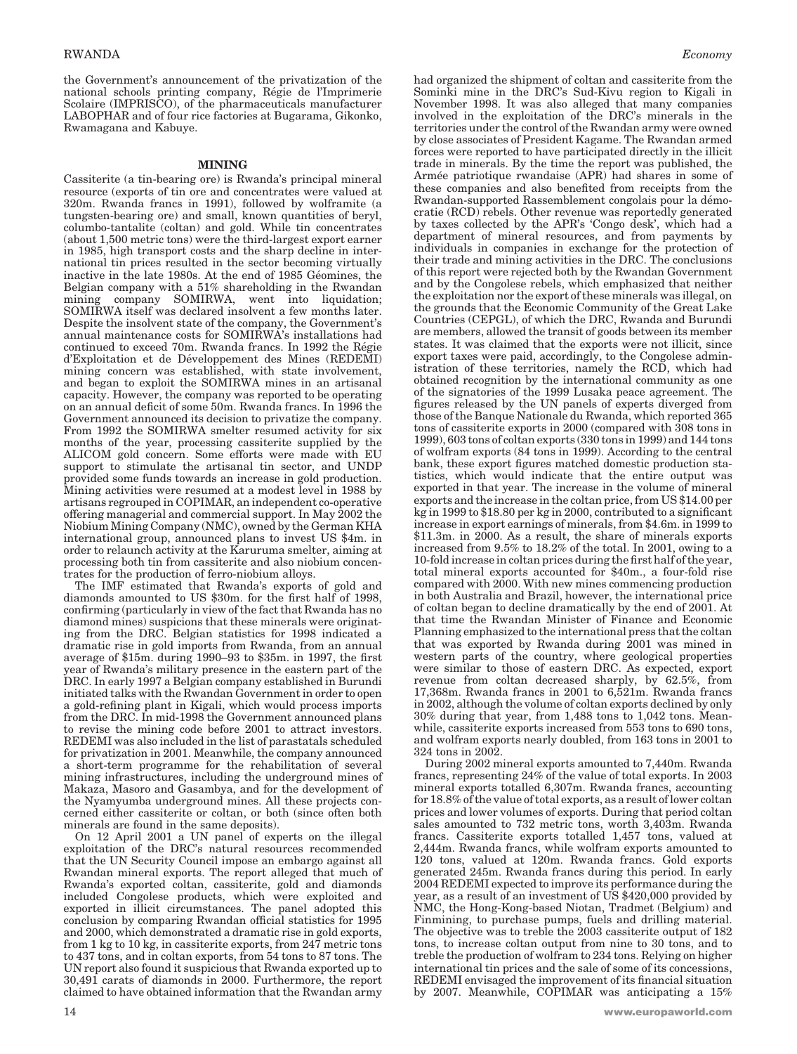the Government's announcement of the privatization of the national schools printing company, Régie de l'Imprimerie Scolaire (IMPRISCO), of the pharmaceuticals manufacturer LABOPHAR and of four rice factories at Bugarama, Gikonko, Rwamagana and Kabuye.

### MINING

Cassiterite (a tin-bearing ore) is Rwanda's principal mineral resource (exports of tin ore and concentrates were valued at 320m. Rwanda francs in 1991), followed by wolframite (a tungsten-bearing ore) and small, known quantities of beryl, columbo-tantalite (coltan) and gold. While tin concentrates (about 1,500 metric tons) were the third-largest export earner in 1985, high transport costs and the sharp decline in international tin prices resulted in the sector becoming virtually inactive in the late 1980s. At the end of 1985 Géomines, the Belgian company with a 51% shareholding in the Rwandan mining company SOMIRWA, went into liquidation; SOMIRWA itself was declared insolvent a few months later. Despite the insolvent state of the company, the Government's annual maintenance costs for SOMIRWA's installations had continued to exceed 70m. Rwanda francs. In 1992 the Régie d'Exploitation et de Développement des Mines (REDEMI) mining concern was established, with state involvement, and began to exploit the SOMIRWA mines in an artisanal capacity. However, the company was reported to be operating on an annual deficit of some 50m. Rwanda francs. In 1996 the Government announced its decision to privatize the company. From 1992 the SOMIRWA smelter resumed activity for six months of the year, processing cassiterite supplied by the ALICOM gold concern. Some efforts were made with EU support to stimulate the artisanal tin sector, and UNDP provided some funds towards an increase in gold production. Mining activities were resumed at a modest level in 1988 by artisans regrouped in COPIMAR, an independent co-operative offering managerial and commercial support. In May 2002 the Niobium Mining Company (NMC), owned by the German KHA international group, announced plans to invest US \$4m. in order to relaunch activity at the Karuruma smelter, aiming at processing both tin from cassiterite and also niobium concentrates for the production of ferro-niobium alloys.

The IMF estimated that Rwanda's exports of gold and diamonds amounted to US \$30m. for the first half of 1998, confirming (particularly in view of the fact that Rwanda has no diamond mines) suspicions that these minerals were originating from the DRC. Belgian statistics for 1998 indicated a dramatic rise in gold imports from Rwanda, from an annual average of \$15m. during 1990–93 to \$35m. in 1997, the first year of Rwanda's military presence in the eastern part of the DRC. In early 1997 a Belgian company established in Burundi initiated talks with the Rwandan Government in order to open a gold-refining plant in Kigali, which would process imports from the DRC. In mid-1998 the Government announced plans to revise the mining code before 2001 to attract investors. REDEMI was also included in the list of parastatals scheduled for privatization in 2001. Meanwhile, the company announced a short-term programme for the rehabilitation of several mining infrastructures, including the underground mines of Makaza, Masoro and Gasambya, and for the development of the Nyamyumba underground mines. All these projects concerned either cassiterite or coltan, or both (since often both minerals are found in the same deposits).

On 12 April 2001 a UN panel of experts on the illegal exploitation of the DRC's natural resources recommended that the UN Security Council impose an embargo against all Rwandan mineral exports. The report alleged that much of Rwanda's exported coltan, cassiterite, gold and diamonds included Congolese products, which were exploited and exported in illicit circumstances. The panel adopted this conclusion by comparing Rwandan official statistics for 1995 and 2000, which demonstrated a dramatic rise in gold exports, from 1 kg to 10 kg, in cassiterite exports, from 247 metric tons to 437 tons, and in coltan exports, from 54 tons to 87 tons. The UN report also found it suspicious that Rwanda exported up to 30,491 carats of diamonds in 2000. Furthermore, the report claimed to have obtained information that the Rwandan army

had organized the shipment of coltan and cassiterite from the Sominki mine in the DRC's Sud-Kivu region to Kigali in November 1998. It was also alleged that many companies involved in the exploitation of the DRC's minerals in the territories under the control of the Rwandan army were owned by close associates of President Kagame. The Rwandan armed forces were reported to have participated directly in the illicit trade in minerals. By the time the report was published, the Armée patriotique rwandaise (APR) had shares in some of these companies and also benefited from receipts from the Rwandan-supported Rassemblement congolais pour la démocratie (RCD) rebels. Other revenue was reportedly generated by taxes collected by the APR's 'Congo desk', which had a department of mineral resources, and from payments by individuals in companies in exchange for the protection of their trade and mining activities in the DRC. The conclusions of this report were rejected both by the Rwandan Government and by the Congolese rebels, which emphasized that neither the exploitation nor the export of these minerals was illegal, on the grounds that the Economic Community of the Great Lake Countries (CEPGL), of which the DRC, Rwanda and Burundi are members, allowed the transit of goods between its member states. It was claimed that the exports were not illicit, since export taxes were paid, accordingly, to the Congolese administration of these territories, namely the RCD, which had obtained recognition by the international community as one of the signatories of the 1999 Lusaka peace agreement. The figures released by the UN panels of experts diverged from those of the Banque Nationale du Rwanda, which reported 365 tons of cassiterite exports in 2000 (compared with 308 tons in 1999), 603 tons of coltan exports (330 tons in 1999) and 144 tons of wolfram exports (84 tons in 1999). According to the central bank, these export figures matched domestic production statistics, which would indicate that the entire output was exported in that year. The increase in the volume of mineral exports and the increase in the coltan price, from US \$14.00 per kg in 1999 to \$18.80 per kg in 2000, contributed to a significant increase in export earnings of minerals, from \$4.6m. in 1999 to  $$11.3m.$  in  $2000$ . As a result, the share of minerals exports increased from 9.5% to 18.2% of the total. In 2001, owing to a 10-fold increase in coltan prices during the first half of the year, total mineral exports accounted for \$40m., a four-fold rise compared with 2000. With new mines commencing production in both Australia and Brazil, however, the international price of coltan began to decline dramatically by the end of 2001. At that time the Rwandan Minister of Finance and Economic Planning emphasized to the international press that the coltan that was exported by Rwanda during 2001 was mined in western parts of the country, where geological properties were similar to those of eastern DRC. As expected, export revenue from coltan decreased sharply, by 62.5%, from 17,368m. Rwanda francs in 2001 to 6,521m. Rwanda francs in 2002, although the volume of coltan exports declined by only 30% during that year, from 1,488 tons to 1,042 tons. Meanwhile, cassiterite exports increased from 553 tons to 690 tons, and wolfram exports nearly doubled, from 163 tons in 2001 to 324 tons in 2002.

During 2002 mineral exports amounted to 7,440m. Rwanda francs, representing 24% of the value of total exports. In 2003 mineral exports totalled 6,307m. Rwanda francs, accounting for 18.8% of the value of total exports, as a result of lower coltan prices and lower volumes of exports. During that period coltan sales amounted to 732 metric tons, worth 3,403m. Rwanda francs. Cassiterite exports totalled 1,457 tons, valued at 2,444m. Rwanda francs, while wolfram exports amounted to 120 tons, valued at 120m. Rwanda francs. Gold exports generated 245m. Rwanda francs during this period. In early 2004 REDEMI expected to improve its performance during the year, as a result of an investment of US \$420,000 provided by NMC, the Hong-Kong-based Niotan, Tradmet (Belgium) and Finmining, to purchase pumps, fuels and drilling material. The objective was to treble the 2003 cassiterite output of 182 tons, to increase coltan output from nine to 30 tons, and to treble the production of wolfram to 234 tons. Relying on higher international tin prices and the sale of some of its concessions, REDEMI envisaged the improvement of its financial situation by 2007. Meanwhile, COPIMAR was anticipating a 15%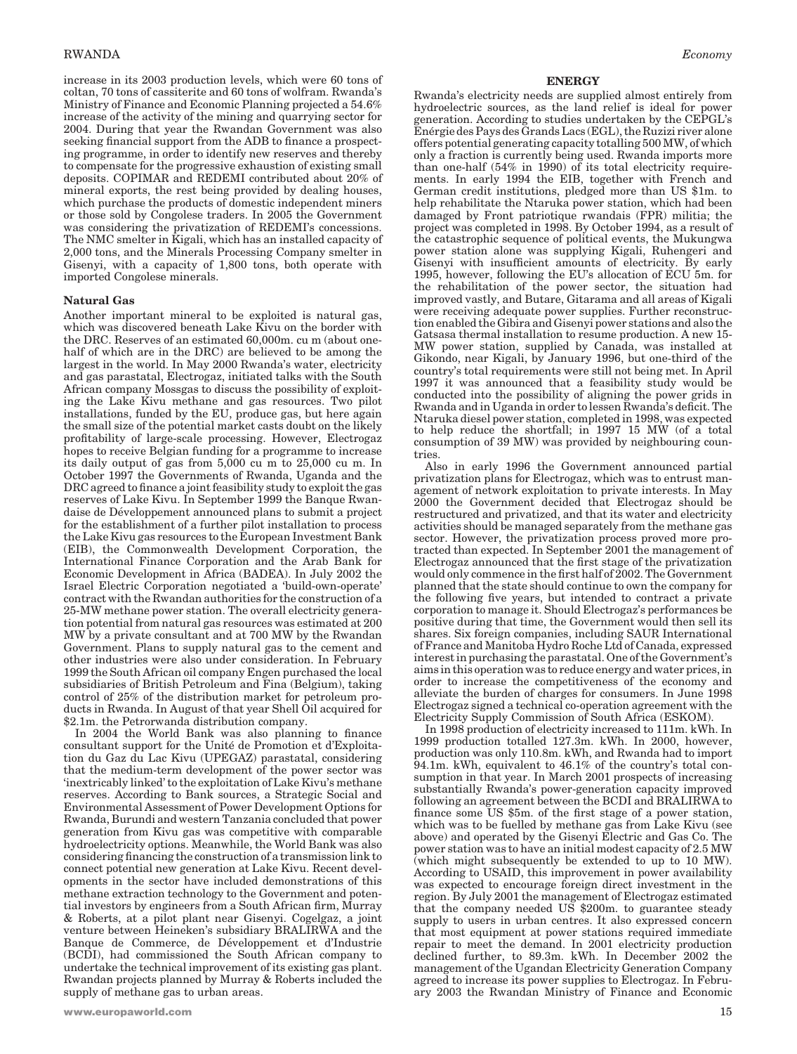### $\Delta$  Economy  $E_{\textit{conomy}}$

increase in its 2003 production levels, which were 60 tons of coltan, 70 tons of cassiterite and 60 tons of wolfram. Rwanda's Ministry of Finance and Economic Planning projected a 54.6% increase of the activity of the mining and quarrying sector for 2004. During that year the Rwandan Government was also seeking financial support from the ADB to finance a prospecting programme, in order to identify new reserves and thereby to compensate for the progressive exhaustion of existing small deposits. COPIMAR and REDEMI contributed about 20% of mineral exports, the rest being provided by dealing houses, which purchase the products of domestic independent miners or those sold by Congolese traders. In 2005 the Government was considering the privatization of REDEMI's concessions. The NMC smelter in Kigali, which has an installed capacity of 2,000 tons, and the Minerals Processing Company smelter in Gisenyi, with a capacity of 1,800 tons, both operate with imported Congolese minerals.

#### Natural Gas

Another important mineral to be exploited is natural gas, which was discovered beneath Lake Kivu on the border with the DRC. Reserves of an estimated 60,000m. cu m (about onehalf of which are in the DRC) are believed to be among the largest in the world. In May 2000 Rwanda's water, electricity and gas parastatal, Electrogaz, initiated talks with the South African company Mossgas to discuss the possibility of exploiting the Lake Kivu methane and gas resources. Two pilot installations, funded by the EU, produce gas, but here again the small size of the potential market casts doubt on the likely profitability of large-scale processing. However, Electrogaz hopes to receive Belgian funding for a programme to increase its daily output of gas from 5,000 cu m to 25,000 cu m. In October 1997 the Governments of Rwanda, Uganda and the DRC agreed to finance a joint feasibility study to exploit the gas reserves of Lake Kivu. In September 1999 the Banque Rwandaise de Développement announced plans to submit a project for the establishment of a further pilot installation to process the Lake Kivu gas resources to the European Investment Bank (EIB), the Commonwealth Development Corporation, the International Finance Corporation and the Arab Bank for Economic Development in Africa (BADEA). In July 2002 the Israel Electric Corporation negotiated a 'build-own-operate' contract with the Rwandan authorities for the construction of a 25-MW methane power station. The overall electricity generation potential from natural gas resources was estimated at 200 MW by a private consultant and at 700 MW by the Rwandan Government. Plans to supply natural gas to the cement and other industries were also under consideration. In February 1999 the South African oil company Engen purchased the local subsidiaries of British Petroleum and Fina (Belgium), taking control of 25% of the distribution market for petroleum products in Rwanda. In August of that year Shell Oil acquired for \$2.1m. the Petrorwanda distribution company.

In 2004 the World Bank was also planning to finance consultant support for the Unité de Promotion et d'Exploitation du Gaz du Lac Kivu (UPEGAZ) parastatal, considering that the medium-term development of the power sector was 'inextricably linked' to the exploitation of Lake Kivu's methane reserves. According to Bank sources, a Strategic Social and Environmental Assessment of Power Development Options for Rwanda, Burundi and western Tanzania concluded that power generation from Kivu gas was competitive with comparable hydroelectricity options. Meanwhile, the World Bank was also considering financing the construction of a transmission link to connect potential new generation at Lake Kivu. Recent developments in the sector have included demonstrations of this methane extraction technology to the Government and potential investors by engineers from a South African firm, Murray & Roberts, at a pilot plant near Gisenyi. Cogelgaz, a joint venture between Heineken's subsidiary BRALIRWA and the Banque de Commerce, de Développement et d'Industrie (BCDI), had commissioned the South African company to undertake the technical improvement of its existing gas plant. Rwandan projects planned by Murray & Roberts included the supply of methane gas to urban areas.

#### ENERGY

Rwanda's electricity needs are supplied almost entirely from hydroelectric sources, as the land relief is ideal for power generation. According to studies undertaken by the CEPGL's Enérgie des Pays des Grands Lacs (EGL), the Ruzizi river alone offers potential generating capacity totalling 500 MW, of which only a fraction is currently being used. Rwanda imports more than one-half (54% in 1990) of its total electricity requirements. In early 1994 the EIB, together with French and German credit institutions, pledged more than US \$1m. to help rehabilitate the Ntaruka power station, which had been damaged by Front patriotique rwandais (FPR) militia; the project was completed in 1998. By October 1994, as a result of the catastrophic sequence of political events, the Mukungwa power station alone was supplying Kigali, Ruhengeri and Gisenyi with insufficient amounts of electricity. By early 1995, however, following the EU's allocation of ECU 5m. for the rehabilitation of the power sector, the situation had improved vastly, and Butare, Gitarama and all areas of Kigali were receiving adequate power supplies. Further reconstruction enabled the Gibira and Gisenyi power stations and also the Gatsasa thermal installation to resume production. A new 15- MW power station, supplied by Canada, was installed at Gikondo, near Kigali, by January 1996, but one-third of the country's total requirements were still not being met. In April 1997 it was announced that a feasibility study would be conducted into the possibility of aligning the power grids in Rwanda and in Uganda in order to lessen Rwanda's deficit. The Ntaruka diesel power station, completed in 1998, was expected to help reduce the shortfall; in 1997 15 MW (of a total consumption of 39 MW) was provided by neighbouring countries.

Also in early 1996 the Government announced partial privatization plans for Electrogaz, which was to entrust management of network exploitation to private interests. In May 2000 the Government decided that Electrogaz should be restructured and privatized, and that its water and electricity activities should be managed separately from the methane gas sector. However, the privatization process proved more protracted than expected. In September 2001 the management of Electrogaz announced that the first stage of the privatization would only commence in the first half of 2002. The Government planned that the state should continue to own the company for the following five years, but intended to contract a private corporation to manage it. Should Electrogaz's performances be positive during that time, the Government would then sell its shares. Six foreign companies, including SAUR International of France and Manitoba Hydro Roche Ltd of Canada, expressed interest in purchasing the parastatal. One of the Government's aims in this operation was to reduce energy and water prices, in order to increase the competitiveness of the economy and alleviate the burden of charges for consumers. In June 1998 Electrogaz signed a technical co-operation agreement with the Electricity Supply Commission of South Africa (ESKOM).

In 1998 production of electricity increased to 111m. kWh. In 1999 production totalled 127.3m. kWh. In 2000, however, production was only 110.8m. kWh, and Rwanda had to import 94.1m. kWh, equivalent to 46.1% of the country's total consumption in that year. In March 2001 prospects of increasing substantially Rwanda's power-generation capacity improved following an agreement between the BCDI and BRALIRWA to finance some US \$5m. of the first stage of a power station, which was to be fuelled by methane gas from Lake Kivu (see above) and operated by the Gisenyi Electric and Gas Co. The power station was to have an initial modest capacity of 2.5 MW (which might subsequently be extended to up to 10 MW). According to USAID, this improvement in power availability was expected to encourage foreign direct investment in the region. By July 2001 the management of Electrogaz estimated that the company needed US \$200m. to guarantee steady supply to users in urban centres. It also expressed concern that most equipment at power stations required immediate repair to meet the demand. In 2001 electricity production declined further, to 89.3m. kWh. In December 2002 the management of the Ugandan Electricity Generation Company agreed to increase its power supplies to Electrogaz. In February 2003 the Rwandan Ministry of Finance and Economic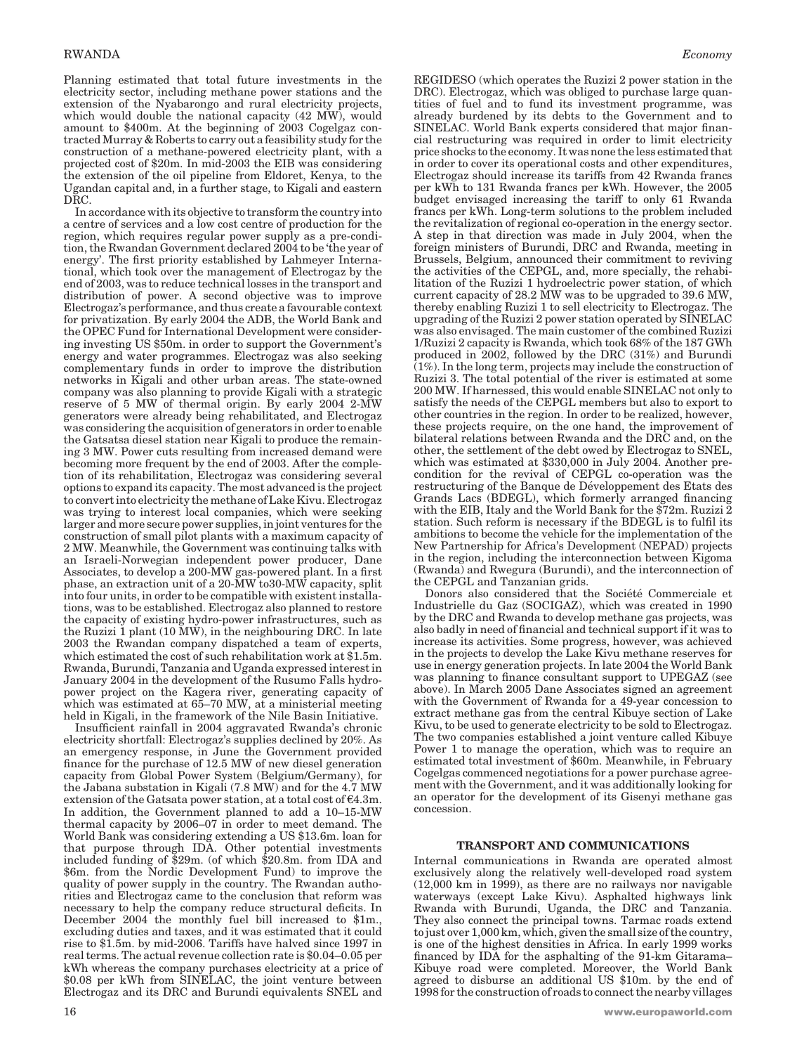Planning estimated that total future investments in the electricity sector, including methane power stations and the extension of the Nyabarongo and rural electricity projects, which would double the national capacity (42 MW), would amount to \$400m. At the beginning of 2003 Cogelgaz contracted Murray & Roberts to carry out a feasibility study for the construction of a methane-powered electricity plant, with a projected cost of \$20m. In mid-2003 the EIB was considering the extension of the oil pipeline from Eldoret, Kenya, to the Ugandan capital and, in a further stage, to Kigali and eastern DRC.

In accordance with its objective to transform the country into a centre of services and a low cost centre of production for the region, which requires regular power supply as a pre-condition, the Rwandan Government declared 2004 to be 'the year of energy'. The first priority established by Lahmeyer International, which took over the management of Electrogaz by the end of 2003, was to reduce technical losses in the transport and distribution of power. A second objective was to improve Electrogaz's performance, and thus create a favourable context for privatization. By early 2004 the ADB, the World Bank and the OPEC Fund for International Development were considering investing US \$50m. in order to support the Government's energy and water programmes. Electrogaz was also seeking complementary funds in order to improve the distribution networks in Kigali and other urban areas. The state-owned company was also planning to provide Kigali with a strategic reserve of 5 MW of thermal origin. By early 2004 2-MW generators were already being rehabilitated, and Electrogaz was considering the acquisition of generators in order to enable the Gatsatsa diesel station near Kigali to produce the remaining 3 MW. Power cuts resulting from increased demand were becoming more frequent by the end of 2003. After the completion of its rehabilitation, Electrogaz was considering several options to expand its capacity. The most advanced is the project to convert into electricity the methane of Lake Kivu. Electrogaz was trying to interest local companies, which were seeking larger and more secure power supplies, in joint ventures for the construction of small pilot plants with a maximum capacity of 2 MW. Meanwhile, the Government was continuing talks with an Israeli-Norwegian independent power producer, Dane Associates, to develop a 200-MW gas-powered plant. In a first phase, an extraction unit of a 20-MW to30-MW capacity, split into four units, in order to be compatible with existent installations, was to be established. Electrogaz also planned to restore the capacity of existing hydro-power infrastructures, such as the Ruzizi  $1$  plant (10 MW), in the neighbouring DRC. In late 2003 the Rwandan company dispatched a team of experts, which estimated the cost of such rehabilitation work at \$1.5m. Rwanda, Burundi, Tanzania and Uganda expressed interest in January 2004 in the development of the Rusumo Falls hydropower project on the Kagera river, generating capacity of which was estimated at 65–70 MW, at a ministerial meeting held in Kigali, in the framework of the Nile Basin Initiative.

Insufficient rainfall in 2004 aggravated Rwanda's chronic electricity shortfall: Electrogaz's supplies declined by 20%. As an emergency response, in June the Government provided finance for the purchase of 12.5 MW of new diesel generation capacity from Global Power System (Belgium/Germany), for the Jabana substation in Kigali (7.8 MW) and for the 4.7 MW extension of the Gatsata power station, at a total cost of  $E4.3m$ . In addition, the Government planned to add a 10–15-MW thermal capacity by 2006–07 in order to meet demand. The World Bank was considering extending a US \$13.6m. loan for that purpose through IDA. Other potential investments included funding of \$29m. (of which \$20.8m. from IDA and \$6m. from the Nordic Development Fund) to improve the quality of power supply in the country. The Rwandan authorities and Electrogaz came to the conclusion that reform was necessary to help the company reduce structural deficits. In December 2004 the monthly fuel bill increased to \$1m., excluding duties and taxes, and it was estimated that it could rise to \$1.5m. by mid-2006. Tariffs have halved since 1997 in real terms. The actual revenue collection rate is \$0.04–0.05 per kWh whereas the company purchases electricity at a price of \$0.08 per kWh from SINELAC, the joint venture between Electrogaz and its DRC and Burundi equivalents SNEL and

REGIDESO (which operates the Ruzizi 2 power station in the DRC). Electrogaz, which was obliged to purchase large quantities of fuel and to fund its investment programme, was already burdened by its debts to the Government and to SINELAC. World Bank experts considered that major financial restructuring was required in order to limit electricity price shocks to the economy. It was none the less estimated that in order to cover its operational costs and other expenditures, Electrogaz should increase its tariffs from 42 Rwanda francs per kWh to 131 Rwanda francs per kWh. However, the 2005 budget envisaged increasing the tariff to only 61 Rwanda francs per kWh. Long-term solutions to the problem included the revitalization of regional co-operation in the energy sector. A step in that direction was made in July 2004, when the foreign ministers of Burundi, DRC and Rwanda, meeting in Brussels, Belgium, announced their commitment to reviving the activities of the CEPGL, and, more specially, the rehabilitation of the Ruzizi 1 hydroelectric power station, of which current capacity of 28.2 MW was to be upgraded to 39.6 MW, thereby enabling Ruzizi 1 to sell electricity to Electrogaz. The upgrading of the Ruzizi 2 power station operated by SINELAC was also envisaged. The main customer of the combined Ruzizi 1/Ruzizi 2 capacity is Rwanda, which took 68% of the 187 GWh produced in 2002, followed by the DRC (31%) and Burundi (1%). In the long term, projects may include the construction of Ruzizi 3. The total potential of the river is estimated at some 200 MW. If harnessed, this would enable SINELAC not only to satisfy the needs of the CEPGL members but also to export to other countries in the region. In order to be realized, however, these projects require, on the one hand, the improvement of bilateral relations between Rwanda and the DRC and, on the other, the settlement of the debt owed by Electrogaz to SNEL, which was estimated at \$330,000 in July 2004. Another precondition for the revival of CEPGL co-operation was the restructuring of the Banque de Développement des Etats des Grands Lacs (BDEGL), which formerly arranged financing with the EIB, Italy and the World Bank for the \$72m. Ruzizi 2 station. Such reform is necessary if the BDEGL is to fulfil its ambitions to become the vehicle for the implementation of the New Partnership for Africa's Development (NEPAD) projects in the region, including the interconnection between Kigoma (Rwanda) and Rwegura (Burundi), and the interconnection of the CEPGL and Tanzanian grids.

Donors also considered that the Société Commerciale et Industrielle du Gaz (SOCIGAZ), which was created in 1990 by the DRC and Rwanda to develop methane gas projects, was also badly in need of financial and technical support if it was to increase its activities. Some progress, however, was achieved in the projects to develop the Lake Kivu methane reserves for use in energy generation projects. In late 2004 the World Bank was planning to finance consultant support to UPEGAZ (see above). In March 2005 Dane Associates signed an agreement with the Government of Rwanda for a 49-year concession to extract methane gas from the central Kibuye section of Lake Kivu, to be used to generate electricity to be sold to Electrogaz. The two companies established a joint venture called Kibuye Power 1 to manage the operation, which was to require an estimated total investment of \$60m. Meanwhile, in February Cogelgas commenced negotiations for a power purchase agreement with the Government, and it was additionally looking for an operator for the development of its Gisenyi methane gas concession.

#### TRANSPORT AND COMMUNICATIONS

Internal communications in Rwanda are operated almost exclusively along the relatively well-developed road system (12,000 km in 1999), as there are no railways nor navigable waterways (except Lake Kivu). Asphalted highways link Rwanda with Burundi, Uganda, the DRC and Tanzania. They also connect the principal towns. Tarmac roads extend to just over 1,000 km, which, given the small size of the country, is one of the highest densities in Africa. In early 1999 works financed by IDA for the asphalting of the 91-km Gitarama– Kibuye road were completed. Moreover, the World Bank agreed to disburse an additional US \$10m. by the end of 1998 for the construction of roads to connect the nearby villages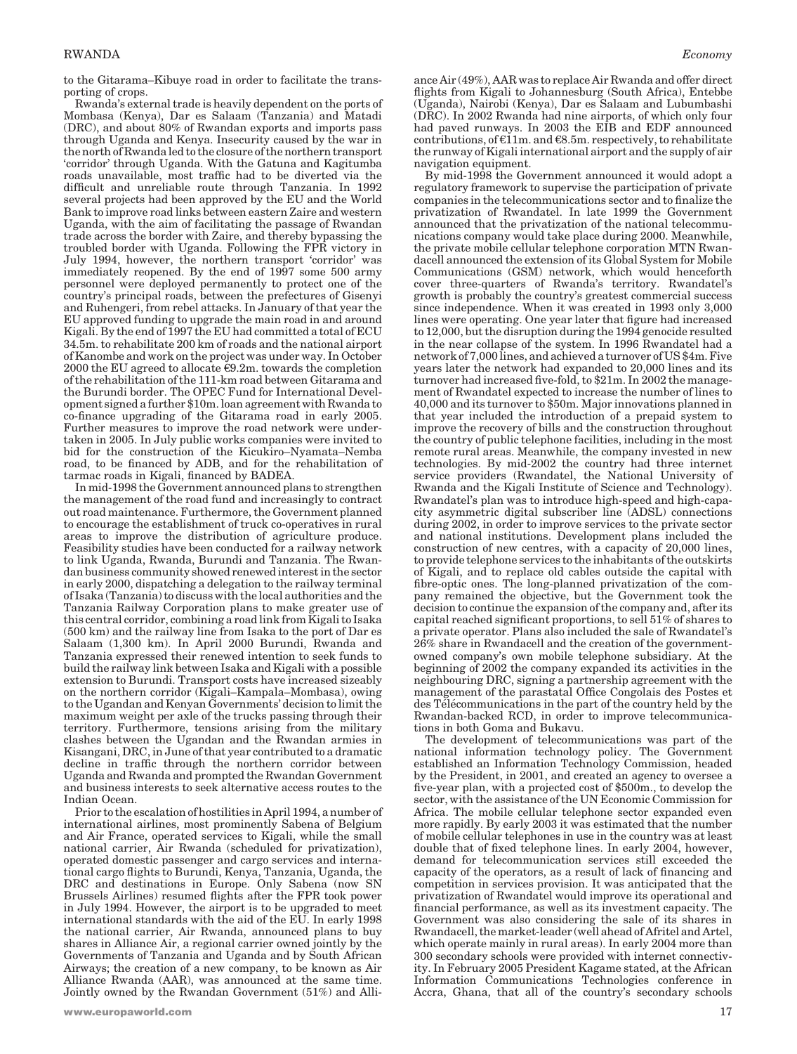to the Gitarama–Kibuye road in order to facilitate the transporting of crops.

Rwanda's external trade is heavily dependent on the ports of Mombasa (Kenya), Dar es Salaam (Tanzania) and Matadi (DRC), and about 80% of Rwandan exports and imports pass through Uganda and Kenya. Insecurity caused by the war in the north of Rwanda led to the closure of the northern transport 'corridor' through Uganda. With the Gatuna and Kagitumba roads unavailable, most traffic had to be diverted via the difficult and unreliable route through Tanzania. In 1992 several projects had been approved by the EU and the World Bank to improve road links between eastern Zaire and western Uganda, with the aim of facilitating the passage of Rwandan trade across the border with Zaire, and thereby bypassing the troubled border with Uganda. Following the FPR victory in July 1994, however, the northern transport 'corridor' was immediately reopened. By the end of 1997 some 500 army personnel were deployed permanently to protect one of the country's principal roads, between the prefectures of Gisenyi and Ruhengeri, from rebel attacks. In January of that year the EU approved funding to upgrade the main road in and around Kigali. By the end of 1997 the EU had committed a total of ECU 34.5m. to rehabilitate 200 km of roads and the national airport of Kanombe and work on the project was under way. In October 2000 the EU agreed to allocate  $\epsilon 9.2$ m. towards the completion of the rehabilitation of the 111-km road between Gitarama and the Burundi border. The OPEC Fund for International Development signed a further \$10m. loan agreement with Rwanda to co-finance upgrading of the Gitarama road in early 2005. Further measures to improve the road network were undertaken in 2005. In July public works companies were invited to bid for the construction of the Kicukiro–Nyamata–Nemba road, to be financed by ADB, and for the rehabilitation of tarmac roads in Kigali, financed by BADEA.

In mid-1998 the Government announced plans to strengthen the management of the road fund and increasingly to contract out road maintenance. Furthermore, the Government planned to encourage the establishment of truck co-operatives in rural areas to improve the distribution of agriculture produce. Feasibility studies have been conducted for a railway network to link Uganda, Rwanda, Burundi and Tanzania. The Rwandan business community showed renewed interest in the sector in early 2000, dispatching a delegation to the railway terminal of Isaka (Tanzania) to discuss with the local authorities and the Tanzania Railway Corporation plans to make greater use of this central corridor, combining a road link from Kigali to Isaka (500 km) and the railway line from Isaka to the port of Dar es Salaam (1,300 km). In April 2000 Burundi, Rwanda and Tanzania expressed their renewed intention to seek funds to build the railway link between Isaka and Kigali with a possible extension to Burundi. Transport costs have increased sizeably on the northern corridor (Kigali–Kampala–Mombasa), owing to the Ugandan and Kenyan Governments' decision to limit the maximum weight per axle of the trucks passing through their territory. Furthermore, tensions arising from the military clashes between the Ugandan and the Rwandan armies in Kisangani, DRC, in June of that year contributed to a dramatic decline in traffic through the northern corridor between Uganda and Rwanda and prompted the Rwandan Government and business interests to seek alternative access routes to the Indian Ocean.

Prior to the escalation of hostilities in April 1994, a number of international airlines, most prominently Sabena of Belgium and Air France, operated services to Kigali, while the small national carrier, Air Rwanda (scheduled for privatization), operated domestic passenger and cargo services and international cargo flights to Burundi, Kenya, Tanzania, Uganda, the DRC and destinations in Europe. Only Sabena (now SN Brussels Airlines) resumed flights after the FPR took power in July 1994. However, the airport is to be upgraded to meet international standards with the aid of the EU. In early 1998 the national carrier, Air Rwanda, announced plans to buy shares in Alliance Air, a regional carrier owned jointly by the Governments of Tanzania and Uganda and by South African Airways; the creation of a new company, to be known as Air Alliance Rwanda (AAR), was announced at the same time. Jointly owned by the Rwandan Government (51%) and Alliance Air (49%), AAR was to replace Air Rwanda and offer direct flights from Kigali to Johannesburg (South Africa), Entebbe (Uganda), Nairobi (Kenya), Dar es Salaam and Lubumbashi (DRC). In 2002 Rwanda had nine airports, of which only four had paved runways. In 2003 the EIB and EDF announced contributions, of  $\epsilon$ 11m. and  $\epsilon$ 8.5m. respectively, to rehabilitate the runway of Kigali international airport and the supply of air navigation equipment.

By mid-1998 the Government announced it would adopt a regulatory framework to supervise the participation of private companies in the telecommunications sector and to finalize the privatization of Rwandatel. In late 1999 the Government announced that the privatization of the national telecommunications company would take place during 2000. Meanwhile, the private mobile cellular telephone corporation MTN Rwandacell announced the extension of its Global System for Mobile Communications (GSM) network, which would henceforth cover three-quarters of Rwanda's territory. Rwandatel's growth is probably the country's greatest commercial success since independence. When it was created in 1993 only 3,000 lines were operating. One year later that figure had increased to 12,000, but the disruption during the 1994 genocide resulted in the near collapse of the system. In 1996 Rwandatel had a network of 7,000 lines, and achieved a turnover of US \$4m. Five years later the network had expanded to 20,000 lines and its turnover had increased five-fold, to \$21m. In 2002 the management of Rwandatel expected to increase the number of lines to 40,000 and its turnover to \$50m. Major innovations planned in that year included the introduction of a prepaid system to improve the recovery of bills and the construction throughout the country of public telephone facilities, including in the most remote rural areas. Meanwhile, the company invested in new technologies. By mid-2002 the country had three internet service providers (Rwandatel, the National University of Rwanda and the Kigali Institute of Science and Technology). Rwandatel's plan was to introduce high-speed and high-capacity asymmetric digital subscriber line (ADSL) connections during 2002, in order to improve services to the private sector and national institutions. Development plans included the construction of new centres, with a capacity of 20,000 lines, to provide telephone services to the inhabitants of the outskirts of Kigali, and to replace old cables outside the capital with fibre-optic ones. The long-planned privatization of the company remained the objective, but the Government took the decision to continue the expansion of the company and, after its capital reached significant proportions, to sell 51% of shares to a private operator. Plans also included the sale of Rwandatel's 26% share in Rwandacell and the creation of the governmentowned company's own mobile telephone subsidiary. At the beginning of 2002 the company expanded its activities in the neighbouring DRC, signing a partnership agreement with the management of the parastatal Office Congolais des Postes et des Télécommunications in the part of the country held by the Rwandan-backed RCD, in order to improve telecommunications in both Goma and Bukavu.

The development of telecommunications was part of the national information technology policy. The Government established an Information Technology Commission, headed by the President, in 2001, and created an agency to oversee a five-year plan, with a projected cost of \$500m., to develop the sector, with the assistance of the UN Economic Commission for Africa. The mobile cellular telephone sector expanded even more rapidly. By early 2003 it was estimated that the number of mobile cellular telephones in use in the country was at least double that of fixed telephone lines. In early 2004, however, demand for telecommunication services still exceeded the capacity of the operators, as a result of lack of financing and competition in services provision. It was anticipated that the privatization of Rwandatel would improve its operational and financial performance, as well as its investment capacity. The Government was also considering the sale of its shares in Rwandacell, the market-leader (well ahead of Afritel and Artel, which operate mainly in rural areas). In early 2004 more than 300 secondary schools were provided with internet connectivity. In February 2005 President Kagame stated, at the African Information Communications Technologies conference in Accra, Ghana, that all of the country's secondary schools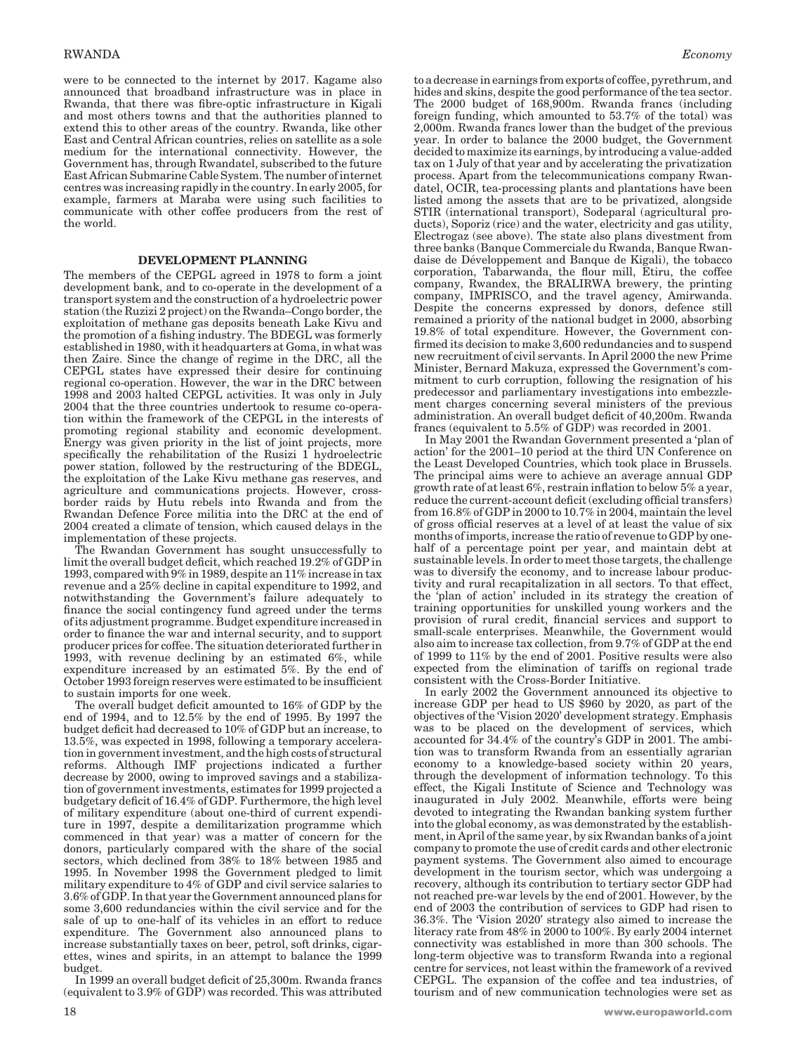were to be connected to the internet by 2017. Kagame also announced that broadband infrastructure was in place in Rwanda, that there was fibre-optic infrastructure in Kigali and most others towns and that the authorities planned to extend this to other areas of the country. Rwanda, like other East and Central African countries, relies on satellite as a sole medium for the international connectivity. However, the Government has, through Rwandatel, subscribed to the future East African Submarine Cable System. The number of internet centres was increasing rapidly in the country. In early 2005, for example, farmers at Maraba were using such facilities to communicate with other coffee producers from the rest of the world.

### DEVELOPMENT PLANNING

The members of the CEPGL agreed in 1978 to form a joint development bank, and to co-operate in the development of a transport system and the construction of a hydroelectric power station (the Ruzizi 2 project) on the Rwanda–Congo border, the exploitation of methane gas deposits beneath Lake Kivu and the promotion of a fishing industry. The BDEGL was formerly established in 1980, with it headquarters at Goma, in what was then Zaire. Since the change of regime in the DRC, all the CEPGL states have expressed their desire for continuing regional co-operation. However, the war in the DRC between 1998 and 2003 halted CEPGL activities. It was only in July 2004 that the three countries undertook to resume co-operation within the framework of the CEPGL in the interests of promoting regional stability and economic development. Energy was given priority in the list of joint projects, more specifically the rehabilitation of the Rusizi 1 hydroelectric power station, followed by the restructuring of the BDEGL, the exploitation of the Lake Kivu methane gas reserves, and agriculture and communications projects. However, crossborder raids by Hutu rebels into Rwanda and from the Rwandan Defence Force militia into the DRC at the end of 2004 created a climate of tension, which caused delays in the implementation of these projects.

The Rwandan Government has sought unsuccessfully to limit the overall budget deficit, which reached 19.2% of GDP in 1993, compared with 9% in 1989, despite an 11% increase in tax revenue and a 25% decline in capital expenditure to 1992, and notwithstanding the Government's failure adequately to finance the social contingency fund agreed under the terms of its adjustment programme. Budget expenditure increased in order to finance the war and internal security, and to support producer prices for coffee. The situation deteriorated further in 1993, with revenue declining by an estimated 6%, while expenditure increased by an estimated 5%. By the end of October 1993 foreign reserves were estimated to be insufficient to sustain imports for one week.

The overall budget deficit amounted to 16% of GDP by the end of 1994, and to 12.5% by the end of 1995. By 1997 the budget deficit had decreased to 10% of GDP but an increase, to 13.5%, was expected in 1998, following a temporary acceleration in government investment, and the high costs of structural reforms. Although IMF projections indicated a further decrease by 2000, owing to improved savings and a stabilization of government investments, estimates for 1999 projected a budgetary deficit of 16.4% of GDP. Furthermore, the high level of military expenditure (about one-third of current expenditure in 1997, despite a demilitarization programme which commenced in that year) was a matter of concern for the donors, particularly compared with the share of the social sectors, which declined from 38% to 18% between 1985 and 1995. In November 1998 the Government pledged to limit military expenditure to 4% of GDP and civil service salaries to 3.6% of GDP. In that year the Government announced plans for some 3,600 redundancies within the civil service and for the sale of up to one-half of its vehicles in an effort to reduce expenditure. The Government also announced plans to increase substantially taxes on beer, petrol, soft drinks, cigarettes, wines and spirits, in an attempt to balance the 1999 budget.

In 1999 an overall budget deficit of 25,300m. Rwanda francs (equivalent to 3.9% of GDP) was recorded. This was attributed

to a decrease in earnings from exports of coffee, pyrethrum, and hides and skins, despite the good performance of the tea sector. The 2000 budget of 168,900m. Rwanda francs (including foreign funding, which amounted to 53.7% of the total) was 2,000m. Rwanda francs lower than the budget of the previous year. In order to balance the 2000 budget, the Government decided to maximize its earnings, by introducing a value-added tax on 1 July of that year and by accelerating the privatization process. Apart from the telecommunications company Rwandatel, OCIR, tea-processing plants and plantations have been listed among the assets that are to be privatized, alongside STIR (international transport), Sodeparal (agricultural products), Soporiz (rice) and the water, electricity and gas utility, Electrogaz (see above). The state also plans divestment from three banks (Banque Commerciale du Rwanda, Banque Rwandaise de Développement and Banque de Kigali), the tobacco corporation, Tabarwanda, the flour mill, Etiru, the coffee company, Rwandex, the BRALIRWA brewery, the printing company, IMPRISCO, and the travel agency, Amirwanda. Despite the concerns expressed by donors, defence still remained a priority of the national budget in 2000, absorbing 19.8% of total expenditure. However, the Government confirmed its decision to make 3,600 redundancies and to suspend new recruitment of civil servants. In April 2000 the new Prime Minister, Bernard Makuza, expressed the Government's commitment to curb corruption, following the resignation of his predecessor and parliamentary investigations into embezzlement charges concerning several ministers of the previous administration. An overall budget deficit of 40,200m. Rwanda francs (equivalent to 5.5% of GDP) was recorded in 2001.

In May 2001 the Rwandan Government presented a 'plan of action' for the 2001–10 period at the third UN Conference on the Least Developed Countries, which took place in Brussels. The principal aims were to achieve an average annual GDP growth rate of at least 6%, restrain inflation to below 5% a year, reduce the current-account deficit (excluding official transfers) from 16.8% of GDP in 2000 to 10.7% in 2004, maintain the level of gross official reserves at a level of at least the value of six months of imports, increase the ratio of revenue to GDP by onehalf of a percentage point per year, and maintain debt at sustainable levels. In order to meet those targets, the challenge was to diversify the economy, and to increase labour productivity and rural recapitalization in all sectors. To that effect, the 'plan of action' included in its strategy the creation of training opportunities for unskilled young workers and the provision of rural credit, financial services and support to small-scale enterprises. Meanwhile, the Government would also aim to increase tax collection, from 9.7% of GDP at the end of 1999 to 11% by the end of 2001. Positive results were also expected from the elimination of tariffs on regional trade consistent with the Cross-Border Initiative.

In early 2002 the Government announced its objective to increase GDP per head to US \$960 by 2020, as part of the objectives of the 'Vision 2020' development strategy. Emphasis was to be placed on the development of services, which accounted for 34.4% of the country's GDP in 2001. The ambition was to transform Rwanda from an essentially agrarian economy to a knowledge-based society within 20 years, through the development of information technology. To this effect, the Kigali Institute of Science and Technology was inaugurated in July 2002. Meanwhile, efforts were being devoted to integrating the Rwandan banking system further into the global economy, as was demonstrated by the establishment, in April of the same year, by six Rwandan banks of a joint company to promote the use of credit cards and other electronic payment systems. The Government also aimed to encourage development in the tourism sector, which was undergoing a recovery, although its contribution to tertiary sector GDP had not reached pre-war levels by the end of 2001. However, by the end of 2003 the contribution of services to GDP had risen to 36.3%. The 'Vision 2020' strategy also aimed to increase the literacy rate from 48% in 2000 to 100%. By early 2004 internet connectivity was established in more than 300 schools. The long-term objective was to transform Rwanda into a regional centre for services, not least within the framework of a revived CEPGL. The expansion of the coffee and tea industries, of tourism and of new communication technologies were set as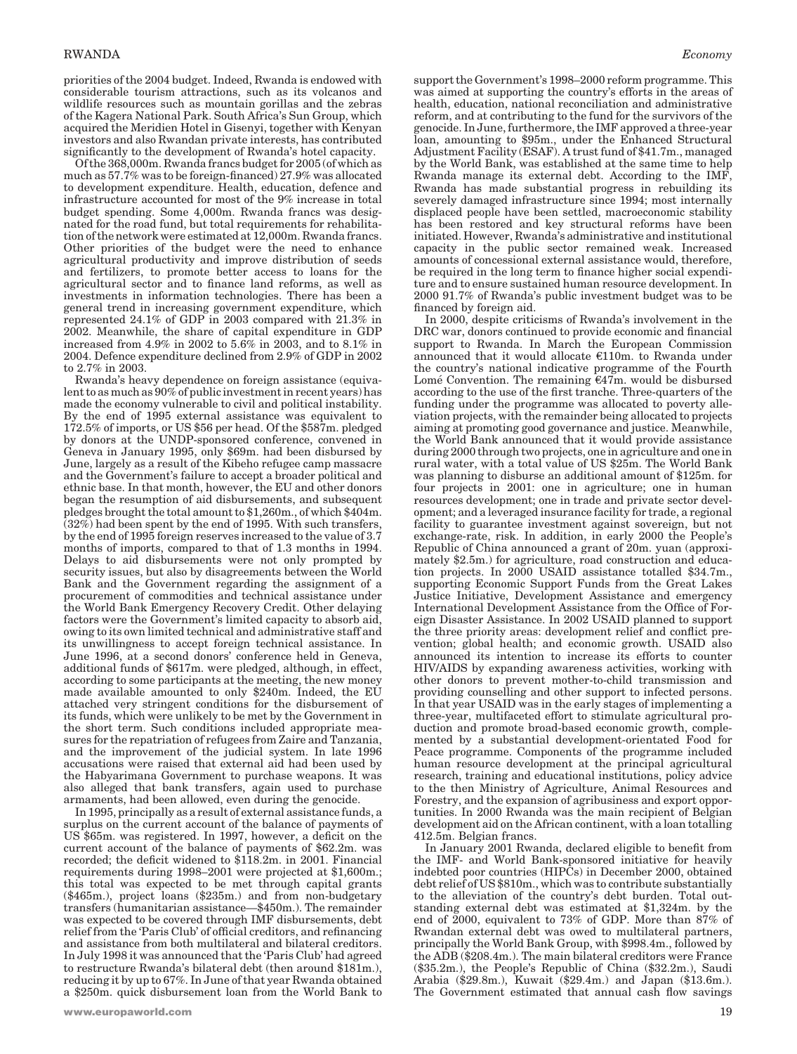priorities of the 2004 budget. Indeed, Rwanda is endowed with considerable tourism attractions, such as its volcanos and wildlife resources such as mountain gorillas and the zebras of the Kagera National Park. South Africa's Sun Group, which acquired the Meridien Hotel in Gisenyi, together with Kenyan investors and also Rwandan private interests, has contributed significantly to the development of Rwanda's hotel capacity.

Of the 368,000m. Rwanda francs budget for 2005 (of which as much as 57.7% was to be foreign-financed) 27.9% was allocated to development expenditure. Health, education, defence and infrastructure accounted for most of the 9% increase in total budget spending. Some 4,000m. Rwanda francs was designated for the road fund, but total requirements for rehabilitation of the network were estimated at 12,000m. Rwanda francs. Other priorities of the budget were the need to enhance agricultural productivity and improve distribution of seeds and fertilizers, to promote better access to loans for the agricultural sector and to finance land reforms, as well as investments in information technologies. There has been a general trend in increasing government expenditure, which represented 24.1% of GDP in 2003 compared with 21.3% in 2002. Meanwhile, the share of capital expenditure in GDP increased from 4.9% in 2002 to 5.6% in 2003, and to 8.1% in 2004. Defence expenditure declined from 2.9% of GDP in 2002 to 2.7% in 2003.

Rwanda's heavy dependence on foreign assistance (equivalent to as much as 90% of public investment in recent years) has made the economy vulnerable to civil and political instability. By the end of 1995 external assistance was equivalent to 172.5% of imports, or US \$56 per head. Of the \$587m. pledged by donors at the UNDP-sponsored conference, convened in Geneva in January 1995, only \$69m. had been disbursed by June, largely as a result of the Kibeho refugee camp massacre and the Government's failure to accept a broader political and ethnic base. In that month, however, the EU and other donors began the resumption of aid disbursements, and subsequent pledges brought the total amount to \$1,260m., of which \$404m.  $(32\%)$  had been spent by the end of 1995. With such transfers, by the end of 1995 foreign reserves increased to the value of 3.7 months of imports, compared to that of 1.3 months in 1994. Delays to aid disbursements were not only prompted by security issues, but also by disagreements between the World Bank and the Government regarding the assignment of a procurement of commodities and technical assistance under the World Bank Emergency Recovery Credit. Other delaying factors were the Government's limited capacity to absorb aid, owing to its own limited technical and administrative staff and its unwillingness to accept foreign technical assistance. In June 1996, at a second donors' conference held in Geneva, additional funds of \$617m. were pledged, although, in effect, according to some participants at the meeting, the new money made available amounted to only \$240m. Indeed, the EU attached very stringent conditions for the disbursement of its funds, which were unlikely to be met by the Government in the short term. Such conditions included appropriate measures for the repatriation of refugees from Zaire and Tanzania, and the improvement of the judicial system. In late 1996 accusations were raised that external aid had been used by the Habyarimana Government to purchase weapons. It was also alleged that bank transfers, again used to purchase armaments, had been allowed, even during the genocide.

In 1995, principally as a result of external assistance funds, a surplus on the current account of the balance of payments of US \$65m. was registered. In 1997, however, a deficit on the current account of the balance of payments of \$62.2m. was recorded; the deficit widened to \$118.2m. in 2001. Financial requirements during 1998–2001 were projected at \$1,600m.; this total was expected to be met through capital grants (\$465m.), project loans (\$235m.) and from non-budgetary transfers (humanitarian assistance—\$450m.). The remainder was expected to be covered through IMF disbursements, debt relief from the 'Paris Club' of official creditors, and refinancing and assistance from both multilateral and bilateral creditors. In July 1998 it was announced that the 'Paris Club' had agreed to restructure Rwanda's bilateral debt (then around \$181m.), reducing it by up to 67%. In June of that year Rwanda obtained a \$250m. quick disbursement loan from the World Bank to

support the Government's 1998–2000 reform programme. This was aimed at supporting the country's efforts in the areas of health, education, national reconciliation and administrative reform, and at contributing to the fund for the survivors of the genocide. In June, furthermore, the IMF approved a three-year loan, amounting to \$95m., under the Enhanced Structural Adjustment Facility (ESAF). A trust fund of \$41.7m., managed by the World Bank, was established at the same time to help Rwanda manage its external debt. According to the IMF, Rwanda has made substantial progress in rebuilding its severely damaged infrastructure since 1994; most internally displaced people have been settled, macroeconomic stability has been restored and key structural reforms have been initiated. However, Rwanda's administrative and institutional capacity in the public sector remained weak. Increased amounts of concessional external assistance would, therefore, be required in the long term to finance higher social expenditure and to ensure sustained human resource development. In 2000 91.7% of Rwanda's public investment budget was to be financed by foreign aid.

In 2000, despite criticisms of Rwanda's involvement in the DRC war, donors continued to provide economic and financial support to Rwanda. In March the European Commission announced that it would allocate  $E110m$ . to Rwanda under the country's national indicative programme of the Fourth Lomé Convention. The remaining  $E47m$ , would be disbursed according to the use of the first tranche. Three-quarters of the funding under the programme was allocated to poverty alleviation projects, with the remainder being allocated to projects aiming at promoting good governance and justice. Meanwhile, the World Bank announced that it would provide assistance during 2000 through two projects, one in agriculture and one in rural water, with a total value of US \$25m. The World Bank was planning to disburse an additional amount of \$125m. for four projects in 2001: one in agriculture; one in human resources development; one in trade and private sector development; and a leveraged insurance facility for trade, a regional facility to guarantee investment against sovereign, but not exchange-rate, risk. In addition, in early 2000 the People's Republic of China announced a grant of 20m. yuan (approximately \$2.5m.) for agriculture, road construction and education projects. In 2000 USAID assistance totalled \$34.7m., supporting Economic Support Funds from the Great Lakes Justice Initiative, Development Assistance and emergency International Development Assistance from the Office of Foreign Disaster Assistance. In 2002 USAID planned to support the three priority areas: development relief and conflict prevention; global health; and economic growth. USAID also announced its intention to increase its efforts to counter HIV/AIDS by expanding awareness activities, working with other donors to prevent mother-to-child transmission and providing counselling and other support to infected persons. In that year USAID was in the early stages of implementing a three-year, multifaceted effort to stimulate agricultural production and promote broad-based economic growth, complemented by a substantial development-orientated Food for Peace programme. Components of the programme included human resource development at the principal agricultural research, training and educational institutions, policy advice to the then Ministry of Agriculture, Animal Resources and Forestry, and the expansion of agribusiness and export opportunities. In 2000 Rwanda was the main recipient of Belgian development aid on the African continent, with a loan totalling 412.5m. Belgian francs.

In January 2001 Rwanda, declared eligible to benefit from the IMF- and World Bank-sponsored initiative for heavily indebted poor countries (HIPCs) in December 2000, obtained debt relief of US \$810m., which was to contribute substantially to the alleviation of the country's debt burden. Total outstanding external debt was estimated at \$1,324m. by the end of 2000, equivalent to 73% of GDP. More than 87% of Rwandan external debt was owed to multilateral partners, principally the World Bank Group, with \$998.4m., followed by the ADB (\$208.4m.). The main bilateral creditors were France (\$35.2m.), the People's Republic of China (\$32.2m.), Saudi Arabia (\$29.8m.), Kuwait (\$29.4m.) and Japan (\$13.6m.). The Government estimated that annual cash flow savings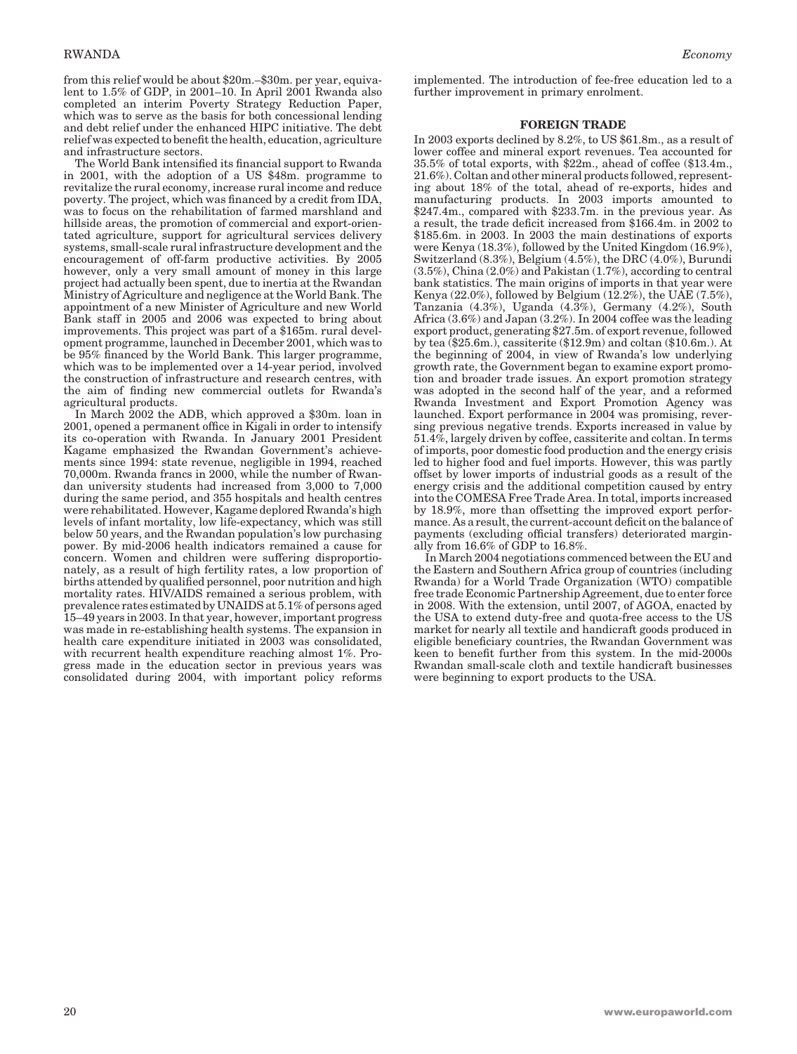from this relief would be about \$20m.–\$30m. per year, equivalent to 1.5% of GDP, in 2001–10. In April 2001 Rwanda also completed an interim Poverty Strategy Reduction Paper, which was to serve as the basis for both concessional lending and debt relief under the enhanced HIPC initiative. The debt relief was expected to benefit the health, education, agriculture and infrastructure sectors.

The World Bank intensified its financial support to Rwanda in 2001, with the adoption of a US \$48m. programme to revitalize the rural economy, increase rural income and reduce poverty. The project, which was financed by a credit from IDA, was to focus on the rehabilitation of farmed marshland and hillside areas, the promotion of commercial and export-orientated agriculture, support for agricultural services delivery systems, small-scale rural infrastructure development and the encouragement of off-farm productive activities. By 2005 however, only a very small amount of money in this large project had actually been spent, due to inertia at the Rwandan Ministry of Agriculture and negligence at the World Bank. The appointment of a new Minister of Agriculture and new World Bank staff in 2005 and 2006 was expected to bring about improvements. This project was part of a \$165m. rural development programme, launched in December 2001, which was to be 95% financed by the World Bank. This larger programme, which was to be implemented over a 14-year period, involved the construction of infrastructure and research centres, with the aim of finding new commercial outlets for Rwanda's agricultural products.

In March 2002 the ADB, which approved a \$30m. loan in 2001, opened a permanent office in Kigali in order to intensify its co-operation with Rwanda. In January 2001 President Kagame emphasized the Rwandan Government's achievements since 1994: state revenue, negligible in 1994, reached 70,000m. Rwanda francs in 2000, while the number of Rwandan university students had increased from 3,000 to 7,000 during the same period, and 355 hospitals and health centres were rehabilitated. However, Kagame deplored Rwanda's high levels of infant mortality, low life-expectancy, which was still below 50 years, and the Rwandan population's low purchasing power. By mid-2006 health indicators remained a cause for concern. Women and children were suffering disproportionately, as a result of high fertility rates, a low proportion of births attended by qualified personnel, poor nutrition and high mortality rates. HIV/AIDS remained a serious problem, with prevalence rates estimated by UNAIDS at 5.1% of persons aged 15–49 years in 2003. In that year, however, important progress was made in re-establishing health systems. The expansion in health care expenditure initiated in 2003 was consolidated, with recurrent health expenditure reaching almost 1%. Progress made in the education sector in previous years was consolidated during 2004, with important policy reforms

implemented. The introduction of fee-free education led to a further improvement in primary enrolment.

#### FOREIGN TRADE

In 2003 exports declined by 8.2%, to US \$61.8m., as a result of lower coffee and mineral export revenues. Tea accounted for 35.5% of total exports, with \$22m., ahead of coffee (\$13.4m., 21.6%). Coltan and other mineral products followed, representing about 18% of the total, ahead of re-exports, hides and manufacturing products. In 2003 imports amounted to \$247.4m., compared with \$233.7m. in the previous year. As a result, the trade deficit increased from \$166.4m. in 2002 to \$185.6m. in 2003. In 2003 the main destinations of exports were Kenya (18.3%), followed by the United Kingdom (16.9%), Switzerland (8.3%), Belgium (4.5%), the DRC (4.0%), Burundi  $(3.5\%)$ , China  $(2.0\%)$  and Pakistan  $(1.7\%)$ , according to central bank statistics. The main origins of imports in that year were Kenya (22.0%), followed by Belgium  $(12.2\%)$ , the UAE  $(7.5\%)$ , Tanzania (4.3%), Uganda (4.3%), Germany (4.2%), South Africa (3.6%) and Japan (3.2%). In 2004 coffee was the leading export product, generating \$27.5m. of export revenue, followed by tea (\$25.6m.), cassiterite (\$12.9m) and coltan (\$10.6m.). At the beginning of 2004, in view of Rwanda's low underlying growth rate, the Government began to examine export promotion and broader trade issues. An export promotion strategy was adopted in the second half of the year, and a reformed Rwanda Investment and Export Promotion Agency was launched. Export performance in 2004 was promising, reversing previous negative trends. Exports increased in value by 51.4%, largely driven by coffee, cassiterite and coltan. In terms of imports, poor domestic food production and the energy crisis led to higher food and fuel imports. However, this was partly offset by lower imports of industrial goods as a result of the energy crisis and the additional competition caused by entry into the COMESA Free Trade Area. In total, imports increased by 18.9%, more than offsetting the improved export performance. As a result, the current-account deficit on the balance of payments (excluding official transfers) deteriorated marginally from  $16.6\%$  of GDP to  $16.8\%$ .

In March 2004 negotiations commenced between the EU and the Eastern and Southern Africa group of countries (including Rwanda) for a World Trade Organization (WTO) compatible free trade Economic Partnership Agreement, due to enter force in 2008. With the extension, until 2007, of AGOA, enacted by the USA to extend duty-free and quota-free access to the US market for nearly all textile and handicraft goods produced in eligible beneficiary countries, the Rwandan Government was keen to benefit further from this system. In the mid-2000s Rwandan small-scale cloth and textile handicraft businesses were beginning to export products to the USA.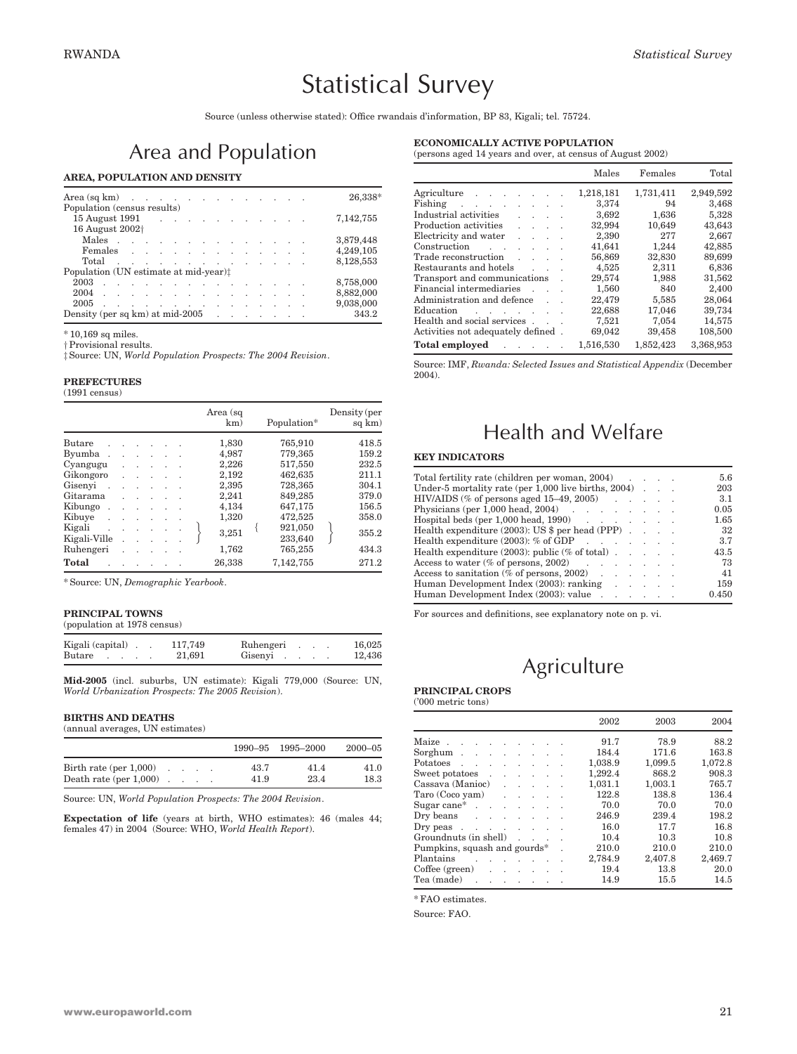# Statistical Survey

Source (unless otherwise stated): Office rwandais d'information, BP 83, Kigali; tel. 75724.

## Area and Population

## AREA, POPULATION AND DENSITY

| Area $(sq km)$                        |  |                                                                                                                                                                                                                                |  |  |  |  | 26,338*   |
|---------------------------------------|--|--------------------------------------------------------------------------------------------------------------------------------------------------------------------------------------------------------------------------------|--|--|--|--|-----------|
| Population (census results)           |  |                                                                                                                                                                                                                                |  |  |  |  |           |
| 15 August 1991                        |  | and the contract of the contract of the contract of the contract of the contract of the contract of the contract of the contract of the contract of the contract of the contract of the contract of the contract of the contra |  |  |  |  | 7,142,755 |
| 16 August 2002 <sup>+</sup>           |  |                                                                                                                                                                                                                                |  |  |  |  |           |
| Males                                 |  |                                                                                                                                                                                                                                |  |  |  |  | 3,879,448 |
| Females                               |  |                                                                                                                                                                                                                                |  |  |  |  | 4,249,105 |
| Total                                 |  | design and contract the contract of the contract of the contract of the contract of the contract of the contract of the contract of the contract of the contract of the contract of the contract of the contract of the contra |  |  |  |  | 8,128,553 |
| Population (UN estimate at mid-year): |  |                                                                                                                                                                                                                                |  |  |  |  |           |
| 2003                                  |  | the contract of the contract of the contract of the contract of the contract of the contract of the contract of                                                                                                                |  |  |  |  | 8,758,000 |
| 2004                                  |  |                                                                                                                                                                                                                                |  |  |  |  | 8,882,000 |
| 2005                                  |  | and the contract of the contract of the contract of the contract of the contract of the contract of the contract of the contract of the contract of the contract of the contract of the contract of the contract of the contra |  |  |  |  | 9,038,000 |
| Density (per sq km) at mid-2005       |  |                                                                                                                                                                                                                                |  |  |  |  | 343.2     |

\* 10,169 sq miles.

yProvisional results.

z Source: UN, World Population Prospects: The 2004 Revision.

#### PREFECTURES

(1991 census)

|                                 |   |  |         | Area (sq<br>km) | Population* | Density (per<br>sq km) |
|---------------------------------|---|--|---------|-----------------|-------------|------------------------|
| Butare                          |   |  |         | 1,830           | 765,910     | 418.5                  |
| Bvumba                          |   |  |         | 4.987           | 779.365     | 159.2                  |
| Cyangugu                        |   |  |         | 2.226           | 517.550     | 232.5                  |
| Gikongoro                       | × |  |         | 2,192           | 462,635     | 211.1                  |
| Gisenyi                         |   |  |         | 2,395           | 728.365     | 304.1                  |
| Gitarama                        |   |  |         | 2,241           | 849.285     | 379.0                  |
| Kibungo<br>$\ddot{\phantom{0}}$ |   |  | $\cdot$ | 4,134           | 647,175     | 156.5                  |
| Kibuye<br>ä.                    |   |  |         | 1,320           | 472,525     | 358.0                  |
| Kigali                          |   |  |         | 3.251           | 921,050     | 355.2                  |
| Kigali-Ville                    |   |  |         |                 | 233,640     |                        |
| Ruhengeri                       |   |  |         | 1,762           | 765.255     | 434.3                  |
| Total                           |   |  |         | 26,338          | 7,142,755   | 271.2                  |

\* Source: UN, Demographic Yearbook.

### PRINCIPAL TOWNS

### (population at 1978 census)

| Kigali (capital) |  | 117,749 | Ruhengeri |  | 16,025 |
|------------------|--|---------|-----------|--|--------|
| Butare           |  | 21,691  | Gisenyi   |  | 12.436 |

Mid-2005 (incl. suburbs, UN estimate): Kigali 779,000 (Source: UN, World Urbanization Prospects: The 2005 Revision).

### BIRTHS AND DEATHS

(annual averages, UN estimates)

|                           |  |  |      | 1990-95 1995-2000 | $2000 - 05$ |
|---------------------------|--|--|------|-------------------|-------------|
| Birth rate (per $1,000$ ) |  |  | 43.7 | 41.4              | 41.0        |
| Death rate (per $1,000$ ) |  |  | 41.9 | 23.4              | 18.3        |

Source: UN, World Population Prospects: The 2004 Revision.

**Expectation of life** (years at birth, WHO estimates): 46 (males 44; females 47) in 2004 (Source: WHO, World Health Report).

ECONOMICALLY ACTIVE POPULATION

(persons aged 14 years and over, at census of August 2002)

|                                                                  | Males     | Females   | Total     |
|------------------------------------------------------------------|-----------|-----------|-----------|
| Agriculture.                                                     | 1,218,181 | 1,731,411 | 2,949,592 |
| Fishing<br>and the contract of the con-<br>$\cdot$<br>$\sim$     | 3,374     | 94        | 3,468     |
| Industrial activities<br>ä.                                      | 3,692     | 1,636     | 5,328     |
| Production activities<br>÷<br>÷<br>$\sim$                        | 32,994    | 10,649    | 43,643    |
| Electricity and water<br>$\mathbf{r}$<br>$\sim$<br>$\sim$        | 2,390     | 277       | 2,667     |
| Construction<br><b>Contract</b><br>and the state of the state of | 41,641    | 1,244     | 42,885    |
| Trade reconstruction<br>and the control of the con-              | 56,869    | 32,830    | 89,699    |
| Restaurants and hotels                                           | 4,525     | 2,311     | 6,836     |
| Transport and communications                                     | 29,574    | 1,988     | 31,562    |
| Financial intermediaries                                         | 1,560     | 840       | 2,400     |
| Administration and defence                                       | 22,479    | 5,585     | 28,064    |
| Education<br>and the contract of the con-<br>$\sim$              | 22,688    | 17,046    | 39,734    |
| Health and social services.                                      | 7,521     | 7,054     | 14,575    |
| Activities not adequately defined.                               | 69,042    | 39,458    | 108,500   |
| <b>Total employed</b>                                            | 1,516,530 | 1,852,423 | 3,368,953 |

Source: IMF, Rwanda: Selected Issues and Statistical Appendix (December 2004).

## Health and Welfare

### KEY INDICATORS

| Total fertility rate (children per woman, 2004)                         |  | 5.6      |
|-------------------------------------------------------------------------|--|----------|
| Under-5 mortality rate (per $1,000$ live births, $2004$ ).              |  | 203      |
| $HIV/AIDS$ (% of persons aged 15–49, 2005) $\ldots$                     |  | 3.1      |
|                                                                         |  | 0.05     |
| Hospital beds (per $1,000$ head, $1990$ )                               |  | $1.65\,$ |
| Health expenditure $(2003)$ : US \$ per head $(PPP)$                    |  | 32       |
| Health expenditure $(2003)$ : % of GDP                                  |  | 3.7      |
| Health expenditure (2003): public (% of total) $\ldots$                 |  | 43.5     |
| Access to water (% of persons, $2002$ )                                 |  | 73       |
| Access to sanitation (% of persons, $2002$ )                            |  | 41       |
| Human Development Index (2003): ranking.<br>$\sim$ $\sim$ $\sim$ $\sim$ |  | 159      |
| Human Development Index (2003): value                                   |  | 0.450    |

For sources and definitions, see explanatory note on p. vi.

## Agriculture

## PRINCIPAL CROPS

('000 metric tons)

|                                                                                  | 2002    | 2003    | 2004    |
|----------------------------------------------------------------------------------|---------|---------|---------|
| Maize                                                                            | 91.7    | 78.9    | 88.2    |
| Sorghum.<br>$\ddot{\phantom{a}}$<br>$\ddot{\phantom{a}}$<br>$\ddot{\phantom{0}}$ | 184.4   | 171.6   | 163.8   |
| Potatoes<br>$\sim$                                                               | 1,038.9 | 1.099.5 | 1.072.8 |
| Sweet potatoes<br>ä,                                                             | 1,292.4 | 868.2   | 908.3   |
| Cassava (Manioc)<br>$\bullet$<br>$\mathbf{r}$                                    | 1,031.1 | 1.003.1 | 765.7   |
| Taro (Coco yam)<br>÷                                                             | 122.8   | 138.8   | 136.4   |
| Sugar cane* $\ldots$<br>$\ddot{\phantom{a}}$<br>$\cdot$<br>$\ddot{\phantom{a}}$  | 70.0    | 70.0    | 70.0    |
| Dry beans<br>$\mathcal{L}^{\text{max}}$<br>$\mathbf{r}$<br>$\sim$<br>ł.          | 246.9   | 239.4   | 198.2   |
| Dry peas.<br>and the control of<br>$\sim$<br>$\sim$<br>$\mathbf{r}$              | 16.0    | 17.7    | 16.8    |
| Groundnuts (in shell)                                                            | 10.4    | 10.3    | 10.8    |
| Pumpkins, squash and gourds*                                                     | 210.0   | 210.0   | 210.0   |
| Plantains<br>and a strategic and a                                               | 2.784.9 | 2.407.8 | 2.469.7 |
| Coffee (green)<br>ä.                                                             | 19.4    | 13.8    | 20.0    |
| Tea (made)                                                                       | 14.9    | 15.5    | 14.5    |

\* FAO estimates.

Source: FAO.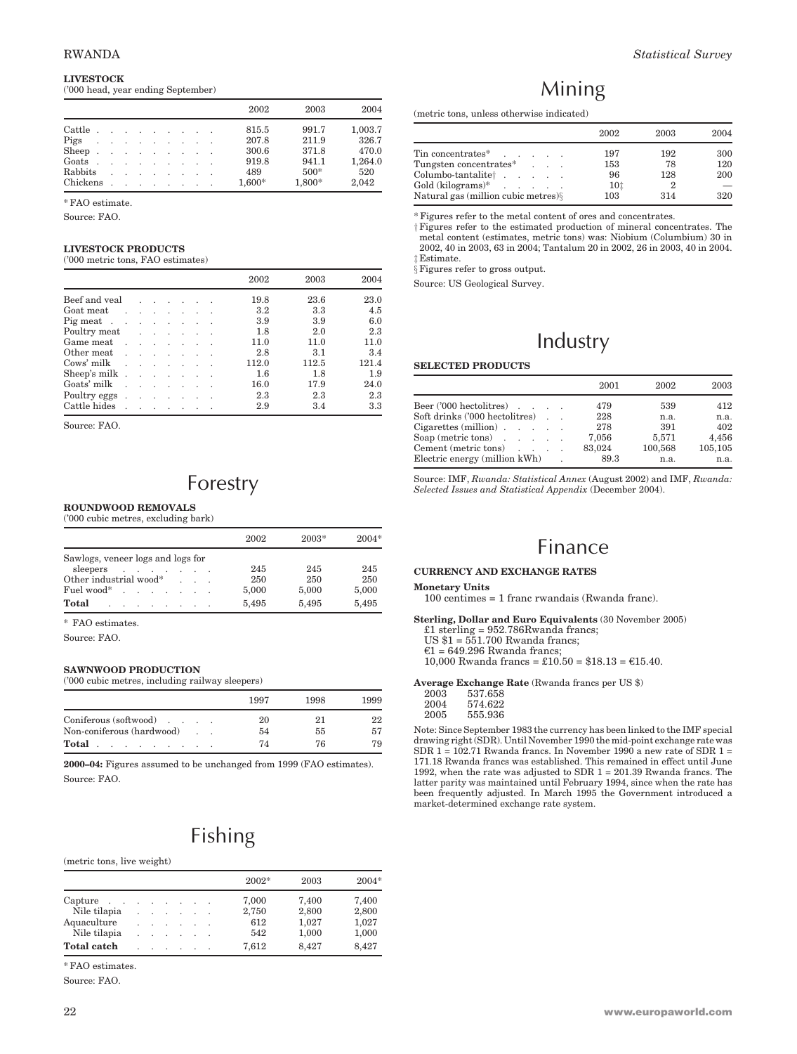### LIVESTOCK

('000 head, year ending September)

|                                      |  |            |                          |  |  | 2002   | 2003   | 2004    |
|--------------------------------------|--|------------|--------------------------|--|--|--------|--------|---------|
| $Cattle \tcdot \tcdot \tcdot \tcdot$ |  |            |                          |  |  | 815.5  | 991.7  | 1,003.7 |
| Pigs                                 |  |            |                          |  |  | 207.8  | 211.9  | 326.7   |
| Sheep.                               |  | $\sim 100$ | <b>Contract Contract</b> |  |  | 300.6  | 371.8  | 470.0   |
| Goats.                               |  |            |                          |  |  | 919.8  | 941.1  | 1,264.0 |
| Rabbits                              |  |            |                          |  |  | 489    | $500*$ | 520     |
| Chickens                             |  |            |                          |  |  | 1,600* | 1,800* | 2.042   |

\* FAO estimate.

Source: FAO.

## LIVESTOCK PRODUCTS

('000 metric tons, FAO estimates)

|                                                     |                |                 |                  |                      |  | 2002             | 2003  | 2004  |
|-----------------------------------------------------|----------------|-----------------|------------------|----------------------|--|------------------|-------|-------|
| Beef and veal                                       |                |                 |                  |                      |  | 19.8             | 23.6  | 23.0  |
| Goat meat                                           | $\overline{a}$ |                 | $\sim$           | $\sim$               |  | $3.2\phantom{0}$ | 3.3   | 4.5   |
| $\text{Pig} \text{ meat} \quad \ldots \quad \ldots$ |                |                 |                  | $\sim$ $\sim$ $\sim$ |  | 3.9              | 3.9   | 6.0   |
| Poultry meat                                        |                |                 |                  | $\sim$               |  | 1.8              | 2.0   | 2.3   |
| Game meat                                           |                |                 |                  |                      |  | 11.0             | 11.0  | 11.0  |
| Other meat                                          |                |                 |                  |                      |  | 2.8              | 3.1   | 3.4   |
| Cows' milk<br>$\sim 10$                             |                |                 |                  |                      |  | 112.0            | 112.5 | 121.4 |
| Sheep's milk $\ldots$                               |                |                 |                  |                      |  | $1.6\,$          | 1.8   | 1.9   |
| Goats' milk                                         |                | <b>Contract</b> | $\sim$           | $\sim$ $\sim$        |  | 16.0             | 17.9  | 24.0  |
| Poultry eggs.                                       |                | $\sim$          | $\sim$ 100 $\pm$ | $\sim$               |  | 2.3              | 2.3   | 2.3   |
| Cattle hides                                        |                |                 |                  |                      |  | 2.9              | 3.4   | 3.3   |

Source: FAO.

## Forestry

### ROUNDWOOD REMOVALS

('000 cubic metres, excluding bark)

|                                    | 2002  | $2003*$ | $2004*$ |
|------------------------------------|-------|---------|---------|
| Sawlogs, veneer logs and logs for  |       |         |         |
| sleepers                           | 245   | 245     | 245     |
| Other industrial wood*             | 250   | 250     | 250     |
| Fuel wood <sup>*</sup>             | 5,000 | 5,000   | 5,000   |
| Total<br>and a strain and a strain | 5,495 | 5,495   | 5,495   |

\* FAO estimates.

Source: FAO.

#### SAWNWOOD PRODUCTION

('000 cubic metres, including railway sleepers)

|                                                         | 1997     | 1998     | 1999     |
|---------------------------------------------------------|----------|----------|----------|
| Coniferous (softwood)<br>Non-coniferous (hardwood)      | 20<br>54 | 21<br>55 | 22<br>57 |
| $Total \cdot \cdot \cdot \cdot \cdot \cdot \cdot \cdot$ | 74       | 76       | 79       |

2000–04: Figures assumed to be unchanged from 1999 (FAO estimates). Source: FAO.

## Fishing

(metric tons, live weight)

|                             |  |              |                               |        | 2002*      | 2003           | $2004*$        |
|-----------------------------|--|--------------|-------------------------------|--------|------------|----------------|----------------|
| Capture                     |  | $\mathbf{r}$ | and the state of the state of |        | 7,000      | 7,400          | 7,400          |
| Nile tilapia                |  |              |                               |        | 2,750      | 2,800          | 2,800          |
| Aquaculture<br>Nile tilapia |  |              |                               | $\sim$ | 612<br>542 | 1.027<br>1,000 | 1.027<br>1,000 |
| <b>Total catch</b>          |  |              |                               |        | 7,612      | 8,427          | 8,427          |

\* FAO estimates.

Source: FAO.

## Mining

(metric tons, unless otherwise indicated)

|                                                                                                                              | 2002                                       | 2003                    | 2004                     |
|------------------------------------------------------------------------------------------------------------------------------|--------------------------------------------|-------------------------|--------------------------|
| Tin concentrates*<br>Tungsten concentrates*<br>Columbo-tantalite†<br>Gold (kilograms)*<br>Natural gas (million cubic metres) | 197<br>153<br>96<br>10 <sub>1</sub><br>103 | 192<br>78<br>128<br>314 | 300<br>120<br>200<br>320 |
|                                                                                                                              |                                            |                         |                          |

\* Figures refer to the metal content of ores and concentrates.

yFigures refer to the estimated production of mineral concentrates. The metal content (estimates, metric tons) was: Niobium (Columbium) 30 in 2002, 40 in 2003, 63 in 2004; Tantalum 20 in 2002, 26 in 2003, 40 in 2004. z Estimate.

 $\S$  Figures refer to gross output.

Source: US Geological Survey.

## Industry

#### SELECTED PRODUCTS

|                                 |  | 2001   | 2002    | 2003    |
|---------------------------------|--|--------|---------|---------|
| Beer ('000 hectolitres)         |  | 479    | 539     | 412     |
| Soft drinks ('000 hectolitres). |  | 228    | n.a.    | n.a.    |
| $Cigareites (million)$          |  | 278    | 391     | 402     |
| Soap (metric tons)              |  | 7,056  | 5.571   | 4.456   |
| Cement (metric tons)            |  | 83,024 | 100,568 | 105,105 |
| Electric energy (million kWh)   |  | 89.3   | n.a.    | n.a.    |

Source: IMF, Rwanda: Statistical Annex (August 2002) and IMF, Rwanda: Selected Issues and Statistical Appendix (December 2004).

## Finance

## CURRENCY AND EXCHANGE RATES

Monetary Units

100 centimes = 1 franc rwandais (Rwanda franc).

Sterling, Dollar and Euro Equivalents (30 November 2005)

 $£1$  sterling = 952.786Rwanda francs;

US \$1 = 551.700 Rwanda francs;

 $• 1 = 649.296$  Rwanda francs:

10,000 Rwanda francs = £10.50 = \$18.13 = €15.40.

Average Exchange Rate (Rwanda francs per US \$)

| 537.658 |
|---------|
| 574.622 |
| 555.936 |
|         |

Note: Since September 1983 the currency has been linked to the IMF special drawing right (SDR). Until November 1990 the mid-point exchange rate was  $SDR$  1 = 102.71 Rwanda francs. In November 1990 a new rate of SDR 1 = 171.18 Rwanda francs was established. This remained in effect until June 1992, when the rate was adjusted to SDR 1 = 201.39 Rwanda francs. The latter parity was maintained until February 1994, since when the rate has been frequently adjusted. In March 1995 the Government introduced a market-determined exchange rate system.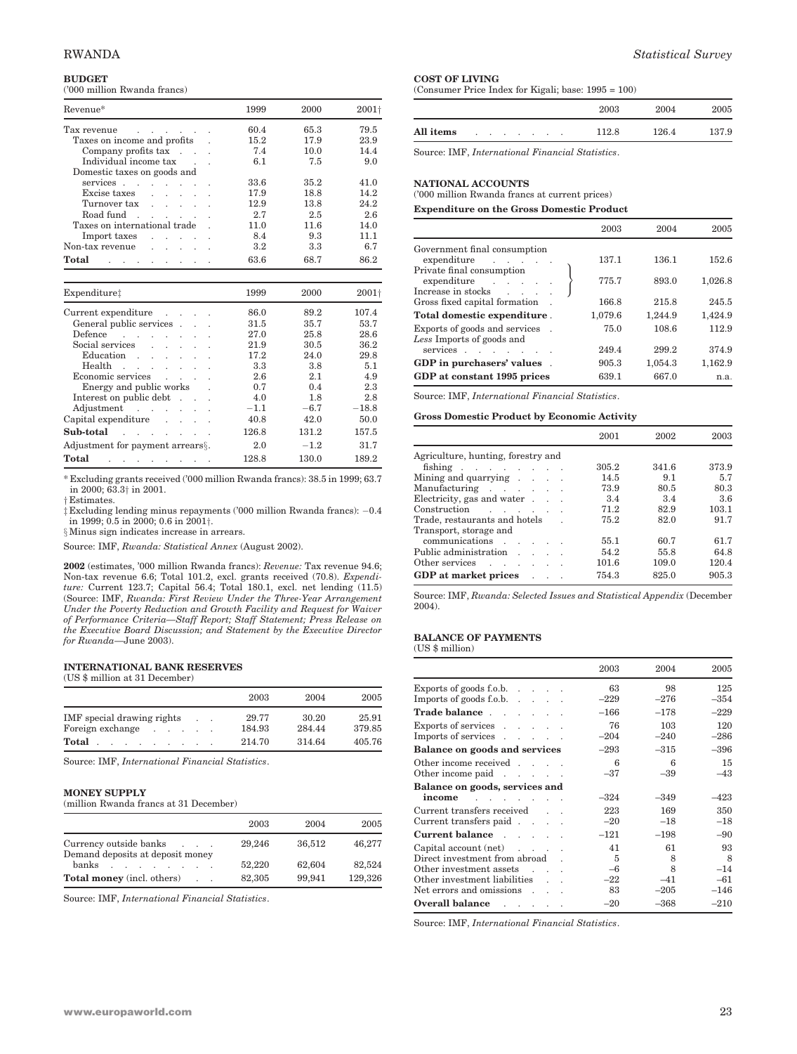#### BUDGET

('000 million Rwanda francs)

| Revenue*                     | 1999    | 2000  | $2001 +$      |
|------------------------------|---------|-------|---------------|
| Tax revenue                  | 60.4    | 65.3  | 79.5          |
| Taxes on income and profits  | 15.2    | 17.9  | 23.9          |
| Company profits tax          | 7.4     | 10.0  | 14.4          |
| Individual income tax        | 6.1     | 7.5   | 9.0           |
| Domestic taxes on goods and  |         |       |               |
| services.                    | 33.6    | 35.2  | 41.0          |
| Excise taxes<br>$\mathbf{r}$ | 17.9    | 18.8  | 14.2          |
| Turnover tax                 | 12.9    | 13.8  | 24.2          |
| Road fund                    | 2.7     | 2.5   | 2.6           |
| Taxes on international trade | 11.0    | 11.6  | 14.0          |
| Import taxes                 | 8.4     | 9.3   | 11.1          |
| Non-tax revenue              | $3.2\,$ | 3.3   | 6.7           |
| Total                        | 63.6    | 68.7  | 86.2          |
|                              |         |       |               |
| Expenditure:                 | 1999    | 2000  | $2001 +$      |
| Cumont ornonditure           | 96n     | ୧୦. ୨ | $107 \Lambda$ |

| Current expenditure                                                     | 86.0   | 89.2   | 107.4   |
|-------------------------------------------------------------------------|--------|--------|---------|
| General public services                                                 | 31.5   | 35.7   | 53.7    |
| Defence                                                                 | 27.0   | 25.8   | 28.6    |
| Social services<br><b>Contract Contract</b><br><b>Contract Contract</b> | 21.9   | 30.5   | 36.2    |
| Education<br>$\sim$ $\sim$ $\sim$                                       | 17.2   | 24.0   | 29.8    |
| Health.<br><b>Contract Contract</b><br>and the contract of the          | 3.3    | 3.8    | 5.1     |
| Economic services<br>$\mathbf{r}$<br>and the contract of                | 2.6    | 2.1    | 4.9     |
| Energy and public works .                                               | 0.7    | 0.4    | 2.3     |
| Interest on public debt                                                 | 4.0    | 1.8    | 2.8     |
| Adjustment                                                              | $-1.1$ | $-6.7$ | $-18.8$ |
| Capital expenditure                                                     | 40.8   | 42.0   | 50.0    |
| Sub-total                                                               | 126.8  | 131.2  | 157.5   |
| Adjustment for payment arrears §.                                       | 2.0    | $-1.2$ | 31.7    |
| Total<br>$\ddot{\phantom{0}}$<br>$\ddot{\phantom{0}}$                   | 128.8  | 130.0  | 189.2   |

\* Excluding grants received ('000 million Rwanda francs): 38.5 in 1999; 63.7 in 2000; 63.3y in 2001.

Estimates.

z Excluding lending minus repayments ('000 million Rwanda francs): 0.4 in 1999;  $0.5$  in 2000;  $0.6$  in 2001†.

x Minus sign indicates increase in arrears.

Source: IMF, Rwanda: Statistical Annex (August 2002).

2002 (estimates, '000 million Rwanda francs): Revenue: Tax revenue 94.6; Non-tax revenue 6.6; Total 101.2, excl. grants received (70.8). *Expendi-ture:* Current 123.7; Capital 56.4; Total 180.1, excl. net lending (11.5) (Source: IMF, Rwanda: First Review Under the Three-Year Arrangement Under the Poverty Reduction and Growth Facility and Request for Waiver of Performance Criteria—Staff Report; Staff Statement; Press Release on the Executive Board Discussion; and Statement by the Executive Director for Rwanda—June 2003).

## INTERNATIONAL BANK RESERVES

(US \$ million at 31 December)

|                                                                                                                                      | 2003                      | 2004                      | 2005                      |
|--------------------------------------------------------------------------------------------------------------------------------------|---------------------------|---------------------------|---------------------------|
| IMF special drawing rights<br>Foreign exchange<br>and the contract of the con-<br>Total.<br>the contract of the contract of the con- | 29.77<br>184.93<br>214.70 | 30.20<br>284.44<br>314.64 | 25.91<br>379.85<br>405.76 |

Source: IMF, International Financial Statistics.

#### MONEY SUPPLY

(million Rwanda francs at 31 December)

|                                                                                                      | 2003   | 2004   | 2005    |
|------------------------------------------------------------------------------------------------------|--------|--------|---------|
| Currency outside banks<br>$\mathbf{r} = \mathbf{r} + \mathbf{r}$<br>Demand deposits at deposit money | 29.246 | 36,512 | 46.277  |
| banks                                                                                                | 52,220 | 62,604 | 82.524  |
| <b>Total money</b> (incl. others)                                                                    | 82,305 | 99.941 | 129,326 |

Source: IMF, International Financial Statistics.

COST OF LIVING

(Consumer Price Index for Kigali; base: 1995 = 100)

|           |               |                                   |                         |  | 2003  | 2004  | 2005  |
|-----------|---------------|-----------------------------------|-------------------------|--|-------|-------|-------|
| All items | $\sim$ $\sim$ | <b>Contract Contract Contract</b> | and the contract of the |  | 112.8 | 126.4 | 137.9 |

Source: IMF, International Financial Statistics.

#### NATIONAL ACCOUNTS

('000 million Rwanda francs at current prices)

Expenditure on the Gross Domestic Product

|                                                                              | 2003    | 2004    | 2005    |
|------------------------------------------------------------------------------|---------|---------|---------|
| Government final consumption<br>expenditure<br>and the state of the state of | 137.1   | 136.1   | 152.6   |
| Private final consumption<br>expenditure<br>Increase in stocks               | 775.7   | 893.0   | 1.026.8 |
| Gross fixed capital formation                                                | 166.8   | 215.8   | 245.5   |
| Total domestic expenditure.                                                  | 1,079.6 | 1,244.9 | 1,424.9 |
| Exports of goods and services<br>Less Imports of goods and                   | 75.0    | 108.6   | 112.9   |
| services                                                                     | 249.4   | 299.2   | 374.9   |
| GDP in purchasers' values.                                                   | 905.3   | 1,054.3 | 1,162.9 |
| GDP at constant 1995 prices                                                  | 639.1   | 667.0   | n.a.    |
|                                                                              |         |         |         |

Source: IMF, International Financial Statistics.

### Gross Domestic Product by Economic Activity

|                                                      | 2001  | 2002  | 2003  |
|------------------------------------------------------|-------|-------|-------|
| Agriculture, hunting, forestry and                   |       |       |       |
| $fishing \dots \dots \dots \dots$                    | 305.2 | 341.6 | 373.9 |
| Mining and quarrying                                 | 14.5  | 9.1   | 5.7   |
| Manufacturing                                        | 73.9  | 80.5  | 80.3  |
| Electricity, gas and water                           | 3.4   | 3.4   | 3.6   |
| Construction<br>and a strategic control of the       | 71.2  | 82.9  | 103.1 |
| Trade, restaurants and hotels                        | 75.2  | 82.0  | 91.7  |
| Transport, storage and                               |       |       |       |
| communications.<br><b>Contract Contract Contract</b> | 55.1  | 60.7  | 61.7  |
| Public administration                                | 54.2  | 55.8  | 64.8  |
| Other services<br>and the control                    | 101.6 | 109.0 | 120.4 |
| <b>GDP</b> at market prices                          | 754.3 | 825.0 | 905.3 |

Source: IMF, Rwanda: Selected Issues and Statistical Appendix (December 2004).

### BALANCE OF PAYMENTS

(US \$ million)

|                                                            | 2003   | 2004   | 2005     |
|------------------------------------------------------------|--------|--------|----------|
| Exports of goods $f.o.b.$ .<br>$\sim$ $\sim$ $\sim$        | 63     | 98     | 125      |
| Imports of goods f.o.b<br>$\sim$<br>$\sim 10^{-10}$ $\sim$ | $-229$ | $-276$ | $-354$   |
| Trade balance.<br>$\sim$<br>$\sim$<br>$\sim$               | $-166$ | $-178$ | $-229$   |
| Exports of services<br>$\sim$<br>$\sim$                    | 76     | 103    | 120      |
| Imports of services<br><b>Contract Contract</b>            | $-204$ | $-240$ | $-286$   |
| <b>Balance on goods and services</b>                       | $-293$ | $-315$ | $-396$   |
| Other income received                                      | 6      | 6      | 15       |
| Other income paid.<br>and the control of                   | $-37$  | $-39$  | $-43$    |
| Balance on goods, services and                             |        |        |          |
| income<br>.                                                | $-324$ | $-349$ | -423     |
| Current transfers received<br>$\mathbf{r}$                 | 223    | 169    | 350      |
| Current transfers paid.<br>$\sim$                          | $-20$  | $-18$  | $-18$    |
| <b>Current balance</b><br>$\sim$<br>$\sim$                 | $-121$ | $-198$ | $-90$    |
| Capital account (net)                                      | 41     | 61     | 93       |
| Direct investment from abroad                              | 5      | 8      | 8        |
| Other investment assets<br>$\sim$ $\sim$                   | $-6$   | 8      | $-14$    |
| Other investment liabilities                               | $-22$  | $-41$  | $^{-61}$ |
| Net errors and omissions                                   | 83     | $-205$ | $-146$   |
| <b>Overall balance</b><br>$\sim$<br>$\sim$                 | $-20$  | $-368$ | $-210$   |

Source: IMF, International Financial Statistics.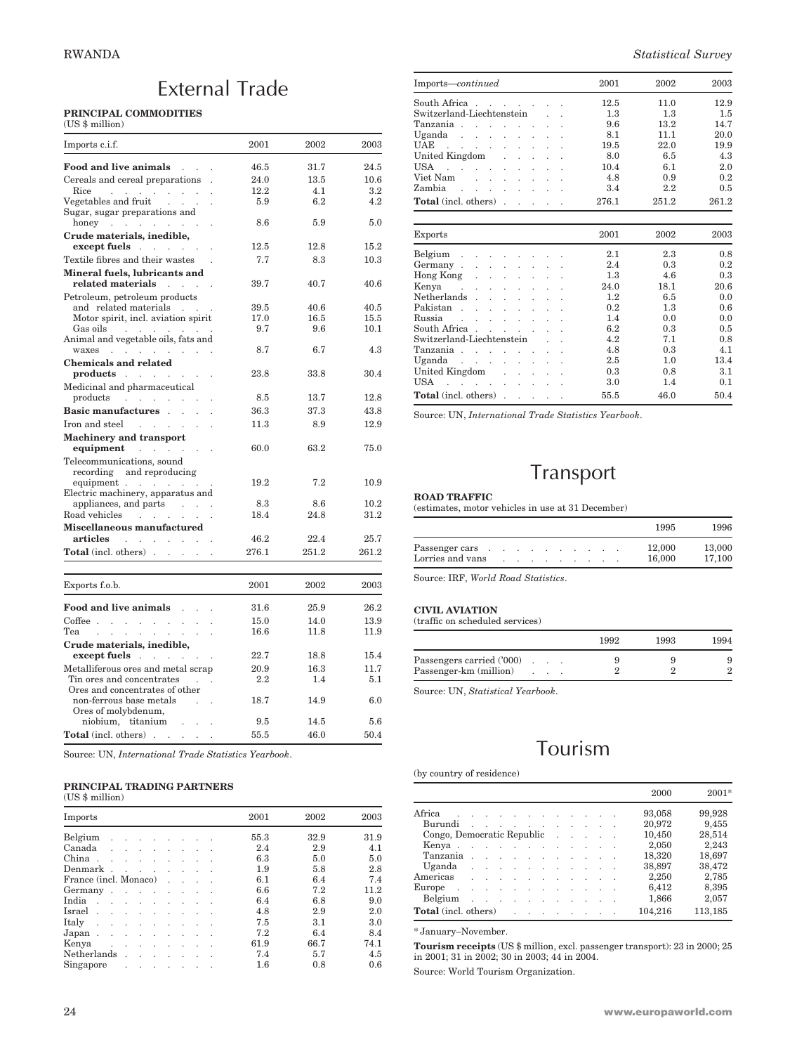## External Trade

## PRINCIPAL COMMODITIES

(US \$ million)

| Imports c.i.f.                                                                                                                                                                                                                          | 2001  | 2002  | 2003  |
|-----------------------------------------------------------------------------------------------------------------------------------------------------------------------------------------------------------------------------------------|-------|-------|-------|
| Food and live animals<br><b>Contractor</b>                                                                                                                                                                                              | 46.5  | 31.7  | 24.5  |
| Cereals and cereal preparations                                                                                                                                                                                                         | 24.0  | 13.5  | 10.6  |
| Rice<br>and a state of the state<br>$\ddot{\phantom{0}}$                                                                                                                                                                                | 12.2  | 4.1   | 3.2   |
| Vegetables and fruit                                                                                                                                                                                                                    | 5.9   | 6.2   | 4.2   |
| Sugar, sugar preparations and<br>honey<br>and the company of the company of                                                                                                                                                             | 8.6   | 5.9   | 5.0   |
| Crude materials, inedible,                                                                                                                                                                                                              |       |       |       |
| except fuels                                                                                                                                                                                                                            | 12.5  | 12.8  | 15.2  |
| Textile fibres and their wastes                                                                                                                                                                                                         | 7.7   | 8.3   | 10.3  |
| Mineral fuels, lubricants and                                                                                                                                                                                                           |       |       |       |
| related materials                                                                                                                                                                                                                       | 39.7  | 40.7  | 40.6  |
| Petroleum, petroleum products                                                                                                                                                                                                           |       |       |       |
| and related materials                                                                                                                                                                                                                   | 39.5  | 40.6  | 40.5  |
| Motor spirit, incl. aviation spirit                                                                                                                                                                                                     | 17.0  | 16.5  | 15.5  |
| Gas oils                                                                                                                                                                                                                                | 9.7   | 9.6   | 10.1  |
| Animal and vegetable oils, fats and                                                                                                                                                                                                     |       |       |       |
| and the contract of the contract of the contract of the contract of the contract of the contract of the contract of the contract of the contract of the contract of the contract of the contract of the contract of the contra<br>waxes | 8.7   | 6.7   | 4.3   |
| <b>Chemicals and related</b>                                                                                                                                                                                                            |       |       |       |
| products                                                                                                                                                                                                                                | 23.8  | 33.8  | 30.4  |
| Medicinal and pharmaceutical                                                                                                                                                                                                            |       |       |       |
| products<br>and the contract of the con-                                                                                                                                                                                                | 8.5   | 13.7  | 12.8  |
| Basic manufactures                                                                                                                                                                                                                      | 36.3  | 37.3  | 43.8  |
| Iron and steel                                                                                                                                                                                                                          | 11.3  | 8.9   | 12.9  |
| <b>Machinery and transport</b>                                                                                                                                                                                                          |       |       |       |
| equipment<br>and the company of the company of                                                                                                                                                                                          | 60.0  | 63.2  | 75.0  |
| Telecommunications, sound<br>recording and reproducing                                                                                                                                                                                  |       |       |       |
| equipment                                                                                                                                                                                                                               | 19.2  | 7.2   | 10.9  |
| Electric machinery, apparatus and                                                                                                                                                                                                       |       |       |       |
| appliances, and parts                                                                                                                                                                                                                   | 8.3   | 8.6   | 10.2  |
| Road vehicles                                                                                                                                                                                                                           | 18.4  | 24.8  | 31.2  |
| Miscellaneous manufactured                                                                                                                                                                                                              |       |       |       |
| articles<br><b>Contract</b>                                                                                                                                                                                                             | 46.2  | 22.4  | 25.7  |
| Total (incl. others)                                                                                                                                                                                                                    | 276.1 | 251.2 | 261.2 |

| Exports f.o.b.                                              | 2001 | 2002 | 2003 |
|-------------------------------------------------------------|------|------|------|
| Food and live animals.                                      | 31.6 | 25.9 | 26.2 |
| $C\text{offee}$                                             | 15.0 | 14.0 | 13.9 |
| Tea<br>and the contract of the con-                         | 16.6 | 11.8 | 11.9 |
| Crude materials, inedible,<br>except fuels                  | 22.7 | 18.8 | 15.4 |
| Metalliferous ores and metal scrap                          | 20.9 | 16.3 | 117  |
| Tin ores and concentrates<br>Ores and concentrates of other | 2.2  | 1.4  | 5.1  |
| non-ferrous base metals<br>Ores of molybdenum,              | 18.7 | 14.9 | 6.0  |
| niobium, titanium                                           | 9.5  | 14.5 | 5.6  |
| <b>Total</b> (incl. others).                                | 55.5 | 46.0 | 504  |

Source: UN, International Trade Statistics Yearbook.

#### PRINCIPAL TRADING PARTNERS (US \$ million)

| Imports               |    |                |         |        |                      |  |   | 2001    | 2002 | 2003 |
|-----------------------|----|----------------|---------|--------|----------------------|--|---|---------|------|------|
| Belgium               |    | $\sim$         |         |        |                      |  |   | 55.3    | 32.9 | 31.9 |
| Canada                |    |                |         |        |                      |  |   | 2.4     | 2.9  | 4.1  |
| China.                |    | $\overline{a}$ |         |        |                      |  |   | 6.3     | 5.0  | 5.0  |
| Denmark.              |    |                |         |        |                      |  |   | 1.9     | 5.8  | 2.8  |
| France (incl. Monaco) |    |                |         |        | ÷                    |  |   | 6.1     | 6.4  | 7.4  |
| Germany.              |    |                | $\sim$  | $\sim$ | ÷.                   |  |   | 6.6     | 7.2  | 11.2 |
| India                 |    |                |         |        |                      |  |   | 6.4     | 6.8  | 9.0  |
| Israel.               |    |                |         |        |                      |  |   | 4.8     | 2.9  | 2.0  |
| Italy                 | l. |                |         |        |                      |  |   | 7.5     | 3.1  | 3.0  |
| Japan.                |    | ÷.             |         |        |                      |  |   | 7.2     | 6.4  | 8.4  |
| Kenya                 |    |                |         |        |                      |  |   | 61.9    | 66.7 | 74.1 |
| Netherlands           |    |                |         |        |                      |  | × | 7.4     | 5.7  | 4.5  |
| Singapore             |    |                | $\cdot$ |        | $\ddot{\phantom{0}}$ |  |   | $1.6\,$ | 0.8  | 0.6  |

| Imports-continued                                          | 2001  | 2002  | 2003  |
|------------------------------------------------------------|-------|-------|-------|
| South Africa.                                              | 12.5  | 11.0  | 12.9  |
| $\sim$<br>Switzerland-Liechtenstein                        | 1.3   | 1.3   | 1.5   |
|                                                            |       |       | 14.7  |
| Tanzania<br>$\overline{\phantom{a}}$                       | 9.6   | 13.2  |       |
| Uganda<br>$\overline{a}$                                   | 8.1   | 11.1  | 20.0  |
| <b>UAE</b><br>ä,                                           | 19.5  | 22.0  | 19.9  |
| <b>United Kingdom</b><br>$\overline{a}$<br>l,<br>ä,        | 8.0   | 6.5   | 4.3   |
| <b>USA</b><br>$\sim$                                       | 10.4  | 6.1   | 2.0   |
| Viet Nam                                                   | 4.8   | 0.9   | 0.2   |
| Zambia                                                     | 3.4   | 2.2   | 0.5   |
| Total (incl. others)                                       | 276.1 | 251.2 | 261.2 |
|                                                            |       |       |       |
| Exports                                                    | 2001  | 2002  | 2003  |
| Belgium<br>l.                                              | 2.1   | 2.3   | 0.8   |
| Germany.<br>÷.                                             | 2.4   | 0.3   | 0.2   |
| Hong Kong<br>$\ddot{\phantom{0}}$                          | 1.3   | 4.6   | 0.3   |
| Kenva<br><b>Contract</b><br>$\overline{a}$                 | 24.0  | 18.1  | 20.6  |
| Netherlands                                                | 1.2   | 6.5   | 0.0   |
| Pakistan                                                   | 0.2   | 1.3   | 0.6   |
| Russia<br>l.                                               | 1.4   | 0.0   | 0.0   |
| South Africa                                               | 6.2   | 0.3   | 0.5   |
| Switzerland-Liechtenstein                                  | 4.2   | 7.1   | 0.8   |
| Tanzania<br>$\overline{\phantom{a}}$                       | 4.8   | 0.3   | 4.1   |
| Uganda<br>$\mathbf{r}$<br>$\overline{a}$<br>$\overline{a}$ | 2.5   | 1.0   | 13.4  |
| United Kingdom                                             | 0.3   | 0.8   | 3.1   |
| USA<br>$\sim$                                              | 3.0   | 1.4   | 0.1   |
| Total (incl. others)<br>l.                                 | 55.5  | 46.0  | 50.4  |

Source: UN, International Trade Statistics Yearbook.

## Transport

### ROAD TRAFFIC

(estimates, motor vehicles in use at 31 December)

|                                    |  |                                                                                                                                                                                                                               |  |  |  | 1995             | 1996             |
|------------------------------------|--|-------------------------------------------------------------------------------------------------------------------------------------------------------------------------------------------------------------------------------|--|--|--|------------------|------------------|
| Passenger cars<br>Lorries and vans |  | a construction of the construction of the construction of the construction of the construction of the construction of the construction of the construction of the construction of the construction of the construction of the |  |  |  | 12,000<br>16,000 | 13,000<br>17.100 |

Source: IRF, World Road Statistics.

## CIVIL AVIATION

(traffic on scheduled services)

|                                                     |  | 1992 | 1993 | 1994 |
|-----------------------------------------------------|--|------|------|------|
| Passengers carried ('000)<br>Passenger-km (million) |  |      |      |      |

Source: UN, Statistical Yearbook.

## Tourism

| (by country of residence)   |  |  |  |                                   |                      |                 |           |        |  |  |  |         |         |
|-----------------------------|--|--|--|-----------------------------------|----------------------|-----------------|-----------|--------|--|--|--|---------|---------|
|                             |  |  |  |                                   |                      |                 |           |        |  |  |  | 2000    | $2001*$ |
| Africa                      |  |  |  |                                   |                      |                 |           |        |  |  |  | 93,058  | 99,928  |
| Burundi                     |  |  |  |                                   |                      |                 |           |        |  |  |  | 20,972  | 9,455   |
| Congo, Democratic Republic  |  |  |  |                                   |                      |                 | ä,        | $\sim$ |  |  |  | 10,450  | 28,514  |
| Kenya.                      |  |  |  | and the company of the company of |                      |                 |           |        |  |  |  | 2,050   | 2,243   |
| Tanzania                    |  |  |  |                                   | $\lambda$            |                 |           |        |  |  |  | 18,320  | 18,697  |
| Uganda                      |  |  |  |                                   | ×                    | $\mathbf{r}$    |           |        |  |  |  | 38,897  | 38,472  |
| Americas                    |  |  |  |                                   |                      |                 |           |        |  |  |  | 2,250   | 2,785   |
| Europe.                     |  |  |  |                                   | ×                    |                 |           |        |  |  |  | 6,412   | 8,395   |
| Belgium                     |  |  |  |                                   | ×                    |                 |           |        |  |  |  | 1,866   | 2,057   |
| <b>Total</b> (incl. others) |  |  |  | ×.                                | $\ddot{\phantom{a}}$ | $\sim$ 10 $\mu$ | $\bullet$ | $\sim$ |  |  |  | 104.216 | 113,185 |

\* January–November.

Tourism receipts (US \$ million, excl. passenger transport): 23 in 2000; 25 in 2001; 31 in 2002; 30 in 2003; 44 in 2004.

Source: World Tourism Organization.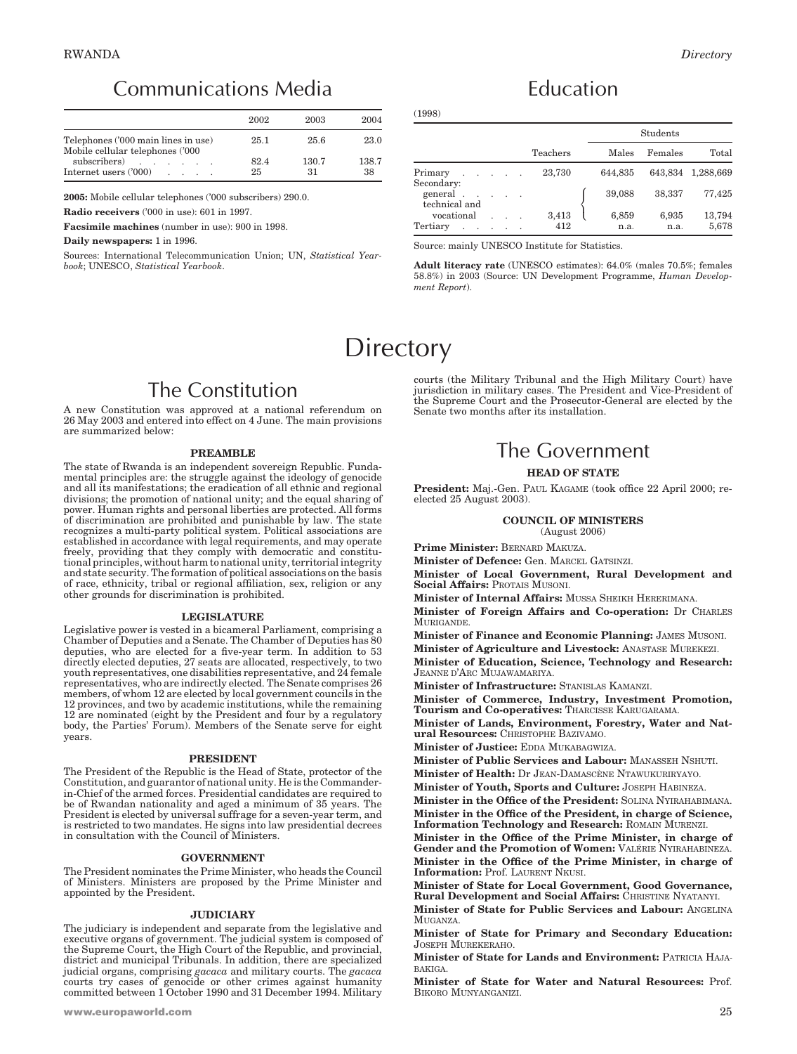## Communications Media

|                                                                         | 2002       | 2003        | 2004        |
|-------------------------------------------------------------------------|------------|-------------|-------------|
| Telephones ('000 main lines in use)<br>Mobile cellular telephones ('000 | 25.1       | 25.6        | 23.0        |
| subscribers)<br>Internet users ('000)                                   | 82.4<br>25 | 130.7<br>31 | 138.7<br>38 |

2005: Mobile cellular telephones ('000 subscribers) 290.0.

Radio receivers ('000 in use): 601 in 1997.

Facsimile machines (number in use): 900 in 1998.

Daily newspapers: 1 in 1996.

Sources: International Telecommunication Union; UN, Statistical Yearbook; UNESCO, Statistical Yearbook.

## Education

(1998)

|                                                        |  |              |               | Students      |                   |
|--------------------------------------------------------|--|--------------|---------------|---------------|-------------------|
|                                                        |  | Teachers     | Males         | Females       | Total             |
| Primary<br>and the state of the state of<br>Secondary: |  | 23,730       | 644.835       |               | 643.834 1.288.669 |
| general.<br>technical and                              |  |              | 39,088        | 38,337        | 77,425            |
| vocational<br>Tertiary                                 |  | 3,413<br>412 | 6,859<br>n.a. | 6,935<br>n.a. | 13,794<br>5,678   |

Source: mainly UNESCO Institute for Statistics.

Adult literacy rate (UNESCO estimates): 64.0% (males 70.5%; females 58.8%) in 2003 (Source: UN Development Programme, Human Development Report).

## **Directory**

## The Constitution

A new Constitution was approved at a national referendum on 26 May 2003 and entered into effect on 4 June. The main provisions are summarized below:

#### PREAMBLE

The state of Rwanda is an independent sovereign Republic. Fundamental principles are: the struggle against the ideology of genocide and all its manifestations; the eradication of all ethnic and regional divisions; the promotion of national unity; and the equal sharing of power. Human rights and personal liberties are protected. All forms of discrimination are prohibited and punishable by law. The state recognizes a multi-party political system. Political associations are established in accordance with legal requirements, and may operate freely, providing that they comply with democratic and constitutional principles, without harm to national unity, territorial integrity and state security. The formation of political associations on the basis of race, ethnicity, tribal or regional affiliation, sex, religion or any other grounds for discrimination is prohibited.

#### LEGISLATURE

Legislative power is vested in a bicameral Parliament, comprising a Chamber of Deputies and a Senate. The Chamber of Deputies has 80 deputies, who are elected for a five-year term. In addition to 53 directly elected deputies, 27 seats are allocated, respectively, to two youth representatives, one disabilities representative, and 24 female representatives, who are indirectly elected. The Senate comprises 26 members, of whom 12 are elected by local government councils in the 12 provinces, and two by academic institutions, while the remaining 12 are nominated (eight by the President and four by a regulatory body, the Parties' Forum). Members of the Senate serve for eight years.

#### PRESIDENT

The President of the Republic is the Head of State, protector of the Constitution, and guarantor of national unity. He is the Commanderin-Chief of the armed forces. Presidential candidates are required to be of Rwandan nationality and aged a minimum of 35 years. The President is elected by universal suffrage for a seven-year term, and is restricted to two mandates. He signs into law presidential decrees in consultation with the Council of Ministers.

#### GOVERNMENT

The President nominates the Prime Minister, who heads the Council of Ministers. Ministers are proposed by the Prime Minister and appointed by the President.

#### JUDICIARY

The judiciary is independent and separate from the legislative and executive organs of government. The judicial system is composed of the Supreme Court, the High Court of the Republic, and provincial, district and municipal Tribunals. In addition, there are specialized judicial organs, comprising gacaca and military courts. The gacaca courts try cases of genocide or other crimes against humanity committed between 1 October 1990 and 31 December 1994. Military

courts (the Military Tribunal and the High Military Court) have jurisdiction in military cases. The President and Vice-President of the Supreme Court and the Prosecutor-General are elected by the Senate two months after its installation.

## The Government

## HEAD OF STATE

President: Maj.-Gen. PAUL KAGAME (took office 22 April 2000; reelected 25 August 2003).

#### COUNCIL OF MINISTERS (August 2006)

Prime Minister: BERNARD MAKUZA.

Minister of Defence: Gen. MARCEL GATSINZI.

Minister of Local Government, Rural Development and Social Affairs: PROTAIS MUSONI.

Minister of Internal Affairs: MUSSA SHEIKH HERERIMANA.

Minister of Foreign Affairs and Co-operation: Dr CHARLES **MURIGANDE** 

Minister of Finance and Economic Planning: JAMES MUSONI. Minister of Agriculture and Livestock: ANASTASE MUREKEZI. Minister of Education, Science, Technology and Research: JEANNE D'ARC MUJAWAMARIYA.

Minister of Infrastructure: STANISLAS KAMANZI.

Minister of Commerce, Industry, Investment Promotion, Tourism and Co-operatives: THARCISSE KARUGARAMA.

Minister of Lands, Environment, Forestry, Water and Natural Resources: CHRISTOPHE BAZIVAMO.

Minister of Justice: EDDA MUKABAGWIZA.

Minister of Public Services and Labour: MANASSEH NSHUTI.

Minister of Health: Dr JEAN-DAMASCÈNE NTAWUKURIRYAYO.

Minister of Youth, Sports and Culture: JOSEPH HABINEZA.

Minister in the Office of the President: SOLINA NYIRAHABIMANA. Minister in the Office of the President, in charge of Science, Information Technology and Research: ROMAIN MURENZI.

Minister in the Office of the Prime Minister, in charge of Gender and the Promotion of Women: VALÉRIE NYIRAHABINEZA. Minister in the Office of the Prime Minister, in charge of Information: Prof. LAURENT NKUSI.

Minister of State for Local Government, Good Governance, Rural Development and Social Affairs: CHRISTINE NYATANYI.

Minister of State for Public Services and Labour: ANGELINA MUGANZA.

Minister of State for Primary and Secondary Education: JOSEPH MUREKERAHO.

Minister of State for Lands and Environment: PATRICIA HAJA-**BAKIGA** 

Minister of State for Water and Natural Resources: Prof. BIKORO MUNYANGANIZI.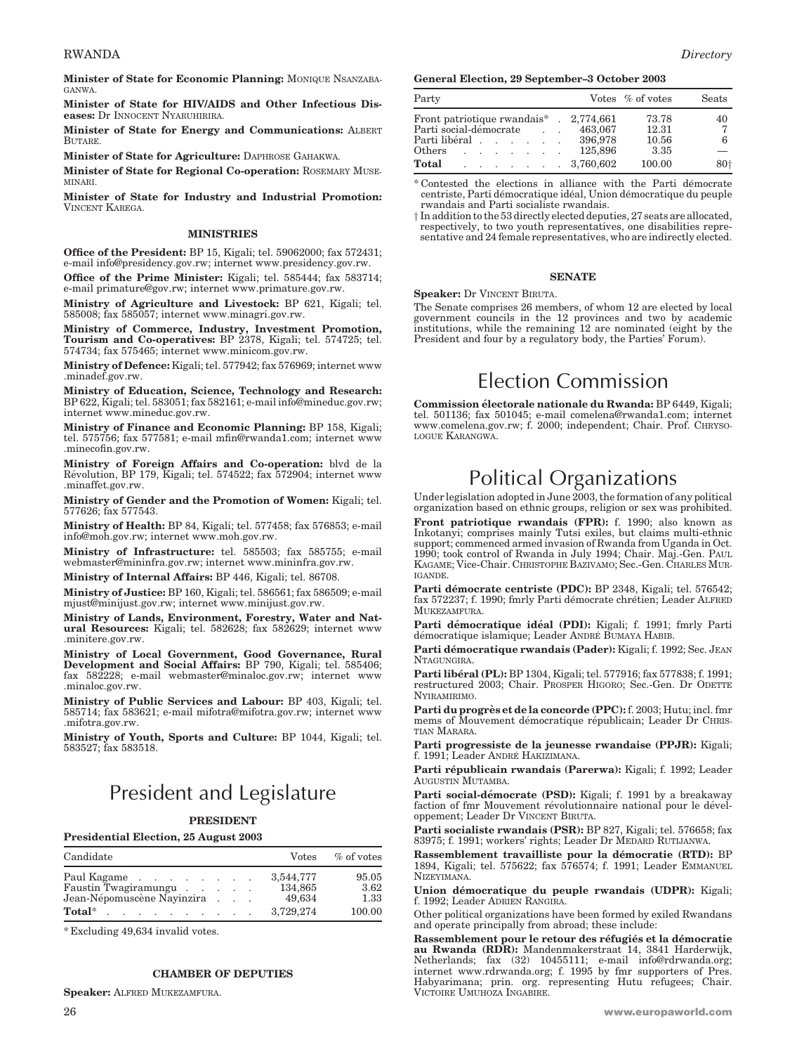Minister of State for Economic Planning: MONIQUE NSANZABA-GANWA.

Minister of State for HIV/AIDS and Other Infectious Diseases: Dr INNOCENT NYARUHIRIRA.

Minister of State for Energy and Communications: ALBERT BUTARE.

Minister of State for Agriculture: DAPHROSE GAHAKWA.

Minister of State for Regional Co-operation: ROSEMARY MUSE-MINARI.

Minister of State for Industry and Industrial Promotion: VINCENT KAREGA.

#### **MINISTRIES**

Office of the President: BP 15, Kigali; tel. 59062000; fax 572431; e-mail info@presidency.gov.rw; internet www.presidency.gov.rw.

Office of the Prime Minister: Kigali; tel. 585444; fax 583714; e-mail primature@gov.rw; internet www.primature.gov.rw.

Ministry of Agriculture and Livestock: BP 621, Kigali; tel. 585008; fax 585057; internet www.minagri.gov.rw.

Ministry of Commerce, Industry, Investment Promotion, Tourism and Co-operatives: BP 2378, Kigali; tel. 574725; tel. 574734; fax 575465; internet www.minicom.gov.rw.

Ministry of Defence: Kigali; tel. 577942; fax 576969; internet www .minadef.gov.rw.

Ministry of Education, Science, Technology and Research: BP 622, Kigali; tel. 583051; fax 582161; e-mail info@mineduc.gov.rw; internet www.mineduc.gov.rw.

Ministry of Finance and Economic Planning: BP 158, Kigali; tel. 575756; fax 577581; e-mail mfin@rwanda1.com; internet www .minecofin.gov.rw.

Ministry of Foreign Affairs and Co-operation: blvd de la Révolution, BP 179, Kigali; tel. 574522; fax 572904; internet www .minaffet.gov.rw.

Ministry of Gender and the Promotion of Women: Kigali; tel. 577626; fax 577543.

Ministry of Health: BP 84, Kigali; tel. 577458; fax 576853; e-mail info@moh.gov.rw; internet www.moh.gov.rw.

Ministry of Infrastructure: tel. 585503; fax 585755; e-mail webmaster@mininfra.gov.rw; internet www.mininfra.gov.rw.

Ministry of Internal Affairs: BP 446, Kigali; tel. 86708.

Ministry of Justice: BP 160, Kigali; tel. 586561; fax 586509; e-mail mjust@minijust.gov.rw; internet www.minijust.gov.rw.

Ministry of Lands, Environment, Forestry, Water and Natural Resources: Kigali; tel. 582628; fax 582629; internet www .minitere.gov.rw.

Ministry of Local Government, Good Governance, Rural Development and Social Affairs: BP 790, Kigali; tel. 585406; fax 582228; e-mail webmaster@minaloc.gov.rw; internet www .minaloc.gov.rw.

Ministry of Public Services and Labour: BP 403, Kigali; tel. 585714; fax 583621; e-mail mifotra@mifotra.gov.rw; internet www .mifotra.gov.rw.

Ministry of Youth, Sports and Culture: BP 1044, Kigali; tel. 583527; fax 583518.

## President and Legislature

### PRESIDENT

### Presidential Election, 25 August 2003

| Candidate                                                                               |  | <b>V</b> otes                               | $%$ of votes                    |
|-----------------------------------------------------------------------------------------|--|---------------------------------------------|---------------------------------|
| Paul Kagame<br>Faustin Twagiramungu<br>Jean-Népomuscène Navinzira<br>Total <sup>*</sup> |  | 3,544,777<br>134,865<br>49,634<br>3,729,274 | 95.05<br>3.62<br>1.33<br>100.00 |

\* Excluding 49,634 invalid votes.

### CHAMBER OF DEPUTIES

Speaker: ALFRED MUKEZAMFURA.

General Election, 29 September–3 October 2003

| Party                                                                                                                                                                                                                                                                                                                                                                                                                                          |  |                                            | Votes % of votes                          | Seats               |
|------------------------------------------------------------------------------------------------------------------------------------------------------------------------------------------------------------------------------------------------------------------------------------------------------------------------------------------------------------------------------------------------------------------------------------------------|--|--------------------------------------------|-------------------------------------------|---------------------|
| Front patriotique rwandais <sup>*</sup> $.2,774,661$<br>Parti social-démocrate<br>Parti libéral<br>Others<br>$\mathbf{r}$ . The contract of the contract of the contract of the contract of the contract of the contract of the contract of the contract of the contract of the contract of the contract of the contract of the contract of th<br>Total<br>$\mathbf{r} = \mathbf{r} - \mathbf{r}$ , and $\mathbf{r} = \mathbf{r} - \mathbf{r}$ |  | 463.067<br>396,978<br>125,896<br>3,760,602 | 73.78<br>12.31<br>10.56<br>3.35<br>100.00 | 40<br>7<br>6<br>80† |

\* Contested the elections in alliance with the Parti démocrate centriste, Parti démocratique idéal, Union démocratique du peuple rwandais and Parti socialiste rwandais.

y In addition to the 53 directly elected deputies, 27 seats are allocated, respectively, to two youth representatives, one disabilities representative and 24 female representatives, who are indirectly elected.

#### SENATE

### Speaker: Dr VINCENT BIRUTA.

The Senate comprises 26 members, of whom 12 are elected by local government councils in the 12 provinces and two by academic institutions, while the remaining 12 are nominated (eight by the President and four by a regulatory body, the Parties' Forum).

## Election Commission

Commission électorale nationale du Rwanda: BP 6449, Kigali; tel. 501136; fax 501045; e-mail comelena@rwanda1.com; internet www.comelena.gov.rw; f. 2000; independent; Chair. Prof. CHRYSO-LOGUE KARANGWA.

## Political Organizations

Under legislation adopted in June 2003, the formation of any political organization based on ethnic groups, religion or sex was prohibited.

Front patriotique rwandais (FPR): f. 1990; also known as Inkotanyi; comprises mainly Tutsi exiles, but claims multi-ethnic support; commenced armed invasion of Rwanda from Uganda in Oct. 1990; took control of Rwanda in July 1994; Chair. Maj.-Gen. PAUL KAGAME; Vice-Chair. CHRISTOPHE BAZIVAMO; Sec.-Gen. CHARLES MUR-IGANDE.

Parti démocrate centriste (PDC): BP 2348, Kigali; tel. 576542; fax 572237; f. 1990; fmrly Parti démocrate chrétien; Leader ALFRED MUKEZAMFURA.

Parti démocratique idéal (PDI): Kigali; f. 1991; fmrly Parti démocratique islamique; Leader ANDRÉ BUMAYA HABIB.

Parti démocratique rwandais (Pader): Kigali; f. 1992; Sec. JEAN **NTAGUNGIRA** 

Parti libéral (PL): BP 1304, Kigali; tel. 577916; fax 577838; f. 1991; restructured 2003; Chair. PROSPER HIGORO; Sec.-Gen. Dr ODETTE **NYIRAMIRIMO** 

Parti du progrès et de la concorde (PPC): f. 2003; Hutu; incl. fmr mems of Mouvement démocratique républicain; Leader Dr CHRIS-TIAN MARARA

**Parti progressiste de la jeunesse rwandaise (PPJR):** Kigali;<br>f. 1991; Leader ANDRÉ HAKIZIMANA.

Parti républicain rwandais (Parerwa): Kigali; f. 1992; Leader AUGUSTIN MUTAMBA.

Parti social-démocrate (PSD): Kigali; f. 1991 by a breakaway faction of fmr Mouvement révolutionnaire national pour le développement; Leader Dr VINCENT BIRUTA.

Parti socialiste rwandais (PSR): BP 827, Kigali; tel. 576658; fax 83975; f. 1991; workers' rights; Leader Dr MEDARD RUTIJANWA.

Rassemblement travailliste pour la démocratie (RTD): BP 1894, Kigali; tel. 575622; fax 576574; f. 1991; Leader EMMANUEL NIZEYIMANA.

Union démocratique du peuple rwandais (UDPR): Kigali; f. 1992; Leader ADRIEN RANGIRA.

Other political organizations have been formed by exiled Rwandans and operate principally from abroad; these include:

Rassemblement pour le retour des réfugiés et la démocratie au Rwanda (RDR): Mandenmakerstraat 14, 3841 Harderwijk, Netherlands; fax (32) 10455111; e-mail info@rdrwanda.org; internet www.rdrwanda.org; f. 1995 by fmr supporters of Pres. Habyarimana; prin. org. representing Hutu refugees; Chair. VICTOIRE UMUHOZA INGABIRE.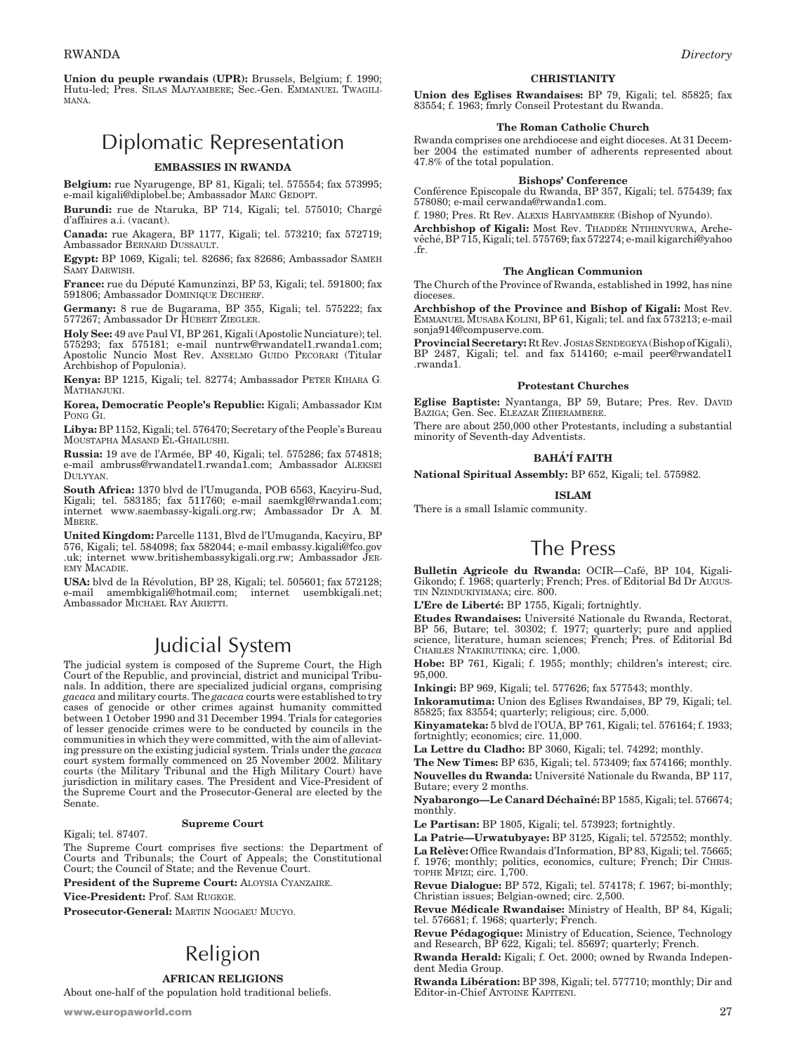Union du peuple rwandais (UPR): Brussels, Belgium; f. 1990; Hutu-led; Pres. SILAS MAJYAMBERE; Sec.-Gen. EMMANUEL TWAGILI-MANA.

## Diplomatic Representation

## EMBASSIES IN RWANDA

Belgium: rue Nyarugenge, BP 81, Kigali; tel. 575554; fax 573995; e-mail kigali@diplobel.be; Ambassador MARC GEDOPT.

Burundi: rue de Ntaruka, BP 714, Kigali; tel. 575010; Chargé d'affaires a.i. (vacant).

Canada: rue Akagera, BP 1177, Kigali; tel. 573210; fax 572719; Ambassador BERNARD DUSSAULT.

Egypt: BP 1069, Kigali; tel. 82686; fax 82686; Ambassador SAMEH SAMY DARWISH.

France: rue du Député Kamunzinzi, BP 53, Kigali; tel. 591800; fax 591806; Ambassador DOMINIQUE DECHERF.

**Germany:** 8 rue de Bugarama, BP 355, Kigali; tel. 575222; fax<br>577267; Ambassador Dr Hübert Ziegler.

Holy See: 49 ave Paul VI, BP 261, Kigali (Apostolic Nunciature); tel. 575293; fax 575181; e-mail nuntrw@rwandatel1.rwanda1.com; Apostolic Nuncio Most Rev. ANSELMO GUIDO PECORARI (Titular Archbishop of Populonia).

Kenya: BP 1215, Kigali; tel. 82774; Ambassador PETER KIHARA G. MATHANJUKI.

Korea, Democratic People's Republic: Kigali; Ambassador KIM PONG GI.

**Libya:** BP 1152, Kigali; tel. 576470; Secretary of the People's Bureau<br>Моиѕтарна Маѕалр Ег.-Gнаплиян.

Russia: 19 ave de l'Armée, BP 40, Kigali; tel. 575286; fax 574818; e-mail ambruss@rwandatel1.rwanda1.com; Ambassador ALEKSEI DULYYAN.

South Africa: 1370 blvd de l'Umuganda, POB 6563, Kacyiru-Sud, Kigali; tel. 583185; fax 511760; e-mail saemkgl@rwanda1.com; internet www.saembassy-kigali.org.rw; Ambassador Dr A. M. MBERE.

United Kingdom: Parcelle 1131, Blvd de l'Umuganda, Kacyiru, BP 576, Kigali; tel. 584098; fax 582044; e-mail embassy.kigali@fco.gov .uk; internet www.britishembassykigali.org.rw; Ambassador JER-EMY MACADIE.

USA: blvd de la Révolution, BP 28, Kigali; tel. 505601; fax 572128; e-mail amembkigali@hotmail.com; internet usembkigali.net; Ambassador MICHAEL RAY ARIETTI.

## Judicial System

The judicial system is composed of the Supreme Court, the High Court of the Republic, and provincial, district and municipal Tribu-nals. In addition, there are specialized judicial organs, comprising gacaca and military courts. The gacaca courts were established to try cases of genocide or other crimes against humanity committed between 1 October 1990 and 31 December 1994. Trials for categories of lesser genocide crimes were to be conducted by councils in the communities in which they were committed, with the aim of alleviat-ing pressure on the existing judicial system. Trials under the gacaca court system formally commenced on 25 November 2002. Military courts (the Military Tribunal and the High Military Court) have jurisdiction in military cases. The President and Vice-President of the Supreme Court and the Prosecutor-General are elected by the Senate.

#### Supreme Court

Kigali; tel. 87407.

The Supreme Court comprises five sections: the Department of Courts and Tribunals; the Court of Appeals; the Constitutional Court; the Council of State; and the Revenue Court.

President of the Supreme Court: ALOYSIA CYANZAIRE.

Vice-President: Prof. SAM RUGEGE.

Prosecutor-General: MARTIN NGOGAEU MUCYO.

## Religion

### AFRICAN RELIGIONS

About one-half of the population hold traditional beliefs.

### **CHRISTIANITY**

Union des Eglises Rwandaises: BP 79, Kigali; tel. 85825; fax 83554; f. 1963; fmrly Conseil Protestant du Rwanda.

#### The Roman Catholic Church

Rwanda comprises one archdiocese and eight dioceses. At 31 December 2004 the estimated number of adherents represented about 47.8% of the total population.

#### Bishops' Conference

Conférence Episcopale du Rwanda, BP 357, Kigali; tel. 575439; fax 578080; e-mail cerwanda@rwanda1.com.

f. 1980; Pres. Rt Rev. ALEXIS HABIYAMBERE (Bishop of Nyundo).

Archbishop of Kigali: Most Rev. THADDÉE NTIHINYURWA, Archevêché, BP 715, Kigali; tel. 575769; fax 572274; e-mail kigarchi@yahoo .fr.

#### The Anglican Communion

The Church of the Province of Rwanda, established in 1992, has nine dioceses.

Archbishop of the Province and Bishop of Kigali: Most Rev. EMMANUEL MUSABA KOLINI, BP 61, Kigali; tel. and fax 573213; e-mail sonja914@compuserve.com.

Provincial Secretary: Rt Rev. JOSIAS SENDEGEYA (Bishop of Kigali), BP 2487, Kigali; tel. and fax 514160; e-mail peer@rwandatel1 .rwanda1.

#### Protestant Churches

Eglise Baptiste: Nyantanga, BP 59, Butare; Pres. Rev. DAVID BAZIGA; Gen. Sec. ELEAZAR ZIHERAMBERE.

There are about 250,000 other Protestants, including a substantial minority of Seventh-day Adventists.

### BAHÁ'Í FAITH

National Spiritual Assembly: BP 652, Kigali; tel. 575982.

#### ISLAM

There is a small Islamic community.

## The Press

Bulletin Agricole du Rwanda: OCIR—Café, BP 104, Kigali-<br>Gikondo; f. 1968; quarterly; French; Pres. of Editorial Bd Dr Augus-TIN NZINDUKIYIMANA; circ. 800.

L'Ere de Liberté: BP 1755, Kigali; fortnightly.

Etudes Rwandaises: Université Nationale du Rwanda, Rectorat, BP 56, Butare; tel. 30302; f. 1977; quarterly; pure and applied science, literature, human sciences; French; Pres. of Editorial Bd CHARLES NTAKIRUTINKA; circ. 1,000.

Hobe: BP 761, Kigali; f. 1955; monthly; children's interest; circ. 95,000.

Inkingi: BP 969, Kigali; tel. 577626; fax 577543; monthly.

Inkoramutima: Union des Eglises Rwandaises, BP 79, Kigali; tel. 85825; fax 83554; quarterly; religious; circ. 5,000.

Kinyamateka: 5 blvd de l'OUA, BP 761, Kigali; tel. 576164; f. 1933; fortnightly; economics; circ. 11,000.

La Lettre du Cladho: BP 3060, Kigali; tel. 74292; monthly.

The New Times: BP 635, Kigali; tel. 573409; fax 574166; monthly. Nouvelles du Rwanda: Université Nationale du Rwanda, BP 117, Butare; every 2 months.

Nyabarongo—Le Canard Déchaîné: BP 1585, Kigali; tel. 576674; monthly.

Le Partisan: BP 1805, Kigali; tel. 573923; fortnightly.

La Patrie—Urwatubyaye: BP 3125, Kigali; tel. 572552; monthly. La Relève: Office Rwandais d'Information, BP 83, Kigali; tel. 75665; f. 1976; monthly; politics, economics, culture; French; Dir CHRIS-TOPHE MFIZI; circ. 1,700.

Revue Dialogue: BP 572, Kigali; tel. 574178; f. 1967; bi-monthly; Christian issues; Belgian-owned; circ. 2,500.

Revue Médicale Rwandaise: Ministry of Health, BP 84, Kigali; tel. 576681; f. 1968; quarterly; French.

Revue Pédagogique: Ministry of Education, Science, Technology and Research, BP 622, Kigali; tel. 85697; quarterly; French.

Rwanda Herald: Kigali; f. Oct. 2000; owned by Rwanda Independent Media Group.

Rwanda Libération: BP 398, Kigali; tel. 577710; monthly; Dir and Editor-in-Chief ANTOINE KAPITENI.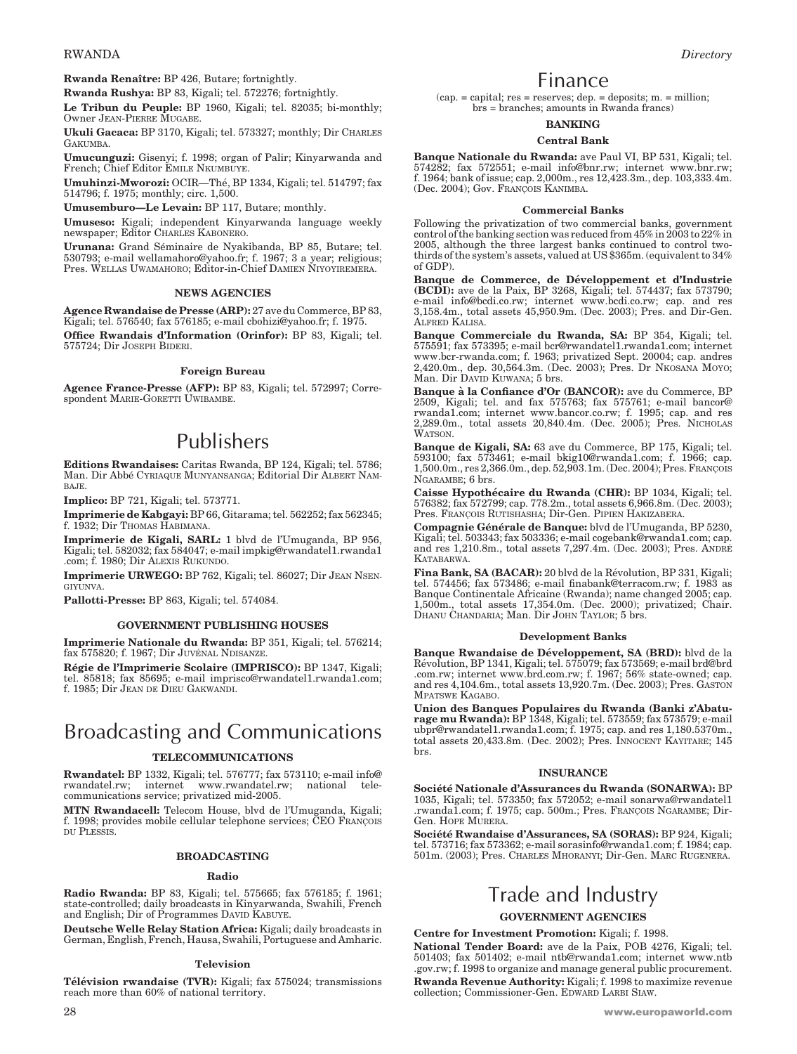### RWANDA *Directory*

Rwanda Renaître: BP 426, Butare; fortnightly.

Rwanda Rushya: BP 83, Kigali; tel. 572276; fortnightly.

Le Tribun du Peuple: BP 1960, Kigali; tel. 82035; bi-monthly; Owner JEAN-PIERRE MUGABE.

Ukuli Gacaca: BP 3170, Kigali; tel. 573327; monthly; Dir CHARLES GAKUMBA.

Umucunguzi: Gisenyi; f. 1998; organ of Palir; Kinyarwanda and French; Chief Editor EMILE NKUMBUYE.

Umuhinzi-Mworozi: OCIR—The´, BP 1334, Kigali; tel. 514797; fax 514796; f. 1975; monthly; circ. 1,500.

Umusemburo—Le Levain: BP 117, Butare; monthly.

Umuseso: Kigali; independent Kinyarwanda language weekly newspaper; Editor CHARLES KABONERO.

U**runana:** Grand Séminaire de Nyakibanda, BP 85, Butare; tel.<br>530793; e-mail wellamahoro@yahoo.fr; f. 1967; 3 a year; religious;<br>Pres. WELLAS UWAMAHORO; Editor-in-Chief DAMIEN NIYOYIREMERA.

### NEWS AGENCIES

Agence Rwandaise de Presse (ARP): 27 ave du Commerce, BP 83, Kigali; tel. 576540; fax 576185; e-mail cbohizi@yahoo.fr; f. 1975. Office Rwandais d'Information (Orinfor): BP 83, Kigali; tel. 575724; Dir JOSEPH BIDERI.

#### Foreign Bureau

Agence France-Presse (AFP): BP 83, Kigali; tel. 572997; Correspondent MARIE-GORETTI UWIBAMBE.

## Publishers

**Editions Rwandaises:** Caritas Rwanda, BP 124, Kigali; tel. 5786;<br>Man. Dir Abbé Cyrıaque Munyansanga; Editorial Dir Albert Nam-BAJE.

Implico: BP 721, Kigali; tel. 573771.

Imprimerie de Kabgayi: BP 66, Gitarama; tel. 562252; fax 562345; f. 1932; Dir Thomas Habimana.

Imprimerie de Kigali, SARL: 1 blvd de l'Umuganda, BP 956, Kigali; tel. 582032; fax 584047; e-mail impkig@rwandatel1.rwanda1 .com; f. 1980; Dir ALEXIS RUKUNDO.

Imprimerie URWEGO: BP 762, Kigali; tel. 86027; Dir JEAN NSEN-GIYUNVA.

Pallotti-Presse: BP 863, Kigali; tel. 574084.

#### GOVERNMENT PUBLISHING HOUSES

Imprimerie Nationale du Rwanda: BP 351, Kigali; tel. 576214; fax 575820; f. 1967; Dir JUVÉNAL NDISANZE.

Régie de l'Imprimerie Scolaire (IMPRISCO): BP 1347, Kigali; tel. 85818; fax 85695; e-mail imprisco@rwandatel1.rwanda1.com; f. 1985; Dir JEAN DE DIEU GAKWANDI.

## Broadcasting and Communications

## TELECOMMUNICATIONS

Rwandatel: BP 1332, Kigali; tel. 576777; fax 573110; e-mail info@ rwandatel.rw; internet www.rwandatel.rw; national telecommunications service; privatized mid-2005.

MTN Rwandacell: Telecom House, blvd de l'Umuganda, Kigali; f. 1998; provides mobile cellular telephone services; CEO FRANÇOIS DU PLESSIS.

#### BROADCASTING

#### Radio

Radio Rwanda: BP 83, Kigali; tel. 575665; fax 576185; f. 1961; state-controlled; daily broadcasts in Kinyarwanda, Swahili, French and English; Dir of Programmes DAVID KABUYE.

Deutsche Welle Relay Station Africa: Kigali; daily broadcasts in German, English, French, Hausa, Swahili, Portuguese and Amharic.

#### Television

Télévision rwandaise (TVR): Kigali; fax 575024; transmissions reach more than 60% of national territory.

## Finance

 $(cap. = capital; res = reserves; dep. = deposits; m. = million;$ brs = branches; amounts in Rwanda francs)

### **BANKING**

#### Central Bank

Banque Nationale du Rwanda: ave Paul VI, BP 531, Kigali; tel. 574282; fax 572551; e-mail info@bnr.rw; internet www.bnr.rw; f. 1964; bank of issue; cap. 2,000m., res 12,423.3m., dep. 103,333.4m. (Dec. 2004); Gov. François Kanimba.

#### Commercial Banks

Following the privatization of two commercial banks, government control of the banking section was reduced from 45% in 2003 to 22% in 2005, although the three largest banks continued to control twothirds of the system's assets, valued at US \$365m. (equivalent to 34% of GDP).

Banque de Commerce, de Développement et d'Industrie<br>(BCDI): ave de la Paix, BP 3268, Kigali; tel. 574437; fax 573790; e-mail info@bcdi.co.rw; internet www.bcdi.co.rw; cap. and res 3,158.4m., total assets 45,950.9m. (Dec. 2003); Pres. and Dir-Gen. ALFRED KALISA.

Banque Commerciale du Rwanda, SA: BP 354, Kigali; tel. 575591; fax 573395; e-mail bcr@rwandatel1.rwanda1.com; internet www.bcr-rwanda.com; f. 1963; privatized Sept. 20004; cap. andres 2,420.0m., dep. 30,564.3m. (Dec. 2003); Pres. Dr NKOSANA MOYO; Man. Dir DAVID KUWANA; 5 brs.

Banque à la Confiance d'Or (BANCOR): ave du Commerce, BP 2509, Kigali; tel. and fax 575763; fax 575761; e-mail bancor@ rwanda1.com; internet www.bancor.co.rw; f. 1995; cap. and res 2,289.0m., total assets 20,840.4m. (Dec. 2005); Pres. NICHOLAS WATSON.

Banque de Kigali, SA: 63 ave du Commerce, BP 175, Kigali; tel. 593100; fax 573461; e-mail bkig10@rwanda1.com; f. 1966; cap. 1,500.0m., res 2,366.0m., dep. 52,903.1m. (Dec. 2004); Pres. FRANÇOIS NGARAMBE; 6 brs.

**Caisse Hypothécaire du Rwanda (CHR):** BP 1034, Kigali; tel.<br>576382; fax 572799; cap. 778.2m., total assets 6,966.8m. (Dec. 2003); Pres. FRANÇOIS RUTISHASHA; Dir-Gen. PIPIEN HAKIZABERA.

Compagnie Générale de Banque: blvd de l'Umuganda, BP 5230, Kigali; tel. 503343; fax 503336; e-mail cogebank@rwanda1.com; cap. and res 1,210.8m., total assets 7,297.4m. (Dec. 2003); Pres. ANDRE´ KATABARWA.

Fina Bank, SA (BACAR): 20 blvd de la Révolution, BP 331, Kigali; tel. 574456; fax 573486; e-mail finabank@terracom.rw; f. 1983 as Banque Continentale Africaine (Rwanda); name changed 2005; cap. 1,500m., total assets 17,354.0m. (Dec. 2000); privatized; Chair. DHANU CHANDARIA; Man. Dir JOHN TAYLOR; 5 brs.

#### Development Banks

Banque Rwandaise de Développement, SA (BRD): blvd de la Re´volution, BP 1341, Kigali; tel. 575079; fax 573569; e-mail brd@brd .com.rw; internet www.brd.com.rw; f. 1967; 56% state-owned; cap. and res 4,104.6m., total assets 13,920.7m. (Dec. 2003); Pres. GASTON MPATSWE KAGABO.

Union des Banques Populaires du Rwanda (Banki z'Abaturage mu Rwanda): BP 1348, Kigali; tel. 573559; fax 573579; e-mail ubpr@rwandatel1.rwanda1.com; f. 1975; cap. and res 1,180.5370m., total assets 20,433.8m. (Dec. 2002); Pres. INNOCENT KAYITARE; 145 brs.

#### INSURANCE

Société Nationale d'Assurances du Rwanda (SONARWA): BP 1035, Kigali; tel. 573350; fax 572052; e-mail sonarwa@rwandatel1 rwanda1.com; f. 1975; cap. 500m.; Pres. FRANÇOIS NGARAMBE; Dir-Gen. HOPE MURERA.

Société Rwandaise d'Assurances, SA (SORAS): BP 924, Kigali; tel. 573716; fax 573362; e-mail sorasinfo@rwanda1.com; f. 1984; cap. 501m. (2003); Pres. CHARLES MHORANYI; Dir-Gen. MARC RUGENERA.

## Trade and Industry

### GOVERNMENT AGENCIES

Centre for Investment Promotion: Kigali; f. 1998. National Tender Board: ave de la Paix, POB 4276, Kigali; tel. 501403; fax 501402; e-mail ntb@rwanda1.com; internet www.ntb .gov.rw; f. 1998 to organize and manage general public procurement. Rwanda Revenue Authority: Kigali; f. 1998 to maximize revenue collection; Commissioner-Gen. EDWARD LARBI SIAW.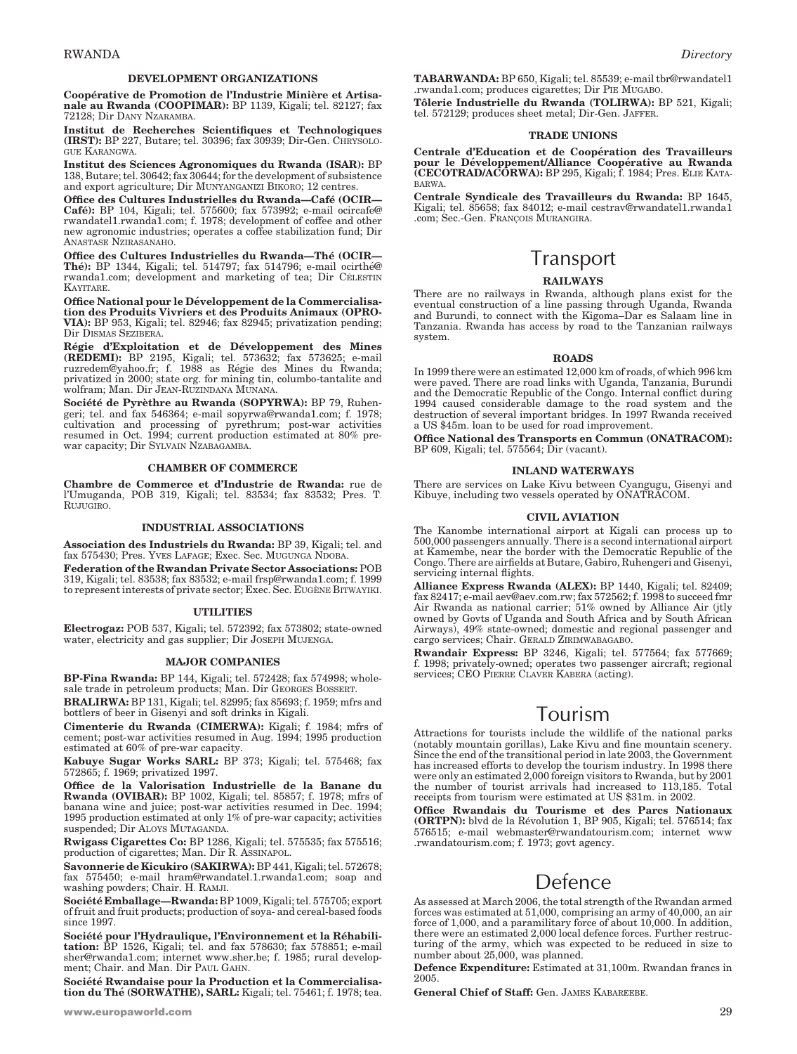#### DEVELOPMENT ORGANIZATIONS

Coopérative de Promotion de l'Industrie Minière et Artisanale au Rwanda (COOPIMAR): BP 1139, Kigali; tel. 82127; fax 72128; Dir DANY NZARAMBA.

Institut de Recherches Scientifiques et Technologiques (IRST): BP 227, Butare; tel. 30396; fax 30939; Dir-Gen. CHRYSOLO-GUE KARANGWA.

Institut des Sciences Agronomiques du Rwanda (ISAR): BP 138, Butare; tel. 30642; fax 30644; for the development of subsistence and export agriculture; Dir MUNYANGANIZI BIKORO; 12 centres.

Office des Cultures Industrielles du Rwanda—Cafe´ (OCIR— Cafe´): BP 104, Kigali; tel. 575600; fax 573992; e-mail ocircafe@ rwandatel1.rwanda1.com; f. 1978; development of coffee and other new agronomic industries; operates a coffee stabilization fund; Dir ANASTASE NZIRASANAHO.

**Office des Cultures Industrielles du Rwanda—Thé (OCIR—**<br>Thé): BP 1344, Kigali; tel. 514797; fax 514796; e-mail ocirthé@ rwanda1.com; development and marketing of tea; Dir CÉLESTIN KAYITARE.

Office National pour le Développement de la Commercialisation des Produits Vivriers et des Produits Animaux (OPRO-VIA): BP 953, Kigali; tel. 82946; fax 82945; privatization pending; Dir DISMAS SEZIBERA.

Régie d'Exploitation et de Développement des Mines (REDEMI): BP 2195, Kigali; tel. 573632; fax 573625; e-mail<br>ruzredem@yahoo.fr; f. 1988 as Régie des Mines du Rwanda; privatized in 2000; state org. for mining tin, columbo-tantalite and wolfram; Man. Dir JEAN-RUZINDANA MUNANA.

Société de Pyrèthre au Rwanda (SOPYRWA): BP 79, Ruhengeri; tel. and fax 546364; e-mail sopyrwa@rwanda1.com; f. 1978; cultivation and processing of pyrethrum; post-war activities resumed in Oct. 1994; current production estimated at 80% prewar capacity; Dir SYLVAIN NZABAGAMBA.

#### CHAMBER OF COMMERCE

Chambre de Commerce et d'Industrie de Rwanda: rue de l'Umuganda, POB 319, Kigali; tel. 83534; fax 83532; Pres. T. RUJUGIRO.

#### INDUSTRIAL ASSOCIATIONS

Association des Industriels du Rwanda: BP 39, Kigali; tel. and fax 575430; Pres. YVES LAFAGE; Exec. Sec. MUGUNGA NDOBA.

Federation of the Rwandan Private Sector Associations: POB 319, Kigali; tel. 83538; fax 83532; e-mail frsp@rwanda1.com; f. 1999 to represent interests of private sector; Exec. Sec. EUGÈNE BITWAYIKI.

#### UTILITIES

Electrogaz: POB 537, Kigali; tel. 572392; fax 573802; state-owned water, electricity and gas supplier; Dir JOSEPH MUJENGA.

#### MAJOR COMPANIES

BP-Fina Rwanda: BP 144, Kigali; tel. 572428; fax 574998; wholesale trade in petroleum products; Man. Dir GEORGES BOSSERT.

BRALIRWA: BP 131, Kigali; tel. 82995; fax 85693; f. 1959; mfrs and bottlers of beer in Gisenyi and soft drinks in Kigali.

Cimenterie du Rwanda (CIMERWA): Kigali; f. 1984; mfrs of cement; post-war activities resumed in Aug. 1994; 1995 production estimated at 60% of pre-war capacity.

Kabuye Sugar Works SARL: BP 373; Kigali; tel. 575468; fax 572865; f. 1969; privatized 1997.

Office de la Valorisation Industrielle de la Banane du Rwanda (OVIBAR): BP 1002, Kigali; tel. 85857; f. 1978; mfrs of banana wine and juice; post-war activities resumed in Dec. 1994; 1995 production estimated at only 1% of pre-war capacity; activities suspended; Dir ALOYS MUTAGANDA.

Rwigass Cigarettes Co: BP 1286, Kigali; tel. 575535; fax 575516; production of cigarettes; Man. Dir R. ASSINAPOL.

Savonnerie de Kicukiro (SAKIRWA): BP 441, Kigali; tel. 572678; fax 575450; e-mail hram@rwandatel.1.rwanda1.com; soap and washing powders; Chair. H. RAMJI.

Société Emballage-Rwanda: BP 1009, Kigali; tel. 575705; export of fruit and fruit products; production of soya- and cereal-based foods since 1997.

Société pour l'Hydraulique, l'Environnement et la Réhabili-<br>tation: BP 1526, Kigali; tel. and fax 578630; fax 578851; e-mail sher@rwanda1.com; internet www.sher.be; f. 1985; rural development; Chair. and Man. Dir PAUL GAHN.

Société Rwandaise pour la Production et la Commercialisation du Thé (SORWATHE), SARL: Kigali; tel. 75461; f. 1978; tea. TABARWANDA: BP 650, Kigali; tel. 85539; e-mail tbr@rwandatel1 .rwanda1.com; produces cigarettes; Dir PIE MUGABO.

Tôlerie Industrielle du Rwanda (TOLIRWA): BP 521, Kigali; tel. 572129; produces sheet metal; Dir-Gen. JAFFER.

#### TRADE UNIONS

Centrale d'Education et de Coopération des Travailleurs<br>pour le Développement/Alliance Coopérative au Rwanda<br>(CECOTRAD/ACORWA): BP 295, Kigali; f. 1984; Pres. ELIE KATA-BARWA.

Centrale Syndicale des Travailleurs du Rwanda: BP 1645, Kigali; tel. 85658; fax 84012; e-mail cestrav@rwandatel1.rwanda1 .com; Sec.-Gen. FRANCOIS MURANGIRA.

## Transport

#### RAILWAYS

There are no railways in Rwanda, although plans exist for the eventual construction of a line passing through Uganda, Rwanda and Burundi, to connect with the Kigoma–Dar es Salaam line in Tanzania. Rwanda has access by road to the Tanzanian railways system.

#### ROADS

In 1999 there were an estimated 12,000 km of roads, of which 996 km were paved. There are road links with Uganda, Tanzania, Burundi and the Democratic Republic of the Congo. Internal conflict during 1994 caused considerable damage to the road system and the destruction of several important bridges. In 1997 Rwanda received a US \$45m. loan to be used for road improvement.

**Office National des Transports en Commun (ONATRACOM):**<br>BP 609, Kigali; tel. 575564; Dir (vacant).

#### INLAND WATERWAYS

There are services on Lake Kivu between Cyangugu, Gisenyi and Kibuye, including two vessels operated by ONATRACOM.

#### CIVIL AVIATION

The Kanombe international airport at Kigali can process up to 500,000 passengers annually. There is a second international airport at Kamembe, near the border with the Democratic Republic of the Congo. There are airfields at Butare, Gabiro, Ruhengeri and Gisenyi, servicing internal flights.

Alliance Express Rwanda (ALEX): BP 1440, Kigali; tel. 82409; fax 82417; e-mail aev@aev.com.rw; fax 572562; f. 1998 to succeed fmr Air Rwanda as national carrier; 51% owned by Alliance Air (jtly owned by Govts of Uganda and South Africa and by South African Airways), 49% state-owned; domestic and regional passenger and cargo services; Chair. GERALD ZIRIMWABAGABO.

Rwandair Express: BP 3246, Kigali; tel. 577564; fax 577669; f. 1998; privately-owned; operates two passenger aircraft; regional services; CEO PIERRE CLAVER KABERA (acting).

## Tourism

Attractions for tourists include the wildlife of the national parks (notably mountain gorillas), Lake Kivu and fine mountain scenery. Since the end of the transitional period in late 2003, the Government has increased efforts to develop the tourism industry. In 1998 there were only an estimated 2,000 foreign visitors to Rwanda, but by 2001 the number of tourist arrivals had increased to 113,185. Total receipts from tourism were estimated at US \$31m. in 2002.

Office Rwandais du Tourisme et des Parcs Nationaux (ORTPN): blvd de la Révolution 1, BP 905, Kigali; tel. 576514; fax 576515; e-mail webmaster@rwandatourism.com; internet www .rwandatourism.com; f. 1973; govt agency.

## Defence

As assessed at March 2006, the total strength of the Rwandan armed forces was estimated at 51,000, comprising an army of 40,000, an air force of 1,000, and a paramilitary force of about 10,000. In addition, there were an estimated 2,000 local defence forces. Further restructuring of the army, which was expected to be reduced in size to number about 25,000, was planned.

Defence Expenditure: Estimated at 31,100m. Rwandan francs in 2005.

General Chief of Staff: Gen. JAMES KABAREEBE.